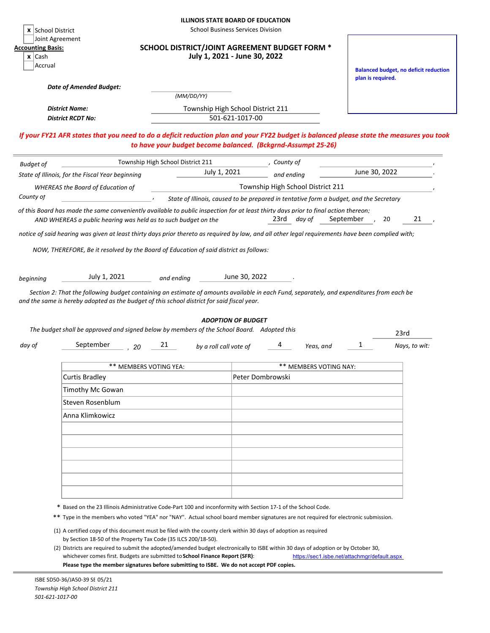|                                                 |                                                                                                                                                                                                                                                                                                                                                         | <b>ILLINOIS STATE BOARD OF EDUCATION</b>                                                                                                                                  |                                          |                                   |                                              |                   |                                              |
|-------------------------------------------------|---------------------------------------------------------------------------------------------------------------------------------------------------------------------------------------------------------------------------------------------------------------------------------------------------------------------------------------------------------|---------------------------------------------------------------------------------------------------------------------------------------------------------------------------|------------------------------------------|-----------------------------------|----------------------------------------------|-------------------|----------------------------------------------|
| <b>x</b> School District                        |                                                                                                                                                                                                                                                                                                                                                         |                                                                                                                                                                           | <b>School Business Services Division</b> |                                   |                                              |                   |                                              |
| <b>Accounting Basis:</b><br>$x$ Cash<br>Accrual | Joint Agreement                                                                                                                                                                                                                                                                                                                                         | SCHOOL DISTRICT/JOINT AGREEMENT BUDGET FORM *                                                                                                                             | July 1, 2021 - June 30, 2022             |                                   |                                              |                   |                                              |
|                                                 | <b>Date of Amended Budget:</b>                                                                                                                                                                                                                                                                                                                          |                                                                                                                                                                           |                                          |                                   |                                              | plan is required. | <b>Balanced budget, no deficit reduction</b> |
|                                                 |                                                                                                                                                                                                                                                                                                                                                         | (MM/DD/YY)                                                                                                                                                                |                                          |                                   |                                              |                   |                                              |
|                                                 | <b>District Name:</b>                                                                                                                                                                                                                                                                                                                                   | Township High School District 211                                                                                                                                         |                                          |                                   |                                              |                   |                                              |
|                                                 | <b>District RCDT No:</b>                                                                                                                                                                                                                                                                                                                                |                                                                                                                                                                           | 501-621-1017-00                          |                                   |                                              |                   |                                              |
|                                                 | If your FY21 AFR states that you need to do a deficit reduction plan and your FY22 budget is balanced please state the measures you took                                                                                                                                                                                                                | to have your budget become balanced. (Bckgrnd-Assumpt 25-26)                                                                                                              |                                          |                                   |                                              |                   |                                              |
| <b>Budget of</b>                                |                                                                                                                                                                                                                                                                                                                                                         | Township High School District 211                                                                                                                                         |                                          | ,  County of                      |                                              |                   |                                              |
|                                                 | State of Illinois, for the Fiscal Year beginning                                                                                                                                                                                                                                                                                                        | July 1, 2021                                                                                                                                                              |                                          | and ending                        |                                              | June 30, 2022     |                                              |
|                                                 | <b>WHEREAS the Board of Education of</b>                                                                                                                                                                                                                                                                                                                |                                                                                                                                                                           |                                          | Township High School District 211 |                                              |                   |                                              |
| County of                                       |                                                                                                                                                                                                                                                                                                                                                         | State of Illinois, caused to be prepared in tentative form a budget, and the Secretary                                                                                    |                                          |                                   |                                              |                   |                                              |
|                                                 | of this Board has made the same conveniently available to public inspection for at least thirty days prior to final action thereon;<br>AND WHEREAS a public hearing was held as to such budget on the                                                                                                                                                   |                                                                                                                                                                           |                                          | 23rd<br>day of                    | September                                    | 20                | 21                                           |
|                                                 | notice of said hearing was given at least thirty days prior thereto as required by law, and all other legal requirements have been complied with;                                                                                                                                                                                                       |                                                                                                                                                                           |                                          |                                   |                                              |                   |                                              |
| day of                                          | Section 2: That the following budget containing an estimate of amounts available in each Fund, separately, and expenditures from each be<br>and the same is hereby adopted as the budget of this school district for said fiscal year.<br>The budget shall be approved and signed below by members of the School Board. Adopted this<br>September<br>20 | by a roll call vote of                                                                                                                                                    | <b>ADOPTION OF BUDGET</b>                | Yeas, and                         |                                              |                   | 23rd<br>Nays, to wit:                        |
|                                                 |                                                                                                                                                                                                                                                                                                                                                         |                                                                                                                                                                           |                                          |                                   |                                              |                   |                                              |
|                                                 |                                                                                                                                                                                                                                                                                                                                                         | ** MEMBERS VOTING YEA:                                                                                                                                                    |                                          | ** MEMBERS VOTING NAY:            |                                              |                   |                                              |
|                                                 | <b>Curtis Bradley</b>                                                                                                                                                                                                                                                                                                                                   |                                                                                                                                                                           | Peter Dombrowski                         |                                   |                                              |                   |                                              |
|                                                 | <b>Timothy Mc Gowan</b>                                                                                                                                                                                                                                                                                                                                 |                                                                                                                                                                           |                                          |                                   |                                              |                   |                                              |
|                                                 | Steven Rosenblum                                                                                                                                                                                                                                                                                                                                        |                                                                                                                                                                           |                                          |                                   |                                              |                   |                                              |
|                                                 | Anna Klimkowicz                                                                                                                                                                                                                                                                                                                                         |                                                                                                                                                                           |                                          |                                   |                                              |                   |                                              |
|                                                 |                                                                                                                                                                                                                                                                                                                                                         |                                                                                                                                                                           |                                          |                                   |                                              |                   |                                              |
|                                                 |                                                                                                                                                                                                                                                                                                                                                         |                                                                                                                                                                           |                                          |                                   |                                              |                   |                                              |
|                                                 |                                                                                                                                                                                                                                                                                                                                                         |                                                                                                                                                                           |                                          |                                   |                                              |                   |                                              |
|                                                 |                                                                                                                                                                                                                                                                                                                                                         |                                                                                                                                                                           |                                          |                                   |                                              |                   |                                              |
|                                                 |                                                                                                                                                                                                                                                                                                                                                         |                                                                                                                                                                           |                                          |                                   |                                              |                   |                                              |
|                                                 |                                                                                                                                                                                                                                                                                                                                                         |                                                                                                                                                                           |                                          |                                   |                                              |                   |                                              |
|                                                 | * Based on the 23 Illinois Administrative Code-Part 100 and inconformity with Section 17-1 of the School Code.                                                                                                                                                                                                                                          |                                                                                                                                                                           |                                          |                                   |                                              |                   |                                              |
|                                                 | ** Type in the members who voted "YEA" nor "NAY". Actual school board member signatures are not required for electronic submission.                                                                                                                                                                                                                     |                                                                                                                                                                           |                                          |                                   |                                              |                   |                                              |
|                                                 | (1) A certified copy of this document must be filed with the county clerk within 30 days of adoption as required<br>by Section 18-50 of the Property Tax Code (35 ILCS 200/18-50).<br>(2) Districts are required to submit the adopted/amended budget electronically to ISBE within 30 days of adoption or by October 30,                               |                                                                                                                                                                           |                                          |                                   |                                              |                   |                                              |
|                                                 |                                                                                                                                                                                                                                                                                                                                                         | whichever comes first. Budgets are submitted to School Finance Report (SFR):<br>Please type the member signatures before submitting to ISBE. We do not accept PDF copies. |                                          |                                   | https://sec1.isbe.net/attachmgr/default.aspx |                   |                                              |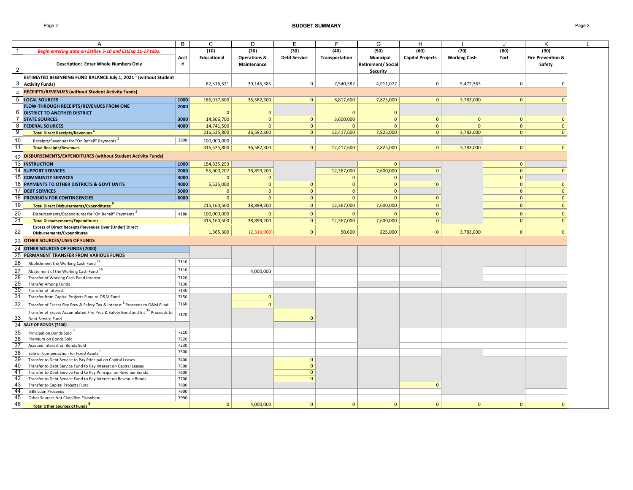#### Page 2 **BUDGET SUMMARY** Page 2

|                 | A                                                                                        | B    | C              | D                       | E                   | F              | G                        | н                       |                     | $\cdot$      | K                            |  |
|-----------------|------------------------------------------------------------------------------------------|------|----------------|-------------------------|---------------------|----------------|--------------------------|-------------------------|---------------------|--------------|------------------------------|--|
| $\mathbf{1}$    | Begin entering data on EstRev 5-10 and EstExp 11-17 tabs.                                |      | (10)           | (20)                    | (30)                | (40)           | (50)                     | (60)                    | (70)                | (80)         | (90)                         |  |
|                 |                                                                                          | Acct | Educational    | <b>Operations &amp;</b> | <b>Debt Service</b> | Transportation | Municipal                | <b>Capital Projects</b> | <b>Working Cash</b> | Tort         | <b>Fire Prevention &amp;</b> |  |
|                 | <b>Description: Enter Whole Numbers Only</b>                                             | #    |                | Maintenance             |                     |                | <b>Retirement/Social</b> |                         |                     |              | Safety                       |  |
| 2               |                                                                                          |      |                |                         |                     |                | Security                 |                         |                     |              |                              |  |
|                 | ESTIMATED BEGINNING FUND BALANCE July 1, 2021 <sup>1</sup> (without Student              |      |                |                         |                     |                |                          |                         |                     |              |                              |  |
|                 | 3 Activity Funds)                                                                        |      | 87,516,521     | 39,145,385              | 0                   | 7,540,582      | 4,911,077                | 0                       | 5,472,363           | $\mathbf 0$  | $\Omega$                     |  |
| $\overline{4}$  | <b>RECEIPTS/REVENUES (without Student Activity Funds)</b>                                |      |                |                         |                     |                |                          |                         |                     |              |                              |  |
|                 | 5 LOCAL SOURCES                                                                          | 1000 | 186,917,600    | 36,582,300              | $\mathbf{0}$        | 8,817,600      | 7,825,000                | $\overline{0}$          |                     | $\mathbf{0}$ | $\Omega$                     |  |
|                 | FLOW-THROUGH RECEIPTS/REVENUES FROM ONE                                                  | 2000 |                |                         |                     |                |                          |                         | 3,783,000           |              |                              |  |
| 6               | <b>DISTRICT TO ANOTHER DISTRICT</b>                                                      |      | $\Omega$       | $\Omega$                |                     | $\Omega$       | $\Omega$                 |                         |                     |              |                              |  |
| $\overline{7}$  | <b>STATE SOURCES</b>                                                                     | 3000 | 14,866,700     | $\mathbf{0}$            | $\mathbf{0}$        | 3,600,000      | $\mathbf{0}$             | $\mathbf{0}$            | $\mathbf{0}$        | $\mathbf{0}$ | $\mathbf 0$                  |  |
|                 | 8 <b>FEDERAL SOURCES</b>                                                                 | 4000 | 14,741,500     | $\Omega$                | $\mathbf{0}$        | $\Omega$       | $\mathbf{0}$             | $\mathbf{0}$            | $\mathbf{0}$        | $\mathbf{0}$ | $\mathbf{0}$                 |  |
| 9               | <b>Total Direct Receipts/Revenues<sup>8</sup></b>                                        |      | 216,525,800    | 36,582,300              | $\mathbf{0}$        | 12,417,600     | 7,825,000                | $\overline{0}$          | 3,783,000           | $\mathbf{0}$ | $\mathbf{0}$                 |  |
|                 |                                                                                          |      |                |                         |                     |                |                          |                         |                     |              |                              |  |
| 10              | Receipts/Revenues for "On Behalf" Payments <sup>2</sup>                                  | 3998 | 100,000,000    |                         |                     |                |                          |                         |                     |              |                              |  |
| 11              | <b>Total Receipts/Revenues</b>                                                           |      | 316,525,800    | 36,582,300              | 0                   | 12,417,600     | 7,825,000                | $\overline{0}$          | 3,783,000           | 0            | $\mathbf{0}$                 |  |
|                 | 12 DISBURSEMENTS/EXPENDITURES (without Student Activity Funds)                           |      |                |                         |                     |                |                          |                         |                     |              |                              |  |
|                 | 13 INSTRUCTION                                                                           | 1000 | 154,635,293    |                         |                     |                | $\mathbf{0}$             |                         |                     | $\mathbf{0}$ |                              |  |
|                 | <b>14 SUPPORT SERVICES</b>                                                               | 2000 | 55,000,207     | 38,899,200              |                     | 12,367,000     | 7,600,000                | $\Omega$                |                     | $\mathbf{0}$ | $\mathbf{0}$                 |  |
|                 | 15 COMMUNITY SERVICES                                                                    | 3000 | $\mathbf{0}$   | $\mathbf{0}$            |                     | $\mathbf{0}$   | $\mathbf 0$              |                         |                     | $\mathbf 0$  |                              |  |
|                 | 16 PAYMENTS TO OTHER DISTRICTS & GOVT UNITS                                              | 4000 | 5,525,000      | $\mathbf{0}$            | $\mathbf{0}$        | $\mathbf{0}$   | $\mathbf{0}$             | $\Omega$                |                     | $\mathbf 0$  | $\mathbf{0}$                 |  |
|                 | 17 DEBT SERVICES                                                                         | 5000 | $\mathbf{0}$   | $\mathbf{0}$            | $\mathbf{0}$        | $\mathbf{0}$   | $\mathbf{0}$             |                         |                     | $\mathbf 0$  | $\mathbf 0$                  |  |
|                 | <b>18 PROVISION FOR CONTINGENCIES</b>                                                    | 6000 | $\mathbf{0}$   | $\mathbf{0}$            | $\mathbf{0}$        | $\mathbf{0}$   | $\mathbf{0}$             | $\Omega$                |                     | $\mathbf{0}$ | $\mathbf{0}$                 |  |
| 19              | Total Direct Disbursements/Expenditures                                                  |      | 215,160,500    | 38,899,200              | $\mathbf{0}$        | 12,367,000     | 7,600,000                | $\mathbf{0}$            |                     | $\mathbf 0$  | $\mathbf 0$                  |  |
| 20              | Disbursements/Expenditures for "On Behalf" Payments                                      | 4180 | 100,000,000    | $\Omega$                | $\mathbf{0}$        | $\Omega$       | $\Omega$                 | $\Omega$                |                     | $\mathbf{0}$ | $\Omega$                     |  |
| 21              | <b>Total Disbursements/Expenditures</b>                                                  |      | 315,160,500    | 38,899,200              | 0                   | 12,367,000     | 7,600,000                | $\overline{0}$          |                     | 0            | $\overline{0}$               |  |
|                 | <b>Excess of Direct Receipts/Revenues Over (Under) Direct</b>                            |      |                |                         |                     |                |                          |                         |                     |              |                              |  |
| 22              | Disbursements/Expenditures                                                               |      | 1,365,300      | (2,316,900)             | $\mathbf{0}$        | 50,600         | 225,000                  | $\overline{0}$          | 3,783,000           | $\mathbf{0}$ | $\mathbf{0}$                 |  |
|                 | 23 OTHER SOURCES/USES OF FUNDS                                                           |      |                |                         |                     |                |                          |                         |                     |              |                              |  |
|                 | 24 OTHER SOURCES OF FUNDS (7000)                                                         |      |                |                         |                     |                |                          |                         |                     |              |                              |  |
| 25              | PERMANENT TRANSFER FROM VARIOUS FUNDS                                                    |      |                |                         |                     |                |                          |                         |                     |              |                              |  |
|                 |                                                                                          | 7110 |                |                         |                     |                |                          |                         |                     |              |                              |  |
| 26              | Abolishment the Working Cash Fund 16                                                     |      |                |                         |                     |                |                          |                         |                     |              |                              |  |
| $\overline{27}$ | Abatement of the Working Cash Fund 16                                                    | 7110 |                | 4,000,000               |                     |                |                          |                         |                     |              |                              |  |
| 28              | Transfer of Working Cash Fund Interest                                                   | 7120 |                |                         |                     |                |                          |                         |                     |              |                              |  |
| 29              | <b>Transfer Among Funds</b>                                                              | 7130 |                |                         |                     |                |                          |                         |                     |              |                              |  |
| 30              | Transfer of Interest                                                                     | 7140 |                |                         |                     |                |                          |                         |                     |              |                              |  |
| 31              | Transfer from Capital Projects Fund to O&M Fund                                          | 7150 |                | $\mathbf{0}$            |                     |                |                          |                         |                     |              |                              |  |
| 32              | Transfer of Excess Fire Prev & Safety Tax & Interest <sup>3</sup> Proceeds to O&M Fund   | 7160 |                | $\Omega$                |                     |                |                          |                         |                     |              |                              |  |
|                 | Transfer of Excess Accumulated Fire Prev & Safety Bond and Int <sup>3a</sup> Proceeds to | 7170 |                |                         |                     |                |                          |                         |                     |              |                              |  |
| 33              | Debt Service Fund                                                                        |      |                |                         | $\Omega$            |                |                          |                         |                     |              |                              |  |
| 34              | SALE OF BONDS (7200)                                                                     |      |                |                         |                     |                |                          |                         |                     |              |                              |  |
| 35              | Principal on Bonds Sold <sup>4</sup>                                                     | 7210 |                |                         |                     |                |                          |                         |                     |              |                              |  |
| 36              | Premium on Bonds Sold                                                                    | 7220 |                |                         |                     |                |                          |                         |                     |              |                              |  |
| 37              | Accrued Interest on Bonds Sold                                                           | 7230 |                |                         |                     |                |                          |                         |                     |              |                              |  |
| 38              | Sale or Compensation for Fixed Assets <sup>5</sup>                                       | 7300 |                |                         |                     |                |                          |                         |                     |              |                              |  |
| 39              | Transfer to Debt Service to Pay Principal on Capital Leases                              | 7400 |                |                         | $\mathbf{0}$        |                |                          |                         |                     |              |                              |  |
| 40              | Transfer to Debt Service Fund to Pay Interest on Capital Leases                          | 7500 |                |                         | $\mathbf{0}$        |                |                          |                         |                     |              |                              |  |
| 41              | Transfer to Debt Service Fund to Pay Principal on Revenue Bonds                          | 7600 |                |                         | $\overline{0}$      |                |                          |                         |                     |              |                              |  |
| -42             | Transfer to Debt Service Fund to Pay Interest on Revenue Bonds                           | 7700 |                |                         | $\overline{0}$      |                |                          |                         |                     |              |                              |  |
| 43              | Transfer to Capital Projects Fund                                                        | 7800 |                |                         |                     |                |                          | $\overline{0}$          |                     |              |                              |  |
| 44              | <b>ISBE Loan Proceeds</b>                                                                | 7900 |                |                         |                     |                |                          |                         |                     |              |                              |  |
| 45              | Other Sources Not Classified Elsewhere                                                   | 7990 |                |                         |                     |                |                          |                         |                     |              |                              |  |
| 46              | <b>Total Other Sources of Funds<sup>8</sup></b>                                          |      | $\overline{0}$ | 4.000.000               | $\Omega$            | $\overline{0}$ | $\mathbf{0}$             | $\Omega$                | $\mathbf{0}$        | $\mathbf{0}$ | $\Omega$                     |  |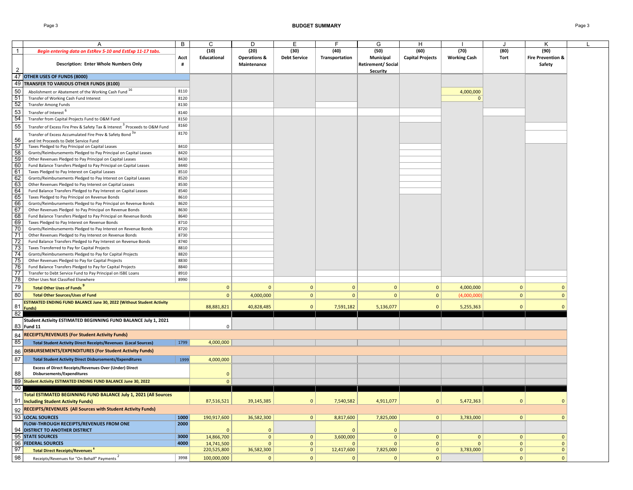|                                                                | Α                                                                                      | B    | C            | D                       | E                   | F              | G                        | H                       |                     | J            | K                            |  |
|----------------------------------------------------------------|----------------------------------------------------------------------------------------|------|--------------|-------------------------|---------------------|----------------|--------------------------|-------------------------|---------------------|--------------|------------------------------|--|
| $\mathbf{1}$                                                   | Begin entering data on EstRev 5-10 and EstExp 11-17 tabs.                              |      | (10)         | (20)                    | (30)                | (40)           | (50)                     | (60)                    | (70)                | (80)         | (90)                         |  |
|                                                                |                                                                                        | Acct | Educational  | <b>Operations &amp;</b> | <b>Debt Service</b> | Transportation | Municipal                | <b>Capital Projects</b> | <b>Working Cash</b> | Tort         | <b>Fire Prevention &amp;</b> |  |
|                                                                | <b>Description: Enter Whole Numbers Only</b>                                           | #    |              | Maintenance             |                     |                | <b>Retirement/Social</b> |                         |                     |              | Safety                       |  |
| $\overline{2}$                                                 |                                                                                        |      |              |                         |                     |                | <b>Security</b>          |                         |                     |              |                              |  |
|                                                                | 47 OTHER USES OF FUNDS (8000)                                                          |      |              |                         |                     |                |                          |                         |                     |              |                              |  |
|                                                                |                                                                                        |      |              |                         |                     |                |                          |                         |                     |              |                              |  |
| 49                                                             | TRANSFER TO VARIOUS OTHER FUNDS (8100)                                                 |      |              |                         |                     |                |                          |                         |                     |              |                              |  |
|                                                                | Abolishment or Abatement of the Working Cash Fund 16                                   | 8110 |              |                         |                     |                |                          |                         | 4,000,000           |              |                              |  |
|                                                                | Transfer of Working Cash Fund Interest                                                 | 8120 |              |                         |                     |                |                          |                         | $\Omega$            |              |                              |  |
| $\frac{50}{52}$                                                | <b>Transfer Among Funds</b>                                                            | 8130 |              |                         |                     |                |                          |                         |                     |              |                              |  |
|                                                                |                                                                                        |      |              |                         |                     |                |                          |                         |                     |              |                              |  |
|                                                                | Transfer of Interest <sup>b</sup>                                                      | 8140 |              |                         |                     |                |                          |                         |                     |              |                              |  |
| $rac{53}{54}$                                                  | Transfer from Capital Projects Fund to O&M Fund                                        | 8150 |              |                         |                     |                |                          |                         |                     |              |                              |  |
| 55                                                             | Transfer of Excess Fire Prev & Safety Tax & Interest <sup>3</sup> Proceeds to O&M Fund | 8160 |              |                         |                     |                |                          |                         |                     |              |                              |  |
|                                                                |                                                                                        | 8170 |              |                         |                     |                |                          |                         |                     |              |                              |  |
|                                                                | Transfer of Excess Accumulated Fire Prev & Safety Bond 3a                              |      |              |                         |                     |                |                          |                         |                     |              |                              |  |
| $\frac{56}{57}$                                                | and Int Proceeds to Debt Service Fund                                                  |      |              |                         |                     |                |                          |                         |                     |              |                              |  |
|                                                                | Taxes Pledged to Pay Principal on Capital Leases                                       | 8410 |              |                         |                     |                |                          |                         |                     |              |                              |  |
|                                                                | Grants/Reimbursements Pledged to Pay Principal on Capital Leases                       | 8420 |              |                         |                     |                |                          |                         |                     |              |                              |  |
|                                                                | Other Revenues Pledged to Pay Principal on Capital Leases                              | 8430 |              |                         |                     |                |                          |                         |                     |              |                              |  |
|                                                                | Fund Balance Transfers Pledged to Pay Principal on Capital Leases                      | 8440 |              |                         |                     |                |                          |                         |                     |              |                              |  |
|                                                                | Taxes Pledged to Pay Interest on Capital Leases                                        | 8510 |              |                         |                     |                |                          |                         |                     |              |                              |  |
|                                                                | Grants/Reimbursements Pledged to Pay Interest on Capital Leases                        | 8520 |              |                         |                     |                |                          |                         |                     |              |                              |  |
|                                                                | Other Revenues Pledged to Pay Interest on Capital Leases                               | 8530 |              |                         |                     |                |                          |                         |                     |              |                              |  |
|                                                                | Fund Balance Transfers Pledged to Pay Interest on Capital Leases                       | 8540 |              |                         |                     |                |                          |                         |                     |              |                              |  |
| 58 59 60 61 62 63 64 65 66 67 68 99 70 71 72 73 74 75 76 77 78 |                                                                                        |      |              |                         |                     |                |                          |                         |                     |              |                              |  |
|                                                                | Taxes Pledged to Pay Principal on Revenue Bonds                                        | 8610 |              |                         |                     |                |                          |                         |                     |              |                              |  |
|                                                                | Grants/Reimbursements Pledged to Pay Principal on Revenue Bonds                        | 8620 |              |                         |                     |                |                          |                         |                     |              |                              |  |
|                                                                | Other Revenues Pledged to Pay Principal on Revenue Bonds                               | 8630 |              |                         |                     |                |                          |                         |                     |              |                              |  |
|                                                                | Fund Balance Transfers Pledged to Pay Principal on Revenue Bonds                       | 8640 |              |                         |                     |                |                          |                         |                     |              |                              |  |
|                                                                | Taxes Pledged to Pay Interest on Revenue Bonds                                         | 8710 |              |                         |                     |                |                          |                         |                     |              |                              |  |
|                                                                | Grants/Reimbursements Pledged to Pay Interest on Revenue Bonds                         | 8720 |              |                         |                     |                |                          |                         |                     |              |                              |  |
|                                                                | Other Revenues Pledged to Pay Interest on Revenue Bonds                                | 8730 |              |                         |                     |                |                          |                         |                     |              |                              |  |
|                                                                | Fund Balance Transfers Pledged to Pay Interest on Revenue Bonds                        | 8740 |              |                         |                     |                |                          |                         |                     |              |                              |  |
|                                                                | Taxes Transferred to Pay for Capital Projects                                          | 8810 |              |                         |                     |                |                          |                         |                     |              |                              |  |
|                                                                | Grants/Reimbursements Pledged to Pay for Capital Projects                              | 8820 |              |                         |                     |                |                          |                         |                     |              |                              |  |
|                                                                |                                                                                        | 8830 |              |                         |                     |                |                          |                         |                     |              |                              |  |
|                                                                | Other Revenues Pledged to Pay for Capital Projects                                     | 8840 |              |                         |                     |                |                          |                         |                     |              |                              |  |
|                                                                | Fund Balance Transfers Pledged to Pay for Capital Projects                             |      |              |                         |                     |                |                          |                         |                     |              |                              |  |
|                                                                | Transfer to Debt Service Fund to Pay Principal on ISBE Loans                           | 8910 |              |                         |                     |                |                          |                         |                     |              |                              |  |
|                                                                | Other Uses Not Classified Elsewhere                                                    | 8990 |              |                         |                     |                |                          |                         |                     |              |                              |  |
| 79                                                             | <b>Total Other Uses of Funds<sup>9</sup></b>                                           |      | $\mathbf{0}$ | $\overline{0}$          | $\mathbf{0}$        | $\mathbf{0}$   | $\mathbf{0}$             | 0                       | 4,000,000           | $\mathbf{0}$ | $\Omega$                     |  |
| 80                                                             | <b>Total Other Sources/Uses of Fund</b>                                                |      | $\mathbf{0}$ | 4,000,000               | $\mathbf{0}$        | $\mathbf{0}$   | $\mathbf{0}$             | $\overline{0}$          | (4,000,000)         | $\mathbf{0}$ | $\mathbf{0}$                 |  |
|                                                                |                                                                                        |      |              |                         |                     |                |                          |                         |                     |              |                              |  |
|                                                                | ESTIMATED ENDING FUND BALANCE June 30, 2022 (Without Student Activity<br>$81$ Funds)   |      | 88,881,821   | 40,828,485              | $\mathbf{0}$        | 7,591,182      | 5,136,077                | $\mathbf{0}$            | 5,255,363           | $\mathbf{0}$ |                              |  |
|                                                                |                                                                                        |      |              |                         |                     |                |                          |                         |                     |              |                              |  |
| 82                                                             |                                                                                        |      |              |                         |                     |                |                          |                         |                     |              |                              |  |
|                                                                | Student Activity ESTIMATED BEGINNING FUND BALANCE July 1, 2021                         |      |              |                         |                     |                |                          |                         |                     |              |                              |  |
|                                                                | 83 Fund 11                                                                             |      | $\mathbf 0$  |                         |                     |                |                          |                         |                     |              |                              |  |
| 84                                                             | <b>RECEIPTS/REVENUES (For Student Activity Funds)</b>                                  |      |              |                         |                     |                |                          |                         |                     |              |                              |  |
|                                                                |                                                                                        |      |              |                         |                     |                |                          |                         |                     |              |                              |  |
| 85                                                             | <b>Total Student Activity Direct Receipts/Revenues (Local Sources)</b>                 | 1799 | 4,000,000    |                         |                     |                |                          |                         |                     |              |                              |  |
| 86                                                             | DISBURSEMENTS/EXPENDITURES (For Student Activity Funds)                                |      |              |                         |                     |                |                          |                         |                     |              |                              |  |
| 87                                                             | <b>Total Student Activity Direct Disbursements/Expenditures</b>                        |      |              |                         |                     |                |                          |                         |                     |              |                              |  |
|                                                                |                                                                                        | 1999 | 4,000,000    |                         |                     |                |                          |                         |                     |              |                              |  |
|                                                                | <b>Excess of Direct Receipts/Revenues Over (Under) Direct</b>                          |      |              |                         |                     |                |                          |                         |                     |              |                              |  |
| 88                                                             | <b>Disbursements/Expenditures</b>                                                      |      | $\mathbf{0}$ |                         |                     |                |                          |                         |                     |              |                              |  |
|                                                                | 89 Student Activity ESTIMATED ENDING FUND BALANCE June 30, 2022                        |      | $\mathbf{0}$ |                         |                     |                |                          |                         |                     |              |                              |  |
| 90                                                             |                                                                                        |      |              |                         |                     |                |                          |                         |                     |              |                              |  |
|                                                                |                                                                                        |      |              |                         |                     |                |                          |                         |                     |              |                              |  |
|                                                                | Total ESTIMATED BEGINNING FUND BALANCE July 1, 2021 (All Sources                       |      |              |                         |                     |                |                          |                         |                     |              |                              |  |
|                                                                | 91 Including Student Activity Funds)                                                   |      | 87,516,521   | 39,145,385              | 0                   | 7,540,582      | 4,911,077                | 0                       | 5,472,363           | 0            | $\mathbf{0}$                 |  |
|                                                                | 92 RECEIPTS/REVENUES (All Sources with Student Activity Funds)                         |      |              |                         |                     |                |                          |                         |                     |              |                              |  |
|                                                                | 93 LOCAL SOURCES                                                                       | 1000 | 190,917,600  | 36,582,300              | 0 <sup>1</sup>      | 8,817,600      | 7,825,000                | 0                       | 3,783,000           | $\mathbf{0}$ | $\mathbf{0}$                 |  |
|                                                                | FLOW-THROUGH RECEIPTS/REVENUES FROM ONE                                                |      |              |                         |                     |                |                          |                         |                     |              |                              |  |
|                                                                |                                                                                        | 2000 |              |                         |                     |                |                          |                         |                     |              |                              |  |
|                                                                | 94 DISTRICT TO ANOTHER DISTRICT                                                        |      | $\mathbf{0}$ | $\mathbf{0}$            |                     | $\mathbf{0}$   | $\mathbf 0$              |                         |                     |              |                              |  |
|                                                                | 95 STATE SOURCES                                                                       | 3000 | 14,866,700   | $\mathbf 0$             | $\mathbf 0$         | 3,600,000      | $\mathbf 0$              | $\mathbf{0}$            | $\mathbf{0}$        | $\mathbf{0}$ | $\mathbf 0$                  |  |
|                                                                | 96 FEDERAL SOURCES                                                                     | 4000 | 14,741,500   | $\mathbf{0}$            | $\mathbf{0}$        | $\mathbf{0}$   | $\mathbf{0}$             | $\overline{0}$          | $\mathbf{0}$        | $\mathbf{0}$ | $\mathbf{0}$                 |  |
|                                                                | <b>Total Direct Receipts/Revenues<sup>8</sup></b>                                      |      | 220,525,800  | 36,582,300              | $\mathbf{0}$        | 12,417,600     | 7,825,000                | 0                       | 3,783,000           | $\mathbf{0}$ | $\mathbf{0}$                 |  |
| 98                                                             | Receipts/Revenues for "On Behalf" Payments <sup>2</sup>                                | 3998 | 100,000,000  | $\mathbf{0}$            | $\mathbf{0}$        | $\mathbf{0}$   | $\mathbf{0}$             | $\overline{0}$          |                     | $\mathbf{0}$ | $\mathbf{0}$                 |  |
|                                                                |                                                                                        |      |              |                         |                     |                |                          |                         |                     |              |                              |  |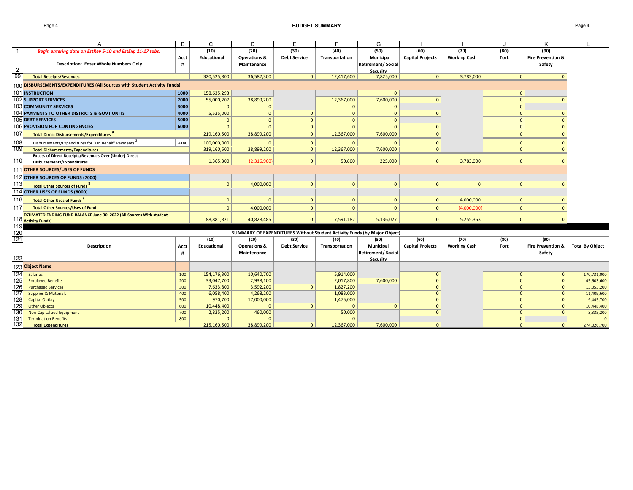**Total Expenditures** 

#### Page 4 **BUDGET SUMMARY** Page 4

|              | А                                                                        | B    | C            | D                       | Ε                   | F              | G                                                                        | H                       |                     |              | Κ                            |                        |
|--------------|--------------------------------------------------------------------------|------|--------------|-------------------------|---------------------|----------------|--------------------------------------------------------------------------|-------------------------|---------------------|--------------|------------------------------|------------------------|
| $\mathbf{1}$ | Begin entering data on EstRev 5-10 and EstExp 11-17 tabs.                |      | (10)         | (20)                    | (30)                | (40)           | (50)                                                                     | (60)                    | (70)                | (80)         | (90)                         |                        |
|              |                                                                          | Acct | Educational  | <b>Operations &amp;</b> | <b>Debt Service</b> | Transportation | Municipal                                                                | <b>Capital Projects</b> | <b>Working Cash</b> | Tort         | <b>Fire Prevention &amp;</b> |                        |
|              | <b>Description: Enter Whole Numbers Only</b>                             |      |              | <b>Maintenance</b>      |                     |                | <b>Retirement/Social</b>                                                 |                         |                     |              | Safety                       |                        |
| 2            |                                                                          |      |              |                         |                     |                | <b>Security</b>                                                          |                         |                     |              |                              |                        |
| -99          | <b>Total Receipts/Revenues</b>                                           |      | 320,525,800  | 36,582,300              | $\overline{0}$      | 12,417,600     | 7,825,000                                                                | $\mathbf{0}$            | 3,783,000           | 0            |                              |                        |
|              | 100 DISBURSEMENTS/EXPENDITURES (All Sources with Student Activity Funds) |      |              |                         |                     |                |                                                                          |                         |                     |              |                              |                        |
|              | 101 INSTRUCTION                                                          | 1000 | 158,635,293  |                         |                     |                | $\mathbf{0}$                                                             |                         |                     | 0            |                              |                        |
|              | 102 SUPPORT SERVICES                                                     | 2000 | 55,000,207   | 38,899,200              |                     | 12,367,000     | 7,600,000                                                                | $\Omega$                |                     | $\mathbf{0}$ |                              |                        |
|              | <b>103 COMMUNITY SERVICES</b>                                            | 3000 | $\mathbf{0}$ | $\overline{0}$          |                     | $\mathbf{0}$   | $\mathbf{0}$                                                             |                         |                     | $\mathbf{0}$ |                              |                        |
|              | 104 PAYMENTS TO OTHER DISTRICTS & GOVT UNITS                             | 4000 | 5,525,000    | $\mathbf{0}$            | $\overline{0}$      | $\mathbf{0}$   | $\mathbf{0}$                                                             | $\Omega$                |                     | $\mathbf{0}$ |                              |                        |
|              | <b>105 DEBT SERVICES</b>                                                 | 5000 | $\mathbf{0}$ | $\mathbf{0}$            | $\overline{0}$      | $\mathbf{0}$   | $\mathbf{0}$                                                             |                         |                     | $\mathbf{0}$ |                              |                        |
|              | <b>106 PROVISION FOR CONTINGENCIES</b>                                   | 6000 | $\mathbf{0}$ | $\Omega$                | $\mathbf{0}$        | $\Omega$       | $\mathbf{0}$                                                             | $\Omega$                |                     | $\mathbf{0}$ |                              |                        |
| 107          | <b>Total Direct Disbursements/Expenditures</b>                           |      | 219,160,500  | 38,899,200              | $\overline{0}$      | 12,367,000     | 7,600,000                                                                | $\Omega$                |                     | $\mathbf{0}$ |                              |                        |
|              |                                                                          |      |              |                         |                     |                |                                                                          |                         |                     |              |                              |                        |
| 108          | Disbursements/Expenditures for "On Behalf" Payments                      | 4180 | 100,000,000  | $\Omega$                | $\overline{0}$      | $\Omega$       | $\Omega$                                                                 | $\Omega$                |                     | $\mathbf{0}$ |                              |                        |
| 109          | <b>Total Disbursements/Expenditures</b>                                  |      | 319,160,500  | 38,899,200              | 0                   | 12,367,000     | 7,600,000                                                                | $\overline{0}$          |                     | 0            |                              |                        |
| 110          | <b>Excess of Direct Receipts/Revenues Over (Under) Direct</b>            |      |              |                         | 0                   |                |                                                                          | $\mathbf{0}$            |                     | $\mathbf{0}$ |                              |                        |
|              | Disbursements/Expenditures                                               |      | 1,365,300    | (2,316,900)             |                     | 50,600         | 225,000                                                                  |                         | 3,783,000           |              |                              |                        |
|              | 111 OTHER SOURCES/USES OF FUNDS                                          |      |              |                         |                     |                |                                                                          |                         |                     |              |                              |                        |
|              | 112 OTHER SOURCES OF FUNDS (7000)                                        |      |              |                         |                     |                |                                                                          |                         |                     |              |                              |                        |
| 113          | <b>Total Other Sources of Funds<sup>8</sup></b>                          |      | $\mathbf{0}$ | 4,000,000               | $\Omega$            | $\Omega$       | $\mathbf{0}$                                                             | $\Omega$                | $\Omega$            | $\Omega$     |                              |                        |
|              | 114 OTHER USES OF FUNDS (8000)                                           |      |              |                         |                     |                |                                                                          |                         |                     |              |                              |                        |
| 116          | Total Other Uses of Funds <sup>9</sup>                                   |      | $\mathbf{0}$ | $\Omega$                | $\Omega$            | $\Omega$       | $\mathbf{0}$                                                             | $\mathbf{0}$            | 4,000,000           | $\mathbf{0}$ |                              |                        |
| 117          | <b>Total Other Sources/Uses of Fund</b>                                  |      | $\Omega$     | 4,000,000               | $\mathbf{0}$        | $\Omega$       | $\mathbf{0}$                                                             | $\Omega$                | (4,000,000)         | $\mathbf{0}$ |                              |                        |
|              | ESTIMATED ENDING FUND BALANCE June 30, 2022 (All Sources With student    |      |              |                         |                     |                |                                                                          |                         |                     |              |                              |                        |
|              | 118 Activity Funds)                                                      |      | 88,881,821   | 40,828,485              | $\mathbf{0}$        | 7,591,182      | 5,136,077                                                                | $\mathbf{0}$            | 5,255,363           | $\mathbf{0}$ | $\Omega$                     |                        |
| 119          |                                                                          |      |              |                         |                     |                |                                                                          |                         |                     |              |                              |                        |
| 120          |                                                                          |      |              |                         |                     |                | SUMMARY OF EXPENDITURES Without Student Activity Funds (by Major Object) |                         |                     |              |                              |                        |
| 121          |                                                                          |      | (10)         | (20)                    | (30)                | (40)           | (50)                                                                     | (60)                    | (70)                | (80)         | (90)                         |                        |
|              | <b>Description</b>                                                       | Acct | Educational  | <b>Operations &amp;</b> | <b>Debt Service</b> | Transportation | Municipal                                                                | <b>Capital Projects</b> | <b>Working Cash</b> | Tort         | <b>Fire Prevention &amp;</b> | <b>Total By Object</b> |
|              |                                                                          | #    |              | Maintenance             |                     |                | <b>Retirement/Social</b>                                                 |                         |                     |              | Safety                       |                        |
| 122          |                                                                          |      |              |                         |                     |                | Security                                                                 |                         |                     |              |                              |                        |
|              | 123 Object Name                                                          |      |              |                         |                     |                |                                                                          |                         |                     |              |                              |                        |
| 124          | Salaries                                                                 | 100  | 154,176,300  | 10,640,700              |                     | 5,914,000      |                                                                          | $\mathbf{0}$            |                     | $\mathbf{0}$ | $\overline{0}$               | 170,731,000            |
| 125          | <b>Employee Benefits</b>                                                 | 200  | 33,047,700   | 2,938,100               |                     | 2,017,800      | 7,600,000                                                                | $\Omega$                |                     | $\mathbf{0}$ | $\mathbf{0}$                 | 45,603,600             |
| 126          | <b>Purchased Services</b>                                                | 300  | 7,633,800    | 3,592,200               | $\overline{0}$      | 1,827,200      |                                                                          | $\Omega$                |                     | $\mathbf{0}$ | $\Omega$                     | 13,053,200             |
| 127          | <b>Supplies &amp; Materials</b>                                          | 400  | 6,058,400    | 4,268,200               |                     | 1,083,000      |                                                                          | $\Omega$                |                     | $\mathbf{0}$ | $\mathbf{0}$                 | 11,409,600             |
| 128          | <b>Capital Outlay</b>                                                    | 500  | 970,700      | 17,000,000              |                     | 1,475,000      |                                                                          | $\Omega$                |                     | $\mathbf{0}$ | $\mathbf{0}$                 | 19,445,700             |
| 129          | <b>Other Objects</b>                                                     | 600  | 10,448,400   | $\Omega$                | $\overline{0}$      | $\Omega$       | $\mathbf{0}$                                                             | $\Omega$                |                     | $\mathbf{0}$ | $\Omega$                     | 10,448,400             |
| 130          | Non-Capitalized Equipment                                                | 700  | 2,825,200    | 460,000                 |                     | 50,000         |                                                                          | $\Omega$                |                     | $\mathbf{0}$ | $\mathbf{0}$                 | 3,335,200              |
| $131$<br>132 | <b>Termination Benefits</b>                                              | 800  | $\mathbf{0}$ | $\Omega$                |                     |                |                                                                          |                         |                     | $\circ$      |                              |                        |
|              | <b>Total Expenditures</b>                                                |      | 215.160.500  | 38.899.200              | $\Omega$            | 12.367.000     | 7.600.000                                                                | $\Omega$                |                     | $\Omega$     | $\Omega$                     | 274.026.700            |

**Expenditures** 215,160,500 38,899,200 0 12,367,000 7,600,000 0 0 0 274,026,700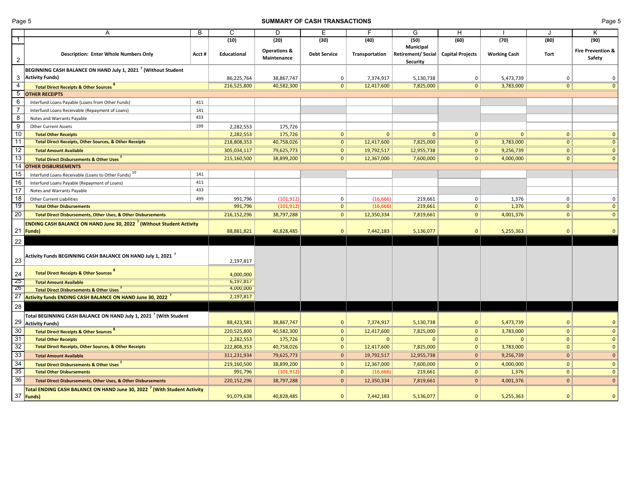#### **SUMMARY OF CASH TRANSACTIONS CONSUMMARY OF CASH TRANSACTIONS Page 5**

|                 | A                                                                                                  | B          | C                      | D                                      | Ε                           | F                      | G                                          | H                           |                     |                          | K                                  |
|-----------------|----------------------------------------------------------------------------------------------------|------------|------------------------|----------------------------------------|-----------------------------|------------------------|--------------------------------------------|-----------------------------|---------------------|--------------------------|------------------------------------|
| $\overline{1}$  |                                                                                                    |            | (10)                   | (20)                                   | (30)                        | (40)                   | (50)                                       | (60)                        | (70)                | (80)                     | (90)                               |
| $\overline{2}$  | <b>Description: Enter Whole Numbers Only</b>                                                       | Acct#      | Educational            | <b>Operations &amp;</b><br>Maintenance | <b>Debt Service</b>         | Transportation         | Municipal<br>Retirement/Social<br>Security | <b>Capital Projects</b>     | <b>Working Cash</b> | Tort                     | <b>Fire Prevention 8</b><br>Safety |
|                 | BEGINNING CASH BALANCE ON HAND July 1, 2021 <sup>7</sup> (Without Student                          |            |                        |                                        |                             |                        |                                            |                             |                     |                          |                                    |
| 3               | <b>Activity Funds)</b>                                                                             |            | 86,225,764             | 38,867,747                             | $\mathbf 0$                 | 7,374,917              | 5,130,738                                  | 0                           | 5,473,739           | $\Omega$                 | $\mathsf 0$                        |
| $\overline{4}$  | <b>Total Direct Receipts &amp; Other Sources 8</b>                                                 |            | 216,525,800            | 40,582,300                             | 0                           | 12,417,600             | 7,825,000                                  | $\mathbf{0}$                | 3,783,000           | $\overline{0}$           | $\mathbf{0}$                       |
| 5               | <b>OTHER RECEIPTS</b>                                                                              |            |                        |                                        |                             |                        |                                            |                             |                     |                          |                                    |
| 6               | Interfund Loans Payable (Loans from Other Funds)                                                   | 411        |                        |                                        |                             |                        |                                            |                             |                     |                          |                                    |
| $\overline{7}$  | Interfund Loans Receivable (Repayment of Loans)                                                    | 141        |                        |                                        |                             |                        |                                            |                             |                     |                          |                                    |
| 8               | Notes and Warrants Payable                                                                         | 433        |                        |                                        |                             |                        |                                            |                             |                     |                          |                                    |
| $\overline{9}$  | <b>Other Current Assets</b>                                                                        | 199        | 2,282,553              | 175,726                                |                             |                        |                                            |                             |                     |                          |                                    |
| 10              | <b>Total Other Receipts</b>                                                                        |            | 2,282,553              | 175,726                                | $\mathbf{0}$                | $\mathbf{0}$           | $\mathbf{0}$                               | $\mathbf{0}$                | $\mathbf{0}$        | $\Omega$                 | $\mathbf 0$                        |
| 11              | <b>Total Direct Receipts, Other Sources, &amp; Other Receipts</b>                                  |            | 218,808,353            | 40,758,026                             | $\mathbf{0}$                | 12,417,600             | 7,825,000                                  | $\mathbf{0}$                | 3,783,000           | $\mathbf{0}$             | $\mathbf{0}$                       |
| 12              | <b>Total Amount Available</b>                                                                      |            | 305,034,117            | 79,625,773                             | 0                           | 19,792,517             | 12,955,738                                 | $\mathbf{0}$                | 9,256,739           | 0 <sup>1</sup>           | $\mathbf{0}$                       |
| 13              | <b>Total Direct Disbursements &amp; Other Uses</b>                                                 |            | 215,160,500            | 38,899,200                             | 0                           | 12,367,000             | 7,600,000                                  | $\mathbf{0}$                | 4,000,000           | 0 <sup>1</sup>           | $\mathbf{0}$                       |
| 14              | <b>OTHER DISBURSEMENTS</b>                                                                         |            |                        |                                        |                             |                        |                                            |                             |                     |                          |                                    |
| 15<br>16        | Interfund Loans Receivable (Loans to Other Funds) 10                                               | 141        |                        |                                        |                             |                        |                                            |                             |                     |                          |                                    |
| 17              | Interfund Loans Payable (Repayment of Loans)                                                       | 411<br>433 |                        |                                        |                             |                        |                                            |                             |                     |                          |                                    |
| $\overline{18}$ | Notes and Warrants Payable                                                                         |            |                        |                                        |                             |                        |                                            |                             |                     |                          |                                    |
| 19              | <b>Other Current Liabilities</b><br><b>Total Other Disbursements</b>                               | 499        | 991,796<br>991,796     | (101, 912)<br>(101, 912)               | $\mathbf 0$<br>$\mathbf{0}$ | (16, 666)<br>(16, 666) | 219,661<br>219,661                         | $\mathbf 0$<br>$\mathbf{0}$ | 1,376<br>1,376      | $\Omega$<br>$\mathbf{0}$ | 0<br>$\Omega$                      |
| 20              | Total Direct Disbursements, Other Uses, & Other Disbursements                                      |            | 216, 152, 296          | 38,797,288                             | 0                           | 12,350,334             | 7,819,661                                  | $\mathbf{0}$                | 4,001,376           | $\overline{0}$           | $\mathbf{0}$                       |
|                 | <b>ENDING CASH BALANCE ON HAND June 30, 2022<sup>7</sup> (Without Student Activity</b>             |            |                        |                                        |                             |                        |                                            |                             |                     |                          |                                    |
|                 | 21 Funds)                                                                                          |            | 88,881,821             | 40,828,485                             | $\mathbf{0}$                | 7,442,183              | 5,136,077                                  | $\mathbf{0}$                | 5,255,363           | $\mathbf{0}$             | $\mathbf{0}$                       |
|                 |                                                                                                    |            |                        |                                        |                             |                        |                                            |                             |                     |                          |                                    |
| 22<br>23        | Activity Funds BEGINNING CASH BALANCE ON HAND July 1, 2021 $^{\,7}$                                |            | 2,197,817              |                                        |                             |                        |                                            |                             |                     |                          |                                    |
| 24              | <b>Total Direct Receipts &amp; Other Sources</b>                                                   |            | 4,000,000              |                                        |                             |                        |                                            |                             |                     |                          |                                    |
| 25<br>26        | <b>Total Amount Available</b>                                                                      |            | 6,197,817              |                                        |                             |                        |                                            |                             |                     |                          |                                    |
| 27              | Total Direct Disbursements & Other Uses                                                            |            | 4,000,000<br>2,197,817 |                                        |                             |                        |                                            |                             |                     |                          |                                    |
|                 | Activity funds ENDING CASH BALANCE ON HAND June 30, 2022                                           |            |                        |                                        |                             |                        |                                            |                             |                     |                          |                                    |
| 28              |                                                                                                    |            |                        |                                        |                             |                        |                                            |                             |                     |                          |                                    |
|                 | Total BEGINNING CASH BALANCE ON HAND July 1, 2021 <sup>7</sup> (With Student<br>29 Activity Funds) |            | 88,423,581             | 38,867,747                             | $\Omega$                    | 7,374,917              | 5,130,738                                  | $\Omega$                    | 5,473,739           | $\Omega$                 | $\mathbf{0}$                       |
| 30              | <b>Total Direct Receipts &amp; Other Sources</b>                                                   |            | 220,525,800            | 40,582,300                             | $\mathbf{0}$                | 12,417,600             | 7,825,000                                  | $\mathbf{0}$                | 3,783,000           | $\mathbf{0}$             | $\mathbf{0}$                       |
| 31              | <b>Total Other Receipts</b>                                                                        |            | 2,282,553              | 175,726                                | $\mathbf{0}$                | $\mathbf{0}$           | $\mathbf{0}$                               | $\mathbf{0}$                | $\mathbf{0}$        | $\mathbf{0}$             | $\mathbf{0}$                       |
| 32              | <b>Total Direct Receipts, Other Sources, &amp; Other Receipts</b>                                  |            | 222,808,353            | 40,758,026                             | $\mathbf{0}$                | 12,417,600             | 7,825,000                                  | $\mathbf{0}$                | 3,783,000           | $\mathbf{0}$             | $\mathbf{0}$                       |
| 33              | <b>Total Amount Available</b>                                                                      |            | 311,231,934            | 79,625,773                             | $\mathbf{0}$                | 19,792,517             | 12,955,738                                 | $\mathbf{0}$                | 9,256,739           | $\mathbf{0}$             | $\overline{0}$                     |
| $\overline{34}$ | <b>Total Direct Disbursements &amp; Other Uses</b>                                                 |            | 219,160,500            | 38,899,200                             | 0                           | 12,367,000             | 7,600,000                                  | $\mathbf{0}$                | 4,000,000           | $\overline{0}$           | $\mathbf{0}$                       |
| 35              | <b>Total Other Disbursements</b>                                                                   |            | 991,796                | (101, 912)                             | $\mathbf{0}$                | (16, 666)              | 219,661                                    | $\mathbf{0}$                | 1,376               | $\mathbf{0}$             | $\mathbf{0}$                       |
| 36              | Total Direct Disbursements, Other Uses, & Other Disbursements                                      |            | 220,152,296            | 38,797,288                             | $\mathbf{0}$                | 12,350,334             | 7,819,661                                  | $\mathbf{0}$                | 4,001,376           | $\mathbf{0}$             | $\mathbf{0}$                       |
|                 | Total ENDING CASH BALANCE ON HAND June 30, 2022 <sup>7</sup> (With Student Activity<br>37 Funds)   |            | 91,079,638             | 40,828,485                             | $\mathbf{0}$                | 7,442,183              | 5,136,077                                  | $\mathbf{0}$                | 5,255,363           | $\Omega$                 | $\mathbf{0}$                       |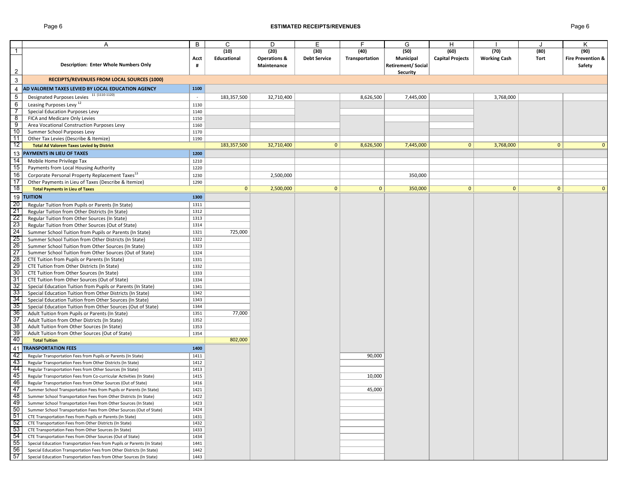### Page 6 **ESTIMATED RECEIPTS/REVENUES** Page 6

|                  | Α                                                                       | В      | C            | D                       | Е                   |                | G                        | н                       |                     |              | Κ                            |
|------------------|-------------------------------------------------------------------------|--------|--------------|-------------------------|---------------------|----------------|--------------------------|-------------------------|---------------------|--------------|------------------------------|
| $\mathbf{1}$     |                                                                         |        | (10)         | (20)                    | (30)                | (40)           | (50)                     | (60)                    | (70)                | (80)         | (90)                         |
|                  |                                                                         | Acct   | Educational  | <b>Operations &amp;</b> | <b>Debt Service</b> | Transportation | Municipal                | <b>Capital Projects</b> | <b>Working Cash</b> | Tort         | <b>Fire Prevention &amp;</b> |
|                  | <b>Description: Enter Whole Numbers Only</b>                            | #      |              | Maintenance             |                     |                | <b>Retirement/Social</b> |                         |                     |              | Safety                       |
| $\overline{2}$   |                                                                         |        |              |                         |                     |                | Security                 |                         |                     |              |                              |
| $\mathbf{3}$     |                                                                         |        |              |                         |                     |                |                          |                         |                     |              |                              |
|                  | RECEIPTS/REVENUES FROM LOCAL SOURCES (1000)                             |        |              |                         |                     |                |                          |                         |                     |              |                              |
| $\overline{4}$   | AD VALOREM TAXES LEVIED BY LOCAL EDUCATION AGENCY                       | 1100   |              |                         |                     |                |                          |                         |                     |              |                              |
| $\overline{5}$   | Designated Purposes Levies <sup>11 (1110-1120)</sup>                    | $\sim$ | 183,357,500  | 32,710,400              |                     | 8,626,500      | 7,445,000                |                         | 3,768,000           |              |                              |
| 6                | Leasing Purposes Levy <sup>12</sup>                                     | 1130   |              |                         |                     |                |                          |                         |                     |              |                              |
| 7                | Special Education Purposes Levy                                         | 1140   |              |                         |                     |                |                          |                         |                     |              |                              |
| $\boldsymbol{8}$ | FICA and Medicare Only Levies                                           | 1150   |              |                         |                     |                |                          |                         |                     |              |                              |
| $\overline{9}$   | Area Vocational Construction Purposes Levy                              | 1160   |              |                         |                     |                |                          |                         |                     |              |                              |
| 10               | Summer School Purposes Levy                                             | 1170   |              |                         |                     |                |                          |                         |                     |              |                              |
| 11               | Other Tax Levies (Describe & Itemize)                                   | 1190   |              |                         |                     |                |                          |                         |                     |              |                              |
| 12               | <b>Total Ad Valorem Taxes Levied by District</b>                        |        | 183,357,500  | 32,710,400              | $\mathbf{0}$        | 8,626,500      | 7,445,000                | $\mathbf{0}$            | 3,768,000           | $\mathbf{0}$ | $\mathbf{0}$                 |
|                  |                                                                         |        |              |                         |                     |                |                          |                         |                     |              |                              |
| 13               | PAYMENTS IN LIEU OF TAXES                                               | 1200   |              |                         |                     |                |                          |                         |                     |              |                              |
| 14               | Mobile Home Privilege Tax                                               | 1210   |              |                         |                     |                |                          |                         |                     |              |                              |
| 15               | Payments from Local Housing Authority                                   | 1220   |              |                         |                     |                |                          |                         |                     |              |                              |
| 16               | Corporate Personal Property Replacement Taxes <sup>13</sup>             | 1230   |              | 2,500,000               |                     |                | 350,000                  |                         |                     |              |                              |
| 17               | Other Payments in Lieu of Taxes (Describe & Itemize)                    | 1290   |              |                         |                     |                |                          |                         |                     |              |                              |
| 18               | <b>Total Payments in Lieu of Taxes</b>                                  |        | $\mathbf{0}$ | 2,500,000               | $\overline{0}$      | $\mathbf{0}$   | 350,000                  | 0                       | $\overline{0}$      | 0            | $\mathbf{0}$                 |
| 19               | <b>TUITION</b>                                                          | 1300   |              |                         |                     |                |                          |                         |                     |              |                              |
| 20               |                                                                         | 1311   |              |                         |                     |                |                          |                         |                     |              |                              |
| 21               | Regular Tuition from Pupils or Parents (In State)                       | 1312   |              |                         |                     |                |                          |                         |                     |              |                              |
| $\overline{22}$  | Regular Tuition from Other Districts (In State)                         |        |              |                         |                     |                |                          |                         |                     |              |                              |
|                  | Regular Tuition from Other Sources (In State)                           | 1313   |              |                         |                     |                |                          |                         |                     |              |                              |
| 23               | Regular Tuition from Other Sources (Out of State)                       | 1314   |              |                         |                     |                |                          |                         |                     |              |                              |
| 24               | Summer School Tuition from Pupils or Parents (In State)                 | 1321   | 725,000      |                         |                     |                |                          |                         |                     |              |                              |
| 25               | Summer School Tuition from Other Districts (In State)                   | 1322   |              |                         |                     |                |                          |                         |                     |              |                              |
| 26               | Summer School Tuition from Other Sources (In State)                     | 1323   |              |                         |                     |                |                          |                         |                     |              |                              |
| 27               | Summer School Tuition from Other Sources (Out of State)                 | 1324   |              |                         |                     |                |                          |                         |                     |              |                              |
| 28               | CTE Tuition from Pupils or Parents (In State)                           | 1331   |              |                         |                     |                |                          |                         |                     |              |                              |
| 29               | CTE Tuition from Other Districts (In State)                             | 1332   |              |                         |                     |                |                          |                         |                     |              |                              |
| 30               | CTE Tuition from Other Sources (In State)                               | 1333   |              |                         |                     |                |                          |                         |                     |              |                              |
| 31               | CTE Tuition from Other Sources (Out of State)                           | 1334   |              |                         |                     |                |                          |                         |                     |              |                              |
| 32               | Special Education Tuition from Pupils or Parents (In State)             | 1341   |              |                         |                     |                |                          |                         |                     |              |                              |
| 33               | Special Education Tuition from Other Districts (In State)               | 1342   |              |                         |                     |                |                          |                         |                     |              |                              |
| 34               | Special Education Tuition from Other Sources (In State)                 | 1343   |              |                         |                     |                |                          |                         |                     |              |                              |
| 35               | Special Education Tuition from Other Sources (Out of State)             | 1344   |              |                         |                     |                |                          |                         |                     |              |                              |
| 36               | Adult Tuition from Pupils or Parents (In State)                         | 1351   | 77,000       |                         |                     |                |                          |                         |                     |              |                              |
| 37               | Adult Tuition from Other Districts (In State)                           | 1352   |              |                         |                     |                |                          |                         |                     |              |                              |
| 38               | Adult Tuition from Other Sources (In State)                             | 1353   |              |                         |                     |                |                          |                         |                     |              |                              |
| 39               | Adult Tuition from Other Sources (Out of State)                         | 1354   |              |                         |                     |                |                          |                         |                     |              |                              |
| 40               | <b>Total Tuition</b>                                                    |        | 802,000      |                         |                     |                |                          |                         |                     |              |                              |
|                  |                                                                         |        |              |                         |                     |                |                          |                         |                     |              |                              |
| 41               | <b>TRANSPORTATION FEES</b>                                              | 1400   |              |                         |                     |                |                          |                         |                     |              |                              |
| -42              | Regular Transportation Fees from Pupils or Parents (In State)           | 1411   |              |                         |                     | 90,000         |                          |                         |                     |              |                              |
| 43               | Regular Transportation Fees from Other Districts (In State)             | 1412   |              |                         |                     |                |                          |                         |                     |              |                              |
| 44               | Regular Transportation Fees from Other Sources (In State)               | 1413   |              |                         |                     |                |                          |                         |                     |              |                              |
| 45               | Regular Transportation Fees from Co-curricular Activities (In State)    | 1415   |              |                         |                     | 10,000         |                          |                         |                     |              |                              |
| 46               | Regular Transportation Fees from Other Sources (Out of State)           | 1416   |              |                         |                     |                |                          |                         |                     |              |                              |
| -47              | Summer School Transportation Fees from Pupils or Parents (In State)     | 1421   |              |                         |                     | 45,000         |                          |                         |                     |              |                              |
| 48               | Summer School Transportation Fees from Other Districts (In State)       | 1422   |              |                         |                     |                |                          |                         |                     |              |                              |
| 49               | Summer School Transportation Fees from Other Sources (In State)         | 1423   |              |                         |                     |                |                          |                         |                     |              |                              |
| 50               | Summer School Transportation Fees from Other Sources (Out of State)     | 1424   |              |                         |                     |                |                          |                         |                     |              |                              |
| 51               | CTE Transportation Fees from Pupils or Parents (In State)               | 1431   |              |                         |                     |                |                          |                         |                     |              |                              |
| 52               | CTE Transportation Fees from Other Districts (In State)                 | 1432   |              |                         |                     |                |                          |                         |                     |              |                              |
| 53               | CTE Transportation Fees from Other Sources (In State)                   | 1433   |              |                         |                     |                |                          |                         |                     |              |                              |
| 54               | CTE Transportation Fees from Other Sources (Out of State)               | 1434   |              |                         |                     |                |                          |                         |                     |              |                              |
| 55               | Special Education Transportation Fees from Pupils or Parents (In State) | 1441   |              |                         |                     |                |                          |                         |                     |              |                              |
| 56               | Special Education Transportation Fees from Other Districts (In State)   | 1442   |              |                         |                     |                |                          |                         |                     |              |                              |
| 57               | Special Education Transportation Fees from Other Sources (In State)     | 1443   |              |                         |                     |                |                          |                         |                     |              |                              |
|                  |                                                                         |        |              |                         |                     |                |                          |                         |                     |              |                              |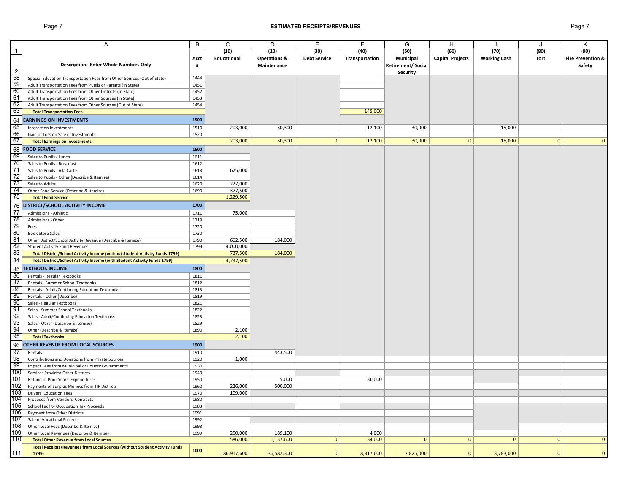## Page 7 **ESTIMATED RECEIPTS/REVENUES** Page 7

|                 | Α                                                                           | B              | C                  | D                       | E                   | F              | G                        | H                       |                     | $\cdot$        | K                            |
|-----------------|-----------------------------------------------------------------------------|----------------|--------------------|-------------------------|---------------------|----------------|--------------------------|-------------------------|---------------------|----------------|------------------------------|
| $\mathbf{1}$    |                                                                             |                | (10)               | (20)                    | (30)                | (40)           | (50)                     | (60)                    | (70)                | (80)           | (90)                         |
|                 |                                                                             | Acct           | <b>Educational</b> | <b>Operations &amp;</b> | <b>Debt Service</b> | Transportation | Municipal                | <b>Capital Projects</b> | <b>Working Cash</b> | Tort           | <b>Fire Prevention &amp;</b> |
|                 |                                                                             |                |                    |                         |                     |                |                          |                         |                     |                |                              |
|                 | Description: Enter Whole Numbers Only                                       | $\pmb{\sharp}$ |                    | Maintenance             |                     |                | <b>Retirement/Social</b> |                         |                     |                | Safety                       |
| $\overline{2}$  |                                                                             |                |                    |                         |                     |                | Security                 |                         |                     |                |                              |
| $\overline{58}$ | Special Education Transportation Fees from Other Sources (Out of State)     | 1444           |                    |                         |                     |                |                          |                         |                     |                |                              |
| 59              | Adult Transportation Fees from Pupils or Parents (In State)                 | 1451           |                    |                         |                     |                |                          |                         |                     |                |                              |
| 60              | Adult Transportation Fees from Other Districts (In State)                   | 1452           |                    |                         |                     |                |                          |                         |                     |                |                              |
| 61              | Adult Transportation Fees from Other Sources (In State)                     | 1453           |                    |                         |                     |                |                          |                         |                     |                |                              |
| 62              | Adult Transportation Fees from Other Sources (Out of State)                 | 1454           |                    |                         |                     |                |                          |                         |                     |                |                              |
| $\overline{63}$ |                                                                             |                |                    |                         |                     | 145,000        |                          |                         |                     |                |                              |
|                 | <b>Total Transportation Fees</b>                                            |                |                    |                         |                     |                |                          |                         |                     |                |                              |
| 64              | <b>EARNINGS ON INVESTMENTS</b>                                              | 1500           |                    |                         |                     |                |                          |                         |                     |                |                              |
| 65              | Interest on Investments                                                     | 1510           | 203,000            | 50,300                  |                     | 12,100         | 30,000                   |                         | 15,000              |                |                              |
| 66              | Gain or Loss on Sale of Investments                                         | 1520           |                    |                         |                     |                |                          |                         |                     |                |                              |
| -67             | <b>Total Earnings on Investments</b>                                        |                | 203,000            | 50,300                  | $\overline{0}$      | 12,100         | 30,000                   | $\overline{0}$          | 15,000              | $\overline{0}$ | $\overline{0}$               |
|                 |                                                                             |                |                    |                         |                     |                |                          |                         |                     |                |                              |
| 68              | <b>FOOD SERVICE</b>                                                         | 1600           |                    |                         |                     |                |                          |                         |                     |                |                              |
| 69              | Sales to Pupils - Lunch                                                     | 1611           |                    |                         |                     |                |                          |                         |                     |                |                              |
| 70              | Sales to Pupils - Breakfast                                                 | 1612           |                    |                         |                     |                |                          |                         |                     |                |                              |
| 71              | Sales to Pupils - A la Carte                                                | 1613           | 625,000            |                         |                     |                |                          |                         |                     |                |                              |
| 72              | Sales to Pupils - Other (Describe & Itemize)                                | 1614           |                    |                         |                     |                |                          |                         |                     |                |                              |
| 73              |                                                                             |                |                    |                         |                     |                |                          |                         |                     |                |                              |
|                 | Sales to Adults                                                             | 1620           | 227,000            |                         |                     |                |                          |                         |                     |                |                              |
| 74              | Other Food Service (Describe & Itemize)                                     | 1690           | 377,500            |                         |                     |                |                          |                         |                     |                |                              |
| 75              | <b>Total Food Service</b>                                                   |                | 1,229,500          |                         |                     |                |                          |                         |                     |                |                              |
| 76              | DISTRICT/SCHOOL ACTIVITY INCOME                                             | 1700           |                    |                         |                     |                |                          |                         |                     |                |                              |
| 77              |                                                                             | 1711           | 75,000             |                         |                     |                |                          |                         |                     |                |                              |
| 78              | Admissions - Athletic                                                       |                |                    |                         |                     |                |                          |                         |                     |                |                              |
|                 | Admissions - Other                                                          | 1719           |                    |                         |                     |                |                          |                         |                     |                |                              |
| 79              | Fees                                                                        | 1720           |                    |                         |                     |                |                          |                         |                     |                |                              |
| 80              | <b>Book Store Sales</b>                                                     | 1730           |                    |                         |                     |                |                          |                         |                     |                |                              |
| 81              | Other District/School Activity Revenue (Describe & Itemize)                 | 1790           | 662,500            | 184,000                 |                     |                |                          |                         |                     |                |                              |
| 82              | <b>Student Activity Fund Revenues</b>                                       | 1799           | 4,000,000          |                         |                     |                |                          |                         |                     |                |                              |
| 83              | Total District/School Activity Income (without Student Activity Funds 1799) |                | 737,500            | 184,000                 |                     |                |                          |                         |                     |                |                              |
| 84              | Total District/School Activity Income (with Student Activity Funds 1799)    |                | 4,737,500          |                         |                     |                |                          |                         |                     |                |                              |
|                 |                                                                             |                |                    |                         |                     |                |                          |                         |                     |                |                              |
| 85              | <b>TEXTBOOK INCOME</b>                                                      | 1800           |                    |                         |                     |                |                          |                         |                     |                |                              |
| 86              | Rentals - Regular Textbooks                                                 | 1811           |                    |                         |                     |                |                          |                         |                     |                |                              |
| 87              | Rentals - Summer School Textbooks                                           | 1812           |                    |                         |                     |                |                          |                         |                     |                |                              |
| 88              | Rentals - Adult/Continuing Education Textbooks                              | 1813           |                    |                         |                     |                |                          |                         |                     |                |                              |
| 89              | Rentals - Other (Describe)                                                  | 1819           |                    |                         |                     |                |                          |                         |                     |                |                              |
| 90              | Sales - Regular Textbooks                                                   | 1821           |                    |                         |                     |                |                          |                         |                     |                |                              |
| -91             | Sales - Summer School Textbooks                                             | 1822           |                    |                         |                     |                |                          |                         |                     |                |                              |
| 92              |                                                                             | 1823           |                    |                         |                     |                |                          |                         |                     |                |                              |
|                 | Sales - Adult/Continuing Education Textbooks                                |                |                    |                         |                     |                |                          |                         |                     |                |                              |
| 93              | Sales - Other (Describe & Itemize)                                          | 1829           |                    |                         |                     |                |                          |                         |                     |                |                              |
| 94              | Other (Describe & Itemize)                                                  | 1890           | 2,100              |                         |                     |                |                          |                         |                     |                |                              |
| 95              | <b>Total Textbooks</b>                                                      |                | 2,100              |                         |                     |                |                          |                         |                     |                |                              |
| 96              | OTHER REVENUE FROM LOCAL SOURCES                                            | 1900           |                    |                         |                     |                |                          |                         |                     |                |                              |
| 97              | Rentals                                                                     | 1910           |                    | 443,500                 |                     |                |                          |                         |                     |                |                              |
| 98              | Contributions and Donations from Private Sources                            | 1920           | 1,000              |                         |                     |                |                          |                         |                     |                |                              |
|                 |                                                                             |                |                    |                         |                     |                |                          |                         |                     |                |                              |
| 99              | Impact Fees from Municipal or County Governments                            | 1930           |                    |                         |                     |                |                          |                         |                     |                |                              |
| 100             | Services Provided Other Districts                                           | 1940           |                    |                         |                     |                |                          |                         |                     |                |                              |
| 101             | Refund of Prior Years' Expenditures                                         | 1950           |                    | 5,000                   |                     | 30,000         |                          |                         |                     |                |                              |
| 102             | Payments of Surplus Moneys from TIF Districts                               | 1960           | 226,000            | 500,000                 |                     |                |                          |                         |                     |                |                              |
| 103             | Drivers' Education Fees                                                     | 1970           | 109,000            |                         |                     |                |                          |                         |                     |                |                              |
| 104             | Proceeds from Vendors' Contracts                                            | 1980           |                    |                         |                     |                |                          |                         |                     |                |                              |
| 105             | School Facility Occupation Tax Proceeds                                     | 1983           |                    |                         |                     |                |                          |                         |                     |                |                              |
| 106             | Payment from Other Districts                                                | 1991           |                    |                         |                     |                |                          |                         |                     |                |                              |
| 107             |                                                                             | 1992           |                    |                         |                     |                |                          |                         |                     |                |                              |
| 108             | Sale of Vocational Projects                                                 |                |                    |                         |                     |                |                          |                         |                     |                |                              |
|                 | Other Local Fees (Describe & Itemize)                                       | 1993           |                    |                         |                     |                |                          |                         |                     |                |                              |
| 109             | Other Local Revenues (Describe & Itemize)                                   | 1999           | 250,000            | 189,100                 |                     | 4,000          |                          |                         |                     |                |                              |
| 110             | <b>Total Other Revenue from Local Sources</b>                               |                | 586,000            | 1,137,600               | $\mathbf{0}$        | 34,000         | $\mathbf{0}$             | $\mathbf{0}$            | $\mathbf{0}$        | $\overline{0}$ | $\mathbf{0}$                 |
|                 | Total Receipts/Revenues from Local Sources (without Student Activity Funds  |                |                    |                         |                     |                |                          |                         |                     |                |                              |
| 111             | 1799)                                                                       | 1000           | 186,917,600        | 36,582,300              | $\Omega$            | 8,817,600      | 7,825,000                | $\mathbf{0}$            | 3,783,000           | $\Omega$       | $\Omega$                     |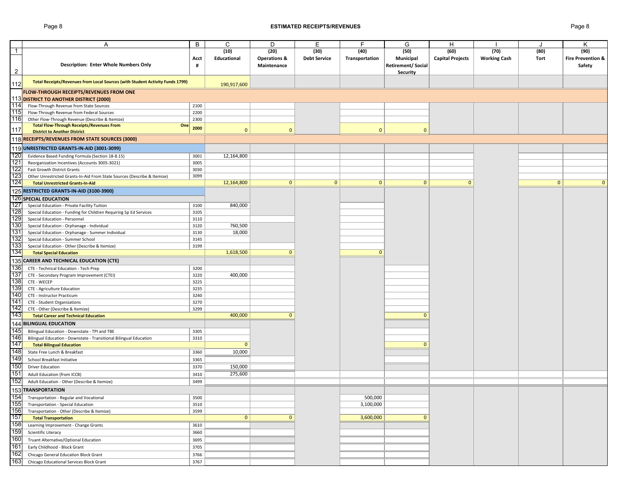## Page 8 **ESTIMATED RECEIPTS/REVENUES** Page 8

|                   | Α                                                                                                       | B            | C                  | D                       | Е                   | F              | G                        | н                       |                     |                | Κ                            |
|-------------------|---------------------------------------------------------------------------------------------------------|--------------|--------------------|-------------------------|---------------------|----------------|--------------------------|-------------------------|---------------------|----------------|------------------------------|
| $\overline{1}$    |                                                                                                         |              | (10)               | (20)                    | (30)                | (40)           | (50)                     | (60)                    | (70)                | (80)           | (90)                         |
|                   |                                                                                                         | Acct         | <b>Educational</b> | <b>Operations &amp;</b> | <b>Debt Service</b> | Transportation | Municipal                | <b>Capital Projects</b> | <b>Working Cash</b> | <b>Tort</b>    | <b>Fire Prevention &amp;</b> |
|                   | <b>Description: Enter Whole Numbers Only</b>                                                            | #            |                    | Maintenance             |                     |                | <b>Retirement/Social</b> |                         |                     |                | Safety                       |
| $\overline{2}$    |                                                                                                         |              |                    |                         |                     |                | <b>Security</b>          |                         |                     |                |                              |
|                   | <b>Total Receipts/Revenues from Local Sources (with Student Activity Funds 1799)</b>                    |              |                    |                         |                     |                |                          |                         |                     |                |                              |
| 112               |                                                                                                         |              | 190,917,600        |                         |                     |                |                          |                         |                     |                |                              |
|                   | FLOW-THROUGH RECEIPTS/REVENUES FROM ONE                                                                 |              |                    |                         |                     |                |                          |                         |                     |                |                              |
|                   | 113 DISTRICT TO ANOTHER DISTRICT (2000)                                                                 |              |                    |                         |                     |                |                          |                         |                     |                |                              |
| 114               | Flow-Through Revenue from State Sources                                                                 | 2100         |                    |                         |                     |                |                          |                         |                     |                |                              |
| 115               | Flow-Through Revenue from Federal Sources                                                               | 2200         |                    |                         |                     |                |                          |                         |                     |                |                              |
| 116               | Other Flow-Through Revenue (Describe & Itemize)<br><b>Total Flow-Through Receipts/Revenues From</b>     | 2300         |                    |                         |                     |                |                          |                         |                     |                |                              |
| 117               | One<br><b>District to Another District</b>                                                              | 2000         | $\mathbf{0}$       | $\mathbf{0}$            |                     | $\mathbf{0}$   | $\mathbf{0}$             |                         |                     |                |                              |
|                   | 118 RECEIPTS/REVENUES FROM STATE SOURCES (3000)                                                         |              |                    |                         |                     |                |                          |                         |                     |                |                              |
|                   |                                                                                                         |              |                    |                         |                     |                |                          |                         |                     |                |                              |
| 119               | UNRESTRICTED GRANTS-IN-AID (3001-3099)                                                                  |              |                    |                         |                     |                |                          |                         |                     |                |                              |
| 120<br>121        | Evidence Based Funding Formula (Section 18-8.15)                                                        | 3001         | 12,164,800         |                         |                     |                |                          |                         |                     |                |                              |
|                   | Reorganization Incentives (Accounts 3005-3021)                                                          | 3005         |                    |                         |                     |                |                          |                         |                     |                |                              |
| $\frac{122}{123}$ | Fast Growth District Grants<br>Other Unrestricted Grants-In-Aid From State Sources (Describe & Itemize) | 3030<br>3099 |                    |                         |                     |                |                          |                         |                     |                |                              |
|                   | <b>Total Unrestricted Grants-In-Aid</b>                                                                 |              | 12,164,800         | 0                       | 0                   | $\mathbf{0}$   | $\mathbf{0}$             | $\mathbf{0}$            |                     | $\overline{0}$ | $\mathbf{0}$                 |
| $\frac{124}{125}$ | RESTRICTED GRANTS-IN-AID (3100-3900)                                                                    |              |                    |                         |                     |                |                          |                         |                     |                |                              |
|                   | 126 SPECIAL EDUCATION                                                                                   |              |                    |                         |                     |                |                          |                         |                     |                |                              |
| 127               | Special Education - Private Facility Tuition                                                            | 3100         | 840,000            |                         |                     |                |                          |                         |                     |                |                              |
| 128               | Special Education - Funding for Children Requiring Sp Ed Services                                       | 3105         |                    |                         |                     |                |                          |                         |                     |                |                              |
|                   | Special Education - Personnel                                                                           | 3110         |                    |                         |                     |                |                          |                         |                     |                |                              |
| $\frac{129}{130}$ | Special Education - Orphanage - Individual                                                              | 3120         | 760,500            |                         |                     |                |                          |                         |                     |                |                              |
| 131<br>132        | Special Education - Orphanage - Summer Individual                                                       | 3130         | 18,000             |                         |                     |                |                          |                         |                     |                |                              |
|                   | Special Education - Summer School                                                                       | 3145         |                    |                         |                     |                |                          |                         |                     |                |                              |
| 133               | Special Education - Other (Describe & Itemize)                                                          | 3199         |                    |                         |                     |                |                          |                         |                     |                |                              |
| 134               | <b>Total Special Education</b>                                                                          |              | 1,618,500          | $\mathbf{0}$            |                     | $\mathbf{0}$   |                          |                         |                     |                |                              |
|                   | 135 CAREER AND TECHNICAL EDUCATION (CTE)                                                                |              |                    |                         |                     |                |                          |                         |                     |                |                              |
| 136               | CTE - Technical Education - Tech Prep                                                                   | 3200         |                    |                         |                     |                |                          |                         |                     |                |                              |
| 137<br>138        | CTE - Secondary Program Improvement (CTEI)                                                              | 3220         | 400,000            |                         |                     |                |                          |                         |                     |                |                              |
|                   | CTE - WECEP                                                                                             | 3225         |                    |                         |                     |                |                          |                         |                     |                |                              |
| 139               | CTE - Agriculture Education                                                                             | 3235         |                    |                         |                     |                |                          |                         |                     |                |                              |
| 140               | CTE - Instructor Practicum                                                                              | 3240         |                    |                         |                     |                |                          |                         |                     |                |                              |
| $\frac{141}{142}$ | CTE - Student Organizations<br>CTE - Other (Describe & Itemize)                                         | 3270<br>3299 |                    |                         |                     |                |                          |                         |                     |                |                              |
|                   | <b>Total Career and Technical Education</b>                                                             |              | 400,000            | $\mathbf{0}$            |                     |                | $\Omega$                 |                         |                     |                |                              |
|                   | 143 Total Career and Techn<br>144 BILINGUAL EDUCATION                                                   |              |                    |                         |                     |                |                          |                         |                     |                |                              |
| 145               | Bilingual Education - Downstate - TPI and TBE                                                           | 3305         |                    |                         |                     |                |                          |                         |                     |                |                              |
|                   | Bilingual Education - Downstate - Transitional Bilingual Education                                      | 3310         |                    |                         |                     |                |                          |                         |                     |                |                              |
| $\frac{146}{147}$ | <b>Total Bilingual Education</b>                                                                        |              | $\pmb{0}$          |                         |                     |                | $\Omega$                 |                         |                     |                |                              |
| 148               | State Free Lunch & Breakfast                                                                            | 3360         | 10,000             |                         |                     |                |                          |                         |                     |                |                              |
| $\frac{1}{149}$   | School Breakfast Initiative                                                                             | 3365         |                    |                         |                     |                |                          |                         |                     |                |                              |
| 150               | <b>Driver Education</b>                                                                                 | 3370         | 150,000            |                         |                     |                |                          |                         |                     |                |                              |
| 151               | Adult Education (from ICCB)                                                                             | 3410         | 275,600            |                         |                     |                |                          |                         |                     |                |                              |
| 152               | Adult Education - Other (Describe & Itemize)                                                            | 3499         |                    |                         |                     |                |                          |                         |                     |                |                              |
|                   |                                                                                                         |              |                    |                         |                     |                |                          |                         |                     |                |                              |
| 154               | 153 TRANSPORTATION                                                                                      |              |                    |                         |                     | 500,000        |                          |                         |                     |                |                              |
| 155               | Transportation - Regular and Vocational<br>Transportation - Special Education                           | 3500<br>3510 |                    |                         |                     | 3,100,000      |                          |                         |                     |                |                              |
| 156               | Transportation - Other (Describe & Itemize)                                                             | 3599         |                    |                         |                     |                |                          |                         |                     |                |                              |
| 157               | <b>Total Transportation</b>                                                                             |              | $\mathbf{0}$       | $\mathbf{0}$            |                     | 3,600,000      | $\mathbf{0}$             |                         |                     |                |                              |
| 158               | Learning Improvement - Change Grants                                                                    | 3610         |                    |                         |                     |                |                          |                         |                     |                |                              |
| 159               | Scientific Literacy                                                                                     | 3660         |                    |                         |                     |                |                          |                         |                     |                |                              |
| 160               | Truant Alternative/Optional Education                                                                   | 3695         |                    |                         |                     |                |                          |                         |                     |                |                              |
| 161               | Early Childhood - Block Grant                                                                           | 3705         |                    |                         |                     |                |                          |                         |                     |                |                              |
| 162               | Chicago General Education Block Grant                                                                   | 3766         |                    |                         |                     |                |                          |                         |                     |                |                              |
| 163               | Chicago Educational Services Block Grant                                                                | 3767         |                    |                         |                     |                |                          |                         |                     |                |                              |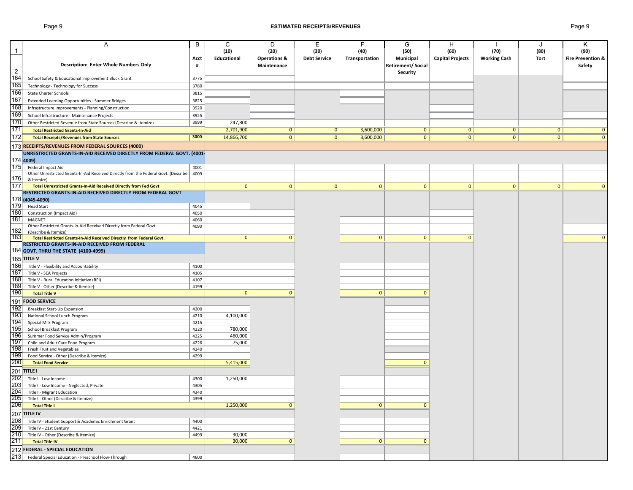### Page 9 **ESTIMATED RECEIPTS/REVENUES** Page 9

|                | Α                                                                                                                     | B            | C            | D                       | E                   | F              | G                        | Н                       |                     |              | K                            |
|----------------|-----------------------------------------------------------------------------------------------------------------------|--------------|--------------|-------------------------|---------------------|----------------|--------------------------|-------------------------|---------------------|--------------|------------------------------|
| $\vert$ 1      |                                                                                                                       |              | (10)         | (20)                    | (30)                | (40)           | (50)                     | (60)                    | (70)                | (80)         | (90)                         |
|                |                                                                                                                       | Acct         | Educational  | <b>Operations &amp;</b> | <b>Debt Service</b> | Transportation | Municipal                | <b>Capital Projects</b> | <b>Working Cash</b> | Tort         | <b>Fire Prevention &amp;</b> |
|                | <b>Description: Enter Whole Numbers Only</b>                                                                          | #            |              | Maintenance             |                     |                | <b>Retirement/Social</b> |                         |                     |              | Safety                       |
| $\overline{2}$ |                                                                                                                       |              |              |                         |                     |                | Security                 |                         |                     |              |                              |
| 164            | School Safety & Educational Improvement Block Grant                                                                   | 3775         |              |                         |                     |                |                          |                         |                     |              |                              |
| 165            |                                                                                                                       |              |              |                         |                     |                |                          |                         |                     |              |                              |
|                | Technology - Technology for Success                                                                                   | 3780         |              |                         |                     |                |                          |                         |                     |              |                              |
| 166            | <b>State Charter Schools</b>                                                                                          | 3815         |              |                         |                     |                |                          |                         |                     |              |                              |
| 167            | Extended Learning Opportunities - Summer Bridges                                                                      | 3825         |              |                         |                     |                |                          |                         |                     |              |                              |
| 168            | Infrastructure Improvements - Planning/Construction                                                                   | 3920         |              |                         |                     |                |                          |                         |                     |              |                              |
| 169            | School Infrastructure - Maintenance Projects                                                                          | 3925         |              |                         |                     |                |                          |                         |                     |              |                              |
| 170            | Other Restricted Revenue from State Sources (Describe & Itemize)                                                      | 3999         | 247,800      |                         |                     |                |                          |                         |                     |              |                              |
| 171            | <b>Total Restricted Grants-In-Aid</b>                                                                                 |              | 2,701,900    | $\mathbf{0}$            | 0                   | 3,600,000      | 0                        | 0                       | 0                   | 0            | $\mathbf{0}$                 |
| 172            | <b>Total Receipts/Revenues from State Sources</b>                                                                     | 3000         | 14,866,700   | 0                       | 0                   | 3,600,000      | 0                        | $\overline{0}$          | 0                   | 0            | $\Omega$                     |
|                |                                                                                                                       |              |              |                         |                     |                |                          |                         |                     |              |                              |
|                | 173 RECEIPTS/REVENUES FROM FEDERAL SOURCES (4000)                                                                     |              |              |                         |                     |                |                          |                         |                     |              |                              |
|                | UNRESTRICTED GRANTS-IN-AID RECEIVED DIRECTLY FROM FEDERAL GOVT. (4001-                                                |              |              |                         |                     |                |                          |                         |                     |              |                              |
|                | 174 4009)                                                                                                             |              |              |                         |                     |                |                          |                         |                     |              |                              |
| 175            | Federal Impact Aid                                                                                                    | 4001         |              |                         |                     |                |                          |                         |                     |              |                              |
|                | Other Unrestricted Grants-In-Aid Received Directly from the Federal Govt. (Describe                                   | 4009         |              |                         |                     |                |                          |                         |                     |              |                              |
| 176            | & Itemize)                                                                                                            |              |              |                         |                     |                |                          |                         |                     |              |                              |
| 177            | Total Unrestricted Grants-In-Aid Received Directly from Fed Govt                                                      |              | $\mathbf{0}$ | $\mathbf{0}$            | $\mathbf{0}$        | $\mathbf{0}$   | $\mathbf{0}$             | $\mathbf{0}$            | $\mathbf{0}$        | $\mathbf{0}$ | $\Omega$                     |
|                | RESTRICTED GRANTS-IN-AID RECEIVED DIRECTLY FROM FEDERAL GOVT                                                          |              |              |                         |                     |                |                          |                         |                     |              |                              |
|                | 178 (4045-4090)                                                                                                       |              |              |                         |                     |                |                          |                         |                     |              |                              |
| 179            | <b>Head Start</b>                                                                                                     | 4045         |              |                         |                     |                |                          |                         |                     |              |                              |
| 180            | <b>Construction (Impact Aid)</b>                                                                                      | 4050         |              |                         |                     |                |                          |                         |                     |              |                              |
| 181            | MAGNET                                                                                                                | 4060         |              |                         |                     |                |                          |                         |                     |              |                              |
| 182            | Other Restricted Grants-In-Aid Received Directly from Federal Govt.                                                   | 4090         |              |                         |                     |                |                          |                         |                     |              |                              |
| 183            | (Describe & Itemize)                                                                                                  |              | $\mathbf{0}$ | $\mathbf{0}$            |                     | $\mathbf{0}$   | $\mathbf{0}$             | $\mathbf{0}$            |                     |              | $\mathbf{0}$                 |
|                | Total Restricted Grants-In-Aid Received Directly from Federal Govt.<br>RESTRICTED GRANTS-IN-AID RECEIVED FROM FEDERAL |              |              |                         |                     |                |                          |                         |                     |              |                              |
|                | 184 GOVT. THRU THE STATE (4100-4999)                                                                                  |              |              |                         |                     |                |                          |                         |                     |              |                              |
|                |                                                                                                                       |              |              |                         |                     |                |                          |                         |                     |              |                              |
|                | 185 TITLE V                                                                                                           |              |              |                         |                     |                |                          |                         |                     |              |                              |
| 186            | Title V - Flexibility and Accountability                                                                              | 4100         |              |                         |                     |                |                          |                         |                     |              |                              |
| 187            | Title V - SEA Projects                                                                                                | 4105         |              |                         |                     |                |                          |                         |                     |              |                              |
| 188            | Title V - Rural Education Initiative (REI)                                                                            | 4107         |              |                         |                     |                |                          |                         |                     |              |                              |
| 189            | Title V - Other (Describe & Itemize)                                                                                  | 4199         |              |                         |                     |                |                          |                         |                     |              |                              |
| 190            | <b>Total Title V</b>                                                                                                  |              | $\mathbf{0}$ | $\mathbf{0}$            |                     | $\mathbf{0}$   | $\mathbf{0}$             |                         |                     |              |                              |
|                | 191 FOOD SERVICE                                                                                                      |              |              |                         |                     |                |                          |                         |                     |              |                              |
| 192            | Breakfast Start-Up Expansion                                                                                          | 4200         |              |                         |                     |                |                          |                         |                     |              |                              |
| 193            | National School Lunch Program                                                                                         | 4210         | 4,100,000    |                         |                     |                |                          |                         |                     |              |                              |
| 194            | Special Milk Program                                                                                                  | 4215         |              |                         |                     |                |                          |                         |                     |              |                              |
| 195            | School Breakfast Program                                                                                              | 4220         | 780,000      |                         |                     |                |                          |                         |                     |              |                              |
| 196            | Summer Food Service Admin/Program                                                                                     | 4225         | 460,000      |                         |                     |                |                          |                         |                     |              |                              |
| 197            | Child and Adult Care Food Program                                                                                     | 4226         | 75,000       |                         |                     |                |                          |                         |                     |              |                              |
| 198            | Fresh Fruit and Vegetables                                                                                            | 4240         |              |                         |                     |                |                          |                         |                     |              |                              |
| 199            | Food Service - Other (Describe & Itemize)                                                                             | 4299         |              |                         |                     |                |                          |                         |                     |              |                              |
| 200            | <b>Total Food Service</b>                                                                                             |              | 5,415,000    |                         |                     |                | $\mathbf{0}$             |                         |                     |              |                              |
|                | 201 TITLE I                                                                                                           |              |              |                         |                     |                |                          |                         |                     |              |                              |
| 202            |                                                                                                                       |              | 1,250,000    |                         |                     |                |                          |                         |                     |              |                              |
| 203            | Title I - Low Income<br>Title I - Low Income - Neglected, Private                                                     | 4300<br>4305 |              |                         |                     |                |                          |                         |                     |              |                              |
| 204            | Title I - Migrant Education                                                                                           | 4340         |              |                         |                     |                |                          |                         |                     |              |                              |
|                | 205 Title I - Other (Describe & Itemize)                                                                              | 4399         |              |                         |                     |                |                          |                         |                     |              |                              |
| 206            |                                                                                                                       |              | 1,250,000    | $\mathbf{0}$            |                     | $\mathbf{0}$   | $\mathbf{0}$             |                         |                     |              |                              |
|                | <b>Total Title I</b>                                                                                                  |              |              |                         |                     |                |                          |                         |                     |              |                              |
|                | <b>207 TITLE IV</b>                                                                                                   |              |              |                         |                     |                |                          |                         |                     |              |                              |
|                | 208 Title IV - Student Support & Academic Enrichment Grant                                                            | 4400         |              |                         |                     |                |                          |                         |                     |              |                              |
| 209            | Title IV - 21st Century                                                                                               | 4421         |              |                         |                     |                |                          |                         |                     |              |                              |
| 210            | Title IV - Other (Describe & Itemize)                                                                                 | 4499         | 30,000       |                         |                     |                |                          |                         |                     |              |                              |
| 211            | <b>Total Title IV</b>                                                                                                 |              | 30,000       | $\mathbf{0}$            |                     | $\mathbf{0}$   | $\mathbf{0}$             |                         |                     |              |                              |
|                | 212 FEDERAL - SPECIAL EDUCATION                                                                                       |              |              |                         |                     |                |                          |                         |                     |              |                              |
|                | 213 Federal Special Education - Preschool Flow-Through                                                                | 4600         |              |                         |                     |                |                          |                         |                     |              |                              |
|                |                                                                                                                       |              |              |                         |                     |                |                          |                         |                     |              |                              |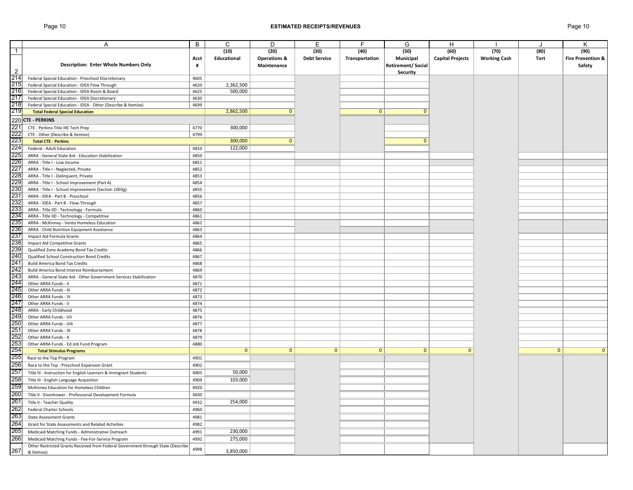## **Page 10** Page 10 **Page 10 Page 10 Page 10 Page 10 Page 10 Page 10 Page 10 Page 10**

|                                                                                          | $\overline{A}$                                                                                                  | B            | C              | D                       | E                   | F              | G                        | H                       |                     | . I          | K                            |
|------------------------------------------------------------------------------------------|-----------------------------------------------------------------------------------------------------------------|--------------|----------------|-------------------------|---------------------|----------------|--------------------------|-------------------------|---------------------|--------------|------------------------------|
| $\overline{1}$                                                                           |                                                                                                                 |              | (10)           | (20)                    | (30)                | (40)           | (50)                     | (60)                    | (70)                | (80)         | (90)                         |
|                                                                                          |                                                                                                                 | Acct         | Educational    | <b>Operations &amp;</b> | <b>Debt Service</b> | Transportation | Municipal                | <b>Capital Projects</b> | <b>Working Cash</b> | <b>Tort</b>  | <b>Fire Prevention &amp;</b> |
|                                                                                          | <b>Description: Enter Whole Numbers Only</b>                                                                    | #            |                | Maintenance             |                     |                | <b>Retirement/Social</b> |                         |                     |              | Safety                       |
|                                                                                          |                                                                                                                 |              |                |                         |                     |                |                          |                         |                     |              |                              |
|                                                                                          | Federal Special Education - Preschool Discretionary                                                             | 4605         |                |                         |                     |                | Security                 |                         |                     |              |                              |
| 214<br>215                                                                               |                                                                                                                 |              | 2,362,500      |                         |                     |                |                          |                         |                     |              |                              |
| 216                                                                                      | Federal Special Education - IDEA Flow Through                                                                   | 4620         | 500,000        |                         |                     |                |                          |                         |                     |              |                              |
| 217                                                                                      | Federal Special Education - IDEA Room & Board                                                                   | 4625<br>4630 |                |                         |                     |                |                          |                         |                     |              |                              |
| 218                                                                                      | Federal Special Education - IDEA Discretionary<br>Federal Special Education - IDEA - Other (Describe & Itemize) | 4699         |                |                         |                     |                |                          |                         |                     |              |                              |
| 219                                                                                      |                                                                                                                 |              | 2,862,500      | $\mathbf{0}$            |                     | $\mathbf{0}$   | $\mathbf{0}$             |                         |                     |              |                              |
|                                                                                          | <b>Total Federal Special Education</b>                                                                          |              |                |                         |                     |                |                          |                         |                     |              |                              |
|                                                                                          | 220 CTE - PERKINS                                                                                               |              |                |                         |                     |                |                          |                         |                     |              |                              |
|                                                                                          | CTE - Perkins-Title IIIE Tech Prep                                                                              | 4770         | 300,000        |                         |                     |                |                          |                         |                     |              |                              |
|                                                                                          | CTE - Other (Describe & Itemize)                                                                                | 4799         |                |                         |                     |                |                          |                         |                     |              |                              |
|                                                                                          | <b>Total CTE - Perkins</b>                                                                                      |              | 300,000        | $\mathbf{0}$            |                     |                | $\mathbf{0}$             |                         |                     |              |                              |
|                                                                                          | Federal - Adult Education                                                                                       | 4810         | 122,000        |                         |                     |                |                          |                         |                     |              |                              |
|                                                                                          | ARRA - General State Aid - Education Stabilization                                                              | 4850         |                |                         |                     |                |                          |                         |                     |              |                              |
| 221<br>2222<br>223<br>224<br>225<br>226<br>226<br>227<br>229<br>230<br>233<br>233<br>233 | ARRA - Title I - Low Income                                                                                     | 4851         |                |                         |                     |                |                          |                         |                     |              |                              |
|                                                                                          | ARRA - Title I - Neglected, Private                                                                             | 4852         |                |                         |                     |                |                          |                         |                     |              |                              |
|                                                                                          | ARRA - Title I - Delinquent, Private                                                                            | 4853         |                |                         |                     |                |                          |                         |                     |              |                              |
|                                                                                          | ARRA - Title I - School Improvement (Part A)                                                                    | 4854         |                |                         |                     |                |                          |                         |                     |              |                              |
|                                                                                          | ARRA - Title I - School Improvement (Section 1003g)                                                             | 4855         |                |                         |                     |                |                          |                         |                     |              |                              |
|                                                                                          | ARRA - IDEA - Part B - Preschool                                                                                | 4856         |                |                         |                     |                |                          |                         |                     |              |                              |
|                                                                                          | ARRA - IDEA - Part B - Flow-Through                                                                             | 4857         |                |                         |                     |                |                          |                         |                     |              |                              |
|                                                                                          | ARRA - Title IID - Technology - Formula                                                                         | 4860         |                |                         |                     |                |                          |                         |                     |              |                              |
|                                                                                          | ARRA - Title IID - Technology - Competitive                                                                     | 4861         |                |                         |                     |                |                          |                         |                     |              |                              |
|                                                                                          | ARRA - McKinney - Vento Homeless Education                                                                      | 4862         |                |                         |                     |                |                          |                         |                     |              |                              |
|                                                                                          | ARRA - Child Nutrition Equipment Assistance                                                                     | 4863         |                |                         |                     |                |                          |                         |                     |              |                              |
| 234<br>235<br>236<br>237<br>238<br>239<br>239                                            | Impact Aid Formula Grants                                                                                       | 4864         |                |                         |                     |                |                          |                         |                     |              |                              |
|                                                                                          | Impact Aid Competitive Grants                                                                                   | 4865         |                |                         |                     |                |                          |                         |                     |              |                              |
|                                                                                          | Qualified Zone Academy Bond Tax Credits                                                                         | 4866         |                |                         |                     |                |                          |                         |                     |              |                              |
|                                                                                          | Qualified School Construction Bond Credits                                                                      | 4867         |                |                         |                     |                |                          |                         |                     |              |                              |
| 241                                                                                      | <b>Build America Bond Tax Credits</b>                                                                           | 4868         |                |                         |                     |                |                          |                         |                     |              |                              |
| 242                                                                                      | Build America Bond Interest Reimbursement                                                                       | 4869         |                |                         |                     |                |                          |                         |                     |              |                              |
|                                                                                          | ARRA - General State Aid - Other Government Services Stabilization                                              | 4870         |                |                         |                     |                |                          |                         |                     |              |                              |
|                                                                                          | Other ARRA Funds - II                                                                                           | 4871         |                |                         |                     |                |                          |                         |                     |              |                              |
| 243<br>244<br>245                                                                        | Other ARRA Funds - III                                                                                          | 4872         |                |                         |                     |                |                          |                         |                     |              |                              |
| 246                                                                                      | Other ARRA Funds - IV                                                                                           | 4873         |                |                         |                     |                |                          |                         |                     |              |                              |
| 247                                                                                      | Other ARRA Funds - V                                                                                            | 4874         |                |                         |                     |                |                          |                         |                     |              |                              |
| 248<br>249<br>250<br>253<br>253<br>254<br>255                                            | ARRA - Early Childhood                                                                                          | 4875         |                |                         |                     |                |                          |                         |                     |              |                              |
|                                                                                          | Other ARRA Funds - VII                                                                                          | 4876         |                |                         |                     |                |                          |                         |                     |              |                              |
|                                                                                          | Other ARRA Funds - VIII                                                                                         | 4877         |                |                         |                     |                |                          |                         |                     |              |                              |
|                                                                                          | Other ARRA Funds - IX                                                                                           | 4878         |                |                         |                     |                |                          |                         |                     |              |                              |
|                                                                                          | Other ARRA Funds - X                                                                                            | 4879         |                |                         |                     |                |                          |                         |                     |              |                              |
|                                                                                          | Other ARRA Funds - Ed Job Fund Program                                                                          | 4880         |                |                         |                     |                |                          |                         |                     |              |                              |
|                                                                                          | <b>Total Stimulus Programs</b>                                                                                  |              | $\overline{0}$ | $\mathbf{0}$            | 0                   | $\mathbf{0}$   | $\mathbf{0}$             | $\Omega$                |                     | $\mathbf{0}$ |                              |
|                                                                                          | Race to the Top Program                                                                                         | 4901         |                |                         |                     |                |                          |                         |                     |              |                              |
| 256<br>257                                                                               | Race to the Top - Preschool Expansion Grant                                                                     | 4902         |                |                         |                     |                |                          |                         |                     |              |                              |
|                                                                                          | Title III - Instruction for English Learners & Immigrant Students                                               | 4905         | 50,000         |                         |                     |                |                          |                         |                     |              |                              |
| 258                                                                                      | Title III - English Language Acquistion                                                                         | 4909         | 103,000        |                         |                     |                |                          |                         |                     |              |                              |
|                                                                                          | McKinney Education for Homeless Children                                                                        | 4920         |                |                         |                     |                |                          |                         |                     |              |                              |
| 259<br>260                                                                               | Title II - Eisenhower - Professional Development Formula                                                        | 4930         |                |                         |                     |                |                          |                         |                     |              |                              |
| 261                                                                                      |                                                                                                                 |              | 254,000        |                         |                     |                |                          |                         |                     |              |                              |
| 262                                                                                      | Title II - Teacher Quality                                                                                      | 4932         |                |                         |                     |                |                          |                         |                     |              |                              |
|                                                                                          | <b>Federal Charter Schools</b>                                                                                  | 4960         |                |                         |                     |                |                          |                         |                     |              |                              |
| 263                                                                                      | <b>State Assessment Grants</b>                                                                                  | 4981         |                |                         |                     |                |                          |                         |                     |              |                              |
| 264                                                                                      | Grant for State Assessments and Related Activities                                                              | 4982         |                |                         |                     |                |                          |                         |                     |              |                              |
| 265                                                                                      | Medicaid Matching Funds - Administrative Outreach                                                               | 4991         | 230,000        |                         |                     |                |                          |                         |                     |              |                              |
| 266                                                                                      | Medicaid Matching Funds - Fee-For-Service Program                                                               | 4992         | 275,000        |                         |                     |                |                          |                         |                     |              |                              |
|                                                                                          | Other Restricted Grants Received from Federal Government through State (Describe                                | 4998         |                |                         |                     |                |                          |                         |                     |              |                              |
| 267                                                                                      | & Itemize)                                                                                                      |              | 3,850,000      |                         |                     |                |                          |                         |                     |              |                              |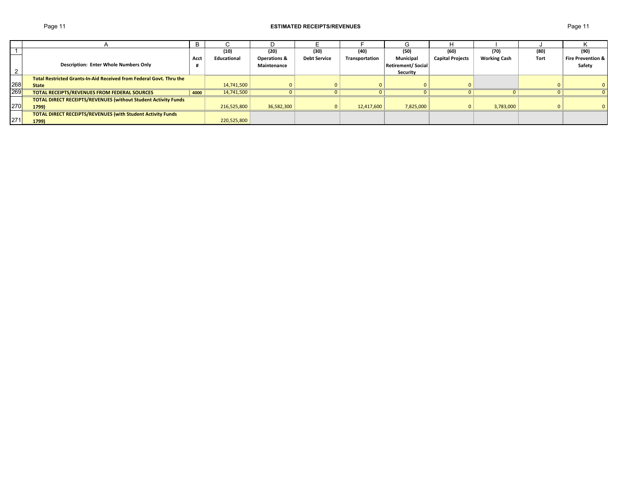## Page 11 **ESTIMATED RECEIPTS/REVENUES** Page 11

|               |                                                                       |      | (10)        | (20)                    | (30)                | (40)           | (50)              | (60)                    | (70)                | (80) | (90)                         |
|---------------|-----------------------------------------------------------------------|------|-------------|-------------------------|---------------------|----------------|-------------------|-------------------------|---------------------|------|------------------------------|
|               |                                                                       | Acct | Educational | <b>Operations &amp;</b> | <b>Debt Service</b> | Transportation | Municipal         | <b>Capital Projects</b> | <b>Working Cash</b> | Tort | <b>Fire Prevention &amp;</b> |
|               | <b>Description: Enter Whole Numbers Only</b>                          |      |             | Maintenance             |                     |                | Retirement/Social |                         |                     |      | Safety                       |
| $^{\prime}$ 2 |                                                                       |      |             |                         |                     |                | Security          |                         |                     |      |                              |
|               | Total Restricted Grants-In-Aid Received from Federal Govt. Thru the   |      |             |                         |                     |                |                   |                         |                     |      |                              |
| 268           | <b>State</b>                                                          |      | 14,741,500  |                         |                     |                |                   |                         |                     |      |                              |
| 269           | TOTAL RECEIPTS/REVENUES FROM FEDERAL SOURCES                          | 4000 | 14,741,500  |                         |                     |                |                   |                         |                     |      |                              |
|               | <b>TOTAL DIRECT RECEIPTS/REVENUES (without Student Activity Funds</b> |      |             |                         |                     |                |                   |                         |                     |      |                              |
| 270           | 1799)                                                                 |      | 216,525,800 | 36,582,300              |                     | 12,417,600     | 7,825,000         |                         | 3,783,000           |      | 0.                           |
|               | TOTAL DIRECT RECEIPTS/REVENUES (with Student Activity Funds           |      |             |                         |                     |                |                   |                         |                     |      |                              |
| 271           | 1799)                                                                 |      | 220,525,800 |                         |                     |                |                   |                         |                     |      |                              |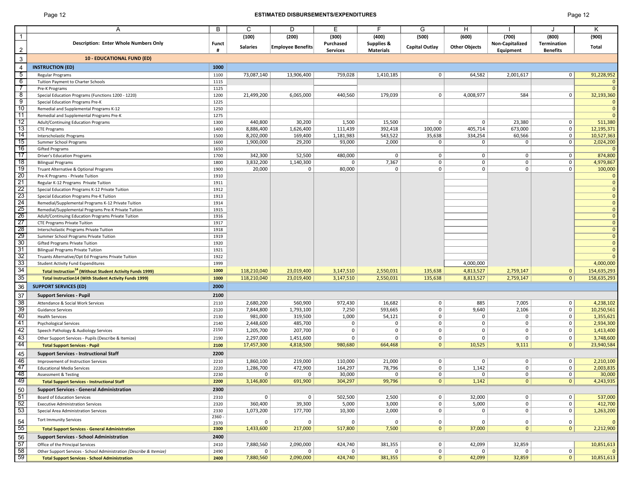#### Page 12 **ESTIMATED DISBURSEMENTS/EXPENDITURES** Page 12

|                           | Α                                                                                                           | В            | C               | D                        | Е               | F                | G              | H                          |                            |                 | κ                            |
|---------------------------|-------------------------------------------------------------------------------------------------------------|--------------|-----------------|--------------------------|-----------------|------------------|----------------|----------------------------|----------------------------|-----------------|------------------------------|
| $\mathbf{1}$              |                                                                                                             |              | (100)           | (200)                    | (300)           | (400)            | (500)          | (600)                      | (700)                      | (800)           | (900)                        |
|                           | Description: Enter Whole Numbers Only                                                                       | <b>Funct</b> | <b>Salaries</b> | <b>Employee Benefits</b> | Purchased       | Supplies &       | Capital Outlay | <b>Other Objects</b>       | Non-Capitalized            | Termination     | Total                        |
|                           |                                                                                                             | #            |                 |                          | <b>Services</b> | <b>Materials</b> |                |                            | Equipment                  | <b>Benefits</b> |                              |
| $\ensuremath{\mathsf{3}}$ | <b>10 - EDUCATIONAL FUND (ED)</b>                                                                           |              |                 |                          |                 |                  |                |                            |                            |                 |                              |
| $\overline{4}$            | <b>INSTRUCTION (ED)</b>                                                                                     | 1000         |                 |                          |                 |                  |                |                            |                            |                 |                              |
| 5                         | Regular Programs                                                                                            | 1100         | 73,087,140      | 13,906,400               | 759,028         | 1,410,185        | 0 <sup>1</sup> | 64,582                     | 2,001,617                  | 0               | 91,228,952                   |
| $6\overline{6}$           | Tuition Payment to Charter Schools                                                                          | 1115         |                 |                          |                 |                  |                |                            |                            |                 | $\mathbf 0$                  |
| $\overline{7}$            | Pre-K Programs                                                                                              | 1125         |                 |                          |                 |                  |                |                            |                            |                 | $\mathbf{0}$                 |
| $\overline{8}$            | Special Education Programs (Functions 1200 - 1220)                                                          | 1200         | 21,499,200      | 6,065,000                | 440,560         | 179,039          | 0 <sup>1</sup> | 4,008,977                  | 584                        | $\circ$         | 32,193,360                   |
| $\overline{9}$            | Special Education Programs Pre-K                                                                            | 1225         |                 |                          |                 |                  |                |                            |                            |                 | $\mathbf{0}$                 |
| 10                        | Remedial and Supplemental Programs K-12                                                                     | 1250         |                 |                          |                 |                  |                |                            |                            |                 | $\mathbf{0}$                 |
| 11                        | Remedial and Supplemental Programs Pre-K                                                                    | 1275         |                 |                          |                 |                  |                |                            |                            |                 | $\mathbf{0}$                 |
| 12                        | Adult/Continuing Education Programs                                                                         | 1300         | 440,800         | 30,200                   | 1,500           | 15,500           | 0              | 0                          | 23,380                     | 0               | 511,380                      |
| 13                        | <b>CTE Programs</b>                                                                                         | 1400         | 8,886,400       | 1,626,400                | 111,439         | 392,418          | 100,000        | 405,714                    | 673,000                    | $\mathbf 0$     | 12,195,371                   |
| 14                        | <b>Interscholastic Programs</b>                                                                             | 1500         | 8,202,000       | 169,400                  | 1,181,983       | 543,522          | 35,638         | 334,254                    | 60,566                     | $\mathbf 0$     | 10,527,363                   |
| 15                        | Summer School Programs                                                                                      | 1600         | 1,900,000       | 29,200                   | 93,000          | 2,000            | $\mathbf 0$    | $\mathbf 0$                | 0                          | 0               | 2,024,200                    |
| 16                        | Gifted Programs                                                                                             | 1650         |                 |                          |                 |                  |                |                            |                            |                 | $\mathbf 0$                  |
| 17                        | <b>Driver's Education Programs</b>                                                                          | 1700         | 342,300         | 52,500                   | 480,000         | 0                | 0              | $\mathbf 0$                | 0                          | 0               | 874,800                      |
| 18                        | <b>Bilingual Programs</b>                                                                                   | 1800         | 3,832,200       | 1,140,300                | $\mathbf 0$     | 7,367            | $\mathbf 0$    | $\mathsf 0$                | 0                          | $\mathsf{O}$    | 4,979,867                    |
| 19                        | Truant Alternative & Optional Programs                                                                      | 1900         | 20,000          | 0                        | 80,000          | 0                | $\mathbf 0$    | $\mathsf 0$                | 0                          | $\mathsf{O}$    | 100,000                      |
| 20                        | Pre-K Programs - Private Tuition                                                                            | 1910         |                 |                          |                 |                  |                |                            |                            |                 | $\mathbf{0}$                 |
| 21<br>22                  | Regular K-12 Programs Private Tuition                                                                       | 1911         |                 |                          |                 |                  |                |                            |                            |                 | $\mathbf{0}$                 |
| 23                        | Special Education Programs K-12 Private Tuition                                                             | 1912<br>1913 |                 |                          |                 |                  |                |                            |                            |                 | $\mathbf{0}$<br>$\mathbf{0}$ |
| 24                        | Special Education Programs Pre-K Tuition                                                                    | 1914         |                 |                          |                 |                  |                |                            |                            |                 | $\mathbf{0}$                 |
| 25                        | Remedial/Supplemental Programs K-12 Private Tuition<br>Remedial/Supplemental Programs Pre-K Private Tuition | 1915         |                 |                          |                 |                  |                |                            |                            |                 | $\mathbf{0}$                 |
| 26                        | Adult/Continuing Education Programs Private Tuition                                                         | 1916         |                 |                          |                 |                  |                |                            |                            |                 | $\mathbf{0}$                 |
| 27                        | <b>CTE Programs Private Tuition</b>                                                                         | 1917         |                 |                          |                 |                  |                |                            |                            |                 | $\mathbf{0}$                 |
| 28                        | Interscholastic Programs Private Tuition                                                                    | 1918         |                 |                          |                 |                  |                |                            |                            |                 | $\mathbf{0}$                 |
| 29                        | Summer School Programs Private Tuition                                                                      | 1919         |                 |                          |                 |                  |                |                            |                            |                 | $\mathbf{0}$                 |
| 30                        | Gifted Programs Private Tuition                                                                             | 1920         |                 |                          |                 |                  |                |                            |                            |                 | $\mathbf{0}$                 |
| <u>31</u>                 | <b>Bilingual Programs Private Tuition</b>                                                                   | 1921         |                 |                          |                 |                  |                |                            |                            |                 | $\mathbf{0}$                 |
| 32                        | Truants Alternative/Opt Ed Programs Private Tuition                                                         | 1922         |                 |                          |                 |                  |                |                            |                            |                 | $\mathbf{0}$                 |
| 33                        | <b>Student Activity Fund Expenditures</b>                                                                   | 1999         |                 |                          |                 |                  |                | 4,000,000                  |                            |                 | 4,000,000                    |
| $\overline{34}$           | <b>Total Instruction<sup>14</sup> (Without Student Activity Funds 1999)</b>                                 | 1000         | 118,210,040     | 23,019,400               | 3,147,510       | 2,550,031        | 135,638        | 4,813,527                  | 2,759,147                  | $\mathbf{0}$    | 154,635,293                  |
| 35                        | <b>Total Instruction14 (With Student Activity Funds 1999)</b>                                               | 1000         | 118,210,040     | 23,019,400               | 3,147,510       | 2,550,031        | 135,638        | 8,813,527                  | 2,759,147                  | $\overline{0}$  | 158,635,293                  |
| 36                        | <b>SUPPORT SERVICES (ED)</b>                                                                                | 2000         |                 |                          |                 |                  |                |                            |                            |                 |                              |
|                           |                                                                                                             |              |                 |                          |                 |                  |                |                            |                            |                 |                              |
| 37                        | <b>Support Services - Pupil</b>                                                                             | 2100         |                 |                          |                 |                  |                |                            |                            |                 |                              |
| 38                        | Attendance & Social Work Services                                                                           | 2110         | 2,680,200       | 560,900                  | 972,430         | 16,682           | 0              | 885                        | 7,005                      | 0               | 4,238,102                    |
| 39                        | <b>Guidance Services</b>                                                                                    | 2120         | 7,844,800       | 1,793,100                | 7,250           | 593,665          | 0              | 9,640                      | 2,106                      | 0               | 10,250,561                   |
| 40<br>41                  | <b>Health Services</b>                                                                                      | 2130         | 981,000         | 319,500                  | 1,000           | 54,121           | 0              | $\mathbf 0$<br>$\mathbf 0$ | $\mathbf 0$<br>$\mathbf 0$ | 0<br>0          | 1,355,621                    |
| 42                        | <b>Psychological Services</b>                                                                               | 2140<br>2150 | 2,448,600       | 485,700                  | 0               | 0                | $\mathbf 0$    |                            |                            |                 | 2,934,300                    |
|                           | Speech Pathology & Audiology Services                                                                       |              | 1,205,700       | 207,700                  | 0               | 0                | $\mathbf 0$    | $\mathbf 0$                | $\mathbf 0$                | 0               | 1,413,400                    |
| 43                        | Other Support Services - Pupils (Describe & Itemize)                                                        | 2190         | 2,297,000       | 1,451,600                | 0               | 0                | 0              | $\mathbf 0$                | $\mathbf 0$                | 0               | 3,748,600                    |
| 44                        | <b>Total Support Services - Pupil</b>                                                                       | 2100         | 17,457,300      | 4,818,500                | 980,680         | 664,468          | $\mathbf{0}$   | 10,525                     | 9,111                      | $\overline{0}$  | 23,940,584                   |
| 45                        | <b>Support Services - Instructional Staff</b>                                                               | 2200         |                 |                          |                 |                  |                |                            |                            |                 |                              |
| 46                        | <b>Improvement of Instruction Services</b>                                                                  | 2210         | 1,860,100       | 219,000                  | 110,000         | 21,000           | 0 <sup>1</sup> | 0                          | 0                          | $\overline{0}$  | 2,210,100                    |
| 47                        | <b>Educational Media Services</b>                                                                           | 2220         | 1,286,700       | 472,900                  | 164,297         | 78,796           | $\mathbf 0$    | 1,142                      | 0                          | 0               | 2,003,835                    |
| 48                        | <b>Assessment &amp; Testing</b>                                                                             | 2230         | 0               | 0                        | 30,000          | 0                | 0              | $\mathbf 0$                | 0                          | 0               | 30,000                       |
| 49                        | <b>Total Support Services - Instructional Staff</b>                                                         | 2200         | 3,146,800       | 691,900                  | 304,297         | 99,796           | 0 <sup>1</sup> | 1,142                      | $\mathbf{0}$               | 0               | 4,243,935                    |
| 50                        | <b>Support Services - General Administration</b>                                                            | 2300         |                 |                          |                 |                  |                |                            |                            |                 |                              |
| 51                        | Board of Education Services                                                                                 | 2310         | 0 <sup>1</sup>  | $\mathbf 0$              | 502,500         | 2,500            | 0 <sup>1</sup> | 32,000                     | 0                          | $\overline{0}$  | 537,000                      |
| 52                        | <b>Executive Administration Services</b>                                                                    | 2320         | 360,400         | 39,300                   | 5,000           | 3,000            | 0              | 5,000                      | 0                          | $\overline{0}$  | 412,700                      |
| 53                        | Special Area Administration Services                                                                        | 2330         | 1,073,200       | 177,700                  | 10,300          | 2,000            | 0              | 0                          | 0                          | 0               | 1,263,200                    |
|                           | <b>Tort Immunity Services</b>                                                                               | $2360 -$     |                 | $\mathbf 0$              | $\mathbf 0$     | 0                | 0              | $\mathbf 0$                | $\mathbf 0$                |                 | $\mathbf{0}$                 |
| $\frac{54}{55}$           |                                                                                                             | 2370<br>2300 | 0<br>1,433,600  | 217,000                  | 517,800         | 7,500            | 0              | 37,000                     | $\mathbf{0}$               | 0<br> 0         | 2,212,900                    |
|                           | <b>Total Support Services - General Administration</b>                                                      |              |                 |                          |                 |                  |                |                            |                            |                 |                              |
|                           | <b>Support Services - School Administration</b>                                                             | 2400         |                 |                          |                 |                  |                |                            |                            |                 |                              |
| 57                        | Office of the Principal Services                                                                            | 2410         | 7,880,560       | 2,090,000                | 424,740         | 381,355          | 0 <sup>1</sup> | 42,099                     | 32,859                     |                 | 10,851,613                   |
| 58<br>59                  | Other Support Services - School Administration (Describe & Itemize)                                         | 2490         | 0               | 0                        | 0 <sup>1</sup>  | 0                | 0              | 0                          | 0                          | 0               | $\mathbf{0}$                 |
|                           | <b>Total Support Services - School Administration</b>                                                       | 2400         | 7,880,560       | 2,090,000                | 424,740         | 381,355          | 0              | 42,099                     | 32,859                     | 0               | 10,851,613                   |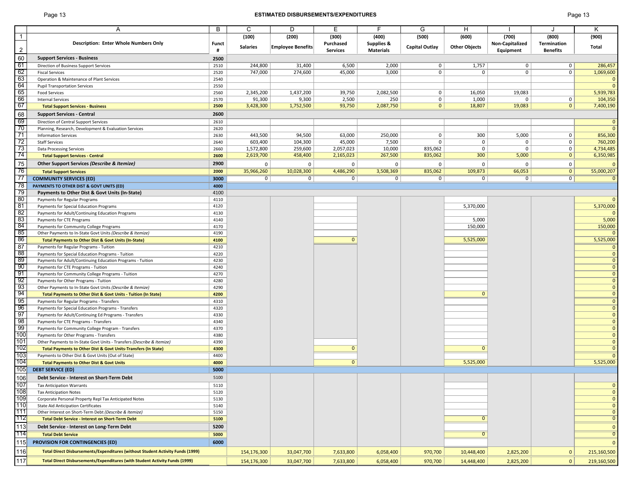#### Page 13 **ESTIMATED DISBURSEMENTS/EXPENDITURES** Page 13

|                | Α                                                                                                     | B            | C                   | D                        | F               | F                | G                     | н                    |                 |                 | K                         |
|----------------|-------------------------------------------------------------------------------------------------------|--------------|---------------------|--------------------------|-----------------|------------------|-----------------------|----------------------|-----------------|-----------------|---------------------------|
| $\overline{1}$ |                                                                                                       |              | (100)               | (200)                    | (300)           | (400)            | (500)                 | (600)                | (700)           | (800)           | (900)                     |
|                | <b>Description: Enter Whole Numbers Only</b>                                                          | Funct        | <b>Salaries</b>     | <b>Employee Benefits</b> | Purchased       | Supplies &       | <b>Capital Outlay</b> | <b>Other Objects</b> | Non-Capitalized | Termination     | Total                     |
|                |                                                                                                       | #            |                     |                          | <b>Services</b> | <b>Materials</b> |                       |                      | Equipment       | <b>Benefits</b> |                           |
| 60             | <b>Support Services - Business</b>                                                                    | 2500         |                     |                          |                 |                  |                       |                      |                 |                 |                           |
| 61             | Direction of Business Support Services                                                                | 2510         | 244,800             | 31,400                   | 6,500           | 2,000            | 0                     | 1,757                | 0               | 0               | 286,457                   |
| 62             | <b>Fiscal Services</b>                                                                                | 2520         | 747,000             | 274,600                  | 45,000          | 3,000            | $\mathbf 0$           | 0                    | $\mathbf{0}$    | $\overline{0}$  | 1,069,600                 |
| 63             | Operation & Maintenance of Plant Services                                                             | 2540         |                     |                          |                 |                  |                       |                      |                 |                 | 0                         |
| 64<br>65       | <b>Pupil Transportation Services</b>                                                                  | 2550         |                     |                          |                 | 2,082,500        | $\mathbf 0$           | 16,050               | 19,083          |                 | $\mathbf{0}$<br>5,939,783 |
| 66             | <b>Food Services</b><br><b>Internal Services</b>                                                      | 2560<br>2570 | 2,345,200<br>91,300 | 1,437,200<br>9,300       | 39,750<br>2,500 | 250              | $\circ$               | 1,000                | 0               | $\mathbf 0$     | 104,350                   |
| 67             | <b>Total Support Services - Business</b>                                                              | 2500         | 3,428,300           | 1,752,500                | 93,750          | 2,087,750        | 0                     | 18,807               | 19,083          | 0               | 7,400,190                 |
|                | <b>Support Services - Central</b>                                                                     | 2600         |                     |                          |                 |                  |                       |                      |                 |                 |                           |
| 68<br>69       | Direction of Central Support Services                                                                 | 2610         |                     |                          |                 |                  |                       |                      |                 |                 | $\mathbf{0}$              |
| 70             | Planning, Research, Development & Evaluation Services                                                 | 2620         |                     |                          |                 |                  |                       |                      |                 |                 |                           |
| 71             | <b>Information Services</b>                                                                           | 2630         | 443,500             | 94,500                   | 63,000          | 250,000          | $\mathbf 0$           | 300                  | 5,000           | $\mathbf 0$     | 856,300                   |
| 72             | <b>Staff Services</b>                                                                                 | 2640         | 603,400             | 104,300                  | 45,000          | 7,500            | 0                     | $\mathbf 0$          | $\mathbf 0$     | $\circ$         | 760,200                   |
| 73             | <b>Data Processing Services</b>                                                                       | 2660         | 1,572,800           | 259,600                  | 2,057,023       | 10,000           | 835,062               | $\mathbf 0$          | $\mathbf 0$     | $\circ$         | 4,734,485                 |
| 74             | <b>Total Support Services - Central</b>                                                               | 2600         | 2,619,700           | 458,400                  | 2,165,023       | 267,500          | 835,062               | 300                  | 5,000           | 0               | 6,350,985                 |
| 75             | Other Support Services (Describe & Itemize)                                                           | 2900         | 0                   | $\mathbf 0$              | 0               | $\mathbf 0$      | $\mathbf 0$           | $\mathbf 0$          | $\mathbf{0}$    | $\mathbf 0$     | $\Omega$                  |
| 76             | <b>Total Support Services</b>                                                                         | 2000         | 35,966,260          | 10,028,300               | 4,486,290       | 3,508,369        | 835,062               | 109,873              | 66,053          | 0               | 55,000,207                |
| 77             | <b>COMMUNITY SERVICES (ED)</b>                                                                        | 3000         | 0 <sup>1</sup>      | $\overline{0}$           | 0 <sup>1</sup>  | $\overline{0}$   | 0 <sup>1</sup>        | 0 <sup>1</sup>       | 0 <sup>1</sup>  | 0 <sup>1</sup>  | $\Omega$                  |
| 78             | PAYMENTS TO OTHER DIST & GOVT UNITS (ED)                                                              | 4000         |                     |                          |                 |                  |                       |                      |                 |                 |                           |
| 79             | Payments to Other Dist & Govt Units (In-State)                                                        | 4100         |                     |                          |                 |                  |                       |                      |                 |                 |                           |
| 80             | Payments for Regular Programs                                                                         | 4110         |                     |                          |                 |                  |                       |                      |                 |                 | $\Omega$                  |
| 81             | Payments for Special Education Programs                                                               | 4120         |                     |                          |                 |                  |                       | 5,370,000            |                 |                 | 5,370,000                 |
| 82             | Payments for Adult/Continuing Education Programs                                                      | 4130         |                     |                          |                 |                  |                       |                      |                 |                 |                           |
| 83<br>84       | Payments for CTE Programs                                                                             | 4140         |                     |                          |                 |                  |                       | 5,000                |                 |                 | 5,000                     |
| 85             | Payments for Community College Programs<br>Other Payments to In-State Govt Units (Describe & Itemize) | 4170<br>4190 |                     |                          |                 |                  |                       | 150,000              |                 |                 | 150,000                   |
| 86             | <b>Total Payments to Other Dist &amp; Govt Units (In-State)</b>                                       | 4100         |                     |                          | $\mathbf{0}$    |                  |                       | 5,525,000            |                 |                 | 5,525,000                 |
| 87             | Payments for Regular Programs - Tuition                                                               | 4210         |                     |                          |                 |                  |                       |                      |                 |                 | 0                         |
| 88             | Payments for Special Education Programs - Tuition                                                     | 4220         |                     |                          |                 |                  |                       |                      |                 |                 |                           |
| 89             | Payments for Adult/Continuing Education Programs - Tuition                                            | 4230         |                     |                          |                 |                  |                       |                      |                 |                 |                           |
| 90             | Payments for CTE Programs - Tuition                                                                   | 4240         |                     |                          |                 |                  |                       |                      |                 |                 | $\Omega$                  |
| 91             | Payments for Community College Programs - Tuition                                                     | 4270         |                     |                          |                 |                  |                       |                      |                 |                 | $\Omega$                  |
| 92             | Payments for Other Programs - Tuition                                                                 | 4280         |                     |                          |                 |                  |                       |                      |                 |                 |                           |
| 93             | Other Payments to In-State Govt Units (Describe & Itemize)                                            | 4290         |                     |                          |                 |                  |                       |                      |                 |                 |                           |
| 94             | Total Payments to Other Dist & Govt Units - Tuition (In State)                                        | 4200         |                     |                          |                 |                  |                       | $\Omega$             |                 |                 |                           |
| 95             | Payments for Regular Programs - Transfers                                                             | 4310         |                     |                          |                 |                  |                       |                      |                 |                 |                           |
| 96             | Payments for Special Education Programs - Transfers                                                   | 4320         |                     |                          |                 |                  |                       |                      |                 |                 | $\Omega$                  |
| 97             | Payments for Adult/Continuing Ed Programs - Transfers                                                 | 4330         |                     |                          |                 |                  |                       |                      |                 |                 | 0                         |
| 98<br>99       | Payments for CTE Programs - Transfers                                                                 | 4340<br>4370 |                     |                          |                 |                  |                       |                      |                 |                 | 0<br>$\mathbf 0$          |
| 100            | Payments for Community College Program - Transfers<br>Payments for Other Programs - Transfers         | 4380         |                     |                          |                 |                  |                       |                      |                 |                 |                           |
| 101            | Other Payments to In-State Govt Units - Transfers (Describe & Itemize)                                | 4390         |                     |                          |                 |                  |                       |                      |                 |                 | $\Omega$                  |
| 102            | Total Payments to Other Dist & Govt Units-Transfers (In State)                                        | 4300         |                     |                          | $\mathbf{0}$    |                  |                       | $\mathbf{0}$         |                 |                 | $\mathbf{0}$              |
| 103            | Payments to Other Dist & Govt Units (Out of State)                                                    | 4400         |                     |                          |                 |                  |                       |                      |                 |                 |                           |
| 104            | <b>Total Payments to Other Dist &amp; Govt Units</b>                                                  | 4000         |                     |                          | $\mathbf{0}$    |                  |                       | 5,525,000            |                 |                 | 5,525,000                 |
| 105            | <b>DEBT SERVICE (ED)</b>                                                                              | 5000         |                     |                          |                 |                  |                       |                      |                 |                 |                           |
| 106            | Debt Service - Interest on Short-Term Debt                                                            | 5100         |                     |                          |                 |                  |                       |                      |                 |                 |                           |
| 107            | <b>Tax Anticipation Warrants</b>                                                                      | 5110         |                     |                          |                 |                  |                       |                      |                 |                 | $\mathbf{0}$              |
| 108            | <b>Tax Anticipation Notes</b>                                                                         | 5120         |                     |                          |                 |                  |                       |                      |                 |                 | $\mathbf{0}$              |
| 109            | Corporate Personal Property Repl Tax Anticipated Notes                                                | 5130         |                     |                          |                 |                  |                       |                      |                 |                 | $\mathbf{0}$              |
| 110            | <b>State Aid Anticipation Certificates</b>                                                            | 5140         |                     |                          |                 |                  |                       |                      |                 |                 | $\mathbf{0}$              |
| 111            | Other Interest on Short-Term Debt (Describe & Itemize)                                                | 5150         |                     |                          |                 |                  |                       |                      |                 |                 | $\Omega$                  |
| 112            | <b>Total Debt Service - Interest on Short-Term Debt</b>                                               | 5100         |                     |                          |                 |                  |                       | $\mathbf{0}$         |                 |                 |                           |
| 113            | Debt Service - Interest on Long-Term Debt                                                             | 5200         |                     |                          |                 |                  |                       |                      |                 |                 | 0                         |
| 114            | <b>Total Debt Service</b>                                                                             | 5000         |                     |                          |                 |                  |                       | $\overline{0}$       |                 |                 | $\overline{0}$            |
| 115            | PROVISION FOR CONTINGENCIES (ED)                                                                      | 6000         |                     |                          |                 |                  |                       |                      |                 |                 | $\mathbf{0}$              |
| 116            | Total Direct Disbursements/Expenditures (without Student Activity Funds (1999)                        |              | 154,176,300         | 33,047,700               | 7,633,800       | 6,058,400        | 970,700               | 10,448,400           | 2,825,200       | $\mathbf{0}$    | 215,160,500               |
| 117            | Total Direct Disbursements/Expenditures (with Student Activity Funds (1999)                           |              | 154,176,300         | 33,047,700               | 7,633,800       | 6,058,400        | 970,700               | 14,448,400           | 2,825,200       | 0               | 219,160,500               |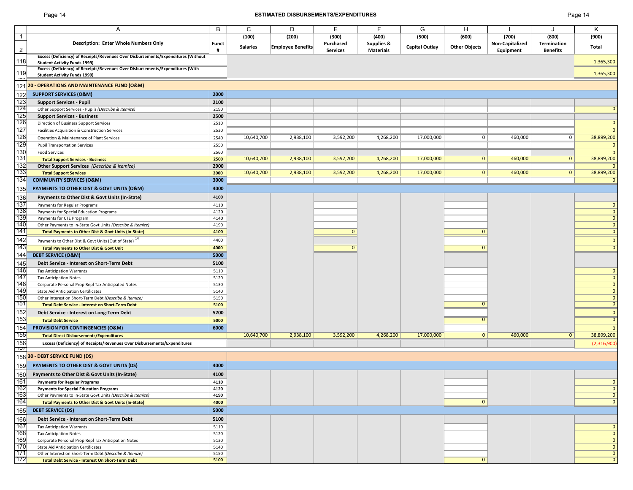## Page 14 **ESTIMATED DISBURSEMENTS/EXPENDITURES** Page 14

|                | A                                                                                                                             | B            | C               | D                        | Е               | F.                    | G                     | н                    |                 |                 | Κ                            |
|----------------|-------------------------------------------------------------------------------------------------------------------------------|--------------|-----------------|--------------------------|-----------------|-----------------------|-----------------------|----------------------|-----------------|-----------------|------------------------------|
| $\overline{1}$ |                                                                                                                               |              | (100)           | (200)                    | (300)           | (400)                 | (500)                 | (600)                | (700)           | (800)           | (900)                        |
|                | <b>Description: Enter Whole Numbers Only</b>                                                                                  | <b>Funct</b> |                 |                          | Purchased       | <b>Supplies &amp;</b> |                       |                      | Non-Capitalized | Termination     |                              |
| $\overline{2}$ |                                                                                                                               | #            | <b>Salaries</b> | <b>Employee Benefits</b> | <b>Services</b> | <b>Materials</b>      | <b>Capital Outlay</b> | <b>Other Objects</b> | Equipment       | <b>Benefits</b> | Total                        |
|                | Excess (Deficiency) of Receipts/Revenues Over Disbursements/Expenditures (Without                                             |              |                 |                          |                 |                       |                       |                      |                 |                 |                              |
| 118            | <b>Student Activity Funds 1999)</b><br>Excess (Deficiency) of Receipts/Revenues Over Disbursements/Expenditures (With         |              |                 |                          |                 |                       |                       |                      |                 |                 | 1,365,300                    |
| 119            | <b>Student Activity Funds 1999)</b>                                                                                           |              |                 |                          |                 |                       |                       |                      |                 |                 | 1,365,300                    |
| $121$          | 20 - OPERATIONS AND MAINTENANCE FUND (O&M)                                                                                    |              |                 |                          |                 |                       |                       |                      |                 |                 |                              |
|                | <b>SUPPORT SERVICES (O&amp;M)</b>                                                                                             | 2000         |                 |                          |                 |                       |                       |                      |                 |                 |                              |
| 122<br>123     |                                                                                                                               |              |                 |                          |                 |                       |                       |                      |                 |                 |                              |
| 124            | <b>Support Services - Pupil</b><br>Other Support Services - Pupils (Describe & Itemize)                                       | 2100<br>2190 |                 |                          |                 |                       |                       |                      |                 |                 | $\mathbf{0}$                 |
| 125            | <b>Support Services - Business</b>                                                                                            | 2500         |                 |                          |                 |                       |                       |                      |                 |                 |                              |
| 126            | Direction of Business Support Services                                                                                        | 2510         |                 |                          |                 |                       |                       |                      |                 |                 | $\mathbf{0}$                 |
| 127            | Facilities Acquisition & Construction Services                                                                                | 2530         |                 |                          |                 |                       |                       |                      |                 |                 | $\mathbf{0}$                 |
| 128            | Operation & Maintenance of Plant Services                                                                                     | 2540         | 10,640,700      | 2,938,100                | 3,592,200       | 4,268,200             | 17,000,000            | 0                    | 460,000         | 0               | 38,899,200                   |
| 129            | <b>Pupil Transportation Services</b>                                                                                          | 2550         |                 |                          |                 |                       |                       |                      |                 |                 | $\mathbf{0}$                 |
| 130            | <b>Food Services</b>                                                                                                          | 2560         |                 |                          |                 |                       |                       |                      |                 |                 | $\mathbf{0}$                 |
| 131            | <b>Total Support Services - Business</b>                                                                                      | 2500         | 10,640,700      | 2,938,100                | 3,592,200       | 4,268,200             | 17,000,000            | 0                    | 460,000         | 0               | 38,899,200                   |
| 132            | Other Support Services (Describe & Itemize)                                                                                   | 2900         |                 |                          |                 |                       |                       |                      |                 |                 | $\Omega$                     |
| 133            | <b>Total Support Services</b>                                                                                                 | 2000         | 10,640,700      | 2,938,100                | 3,592,200       | 4,268,200             | 17,000,000            | 0 <sup>1</sup>       | 460,000         | 0               | 38,899,200                   |
| 134            | <b>COMMUNITY SERVICES (O&amp;M)</b>                                                                                           | 3000         |                 |                          |                 |                       |                       |                      |                 |                 | $\mathbf{0}$                 |
| 135            | PAYMENTS TO OTHER DIST & GOVT UNITS (O&M)                                                                                     | 4000         |                 |                          |                 |                       |                       |                      |                 |                 |                              |
| 136            | Payments to Other Dist & Govt Units (In-State)                                                                                | 4100         |                 |                          |                 |                       |                       |                      |                 |                 |                              |
| 137            |                                                                                                                               |              |                 |                          |                 |                       |                       |                      |                 |                 | $\mathbf{0}$                 |
| 138            | Payments for Regular Programs<br>Payments for Special Education Programs                                                      | 4110<br>4120 |                 |                          |                 |                       |                       |                      |                 |                 | $\mathbf{0}$                 |
| 139            | Payments for CTE Program                                                                                                      | 4140         |                 |                          |                 |                       |                       |                      |                 |                 | $\mathbf{0}$                 |
| 140            | Other Payments to In-State Govt Units (Describe & Itemize)                                                                    | 4190         |                 |                          |                 |                       |                       |                      |                 |                 | $\mathbf{0}$                 |
| 141            | <b>Total Payments to Other Dist &amp; Govt Units (In-State)</b>                                                               | 4100         |                 |                          | $\mathbf{0}$    |                       |                       | $\Omega$             |                 |                 | $\mathbf{0}$                 |
| 142            | Payments to Other Dist & Govt Units (Out of State) <sup>14</sup>                                                              | 4400         |                 |                          |                 |                       |                       |                      |                 |                 | $\mathbf 0$                  |
| 143            | <b>Total Payments to Other Dist &amp; Govt Unit</b>                                                                           | 4000         |                 |                          | $\Omega$        |                       |                       | $\Omega$             |                 |                 | $\mathbf{0}$                 |
| 144            | <b>DEBT SERVICE (O&amp;M)</b>                                                                                                 | 5000         |                 |                          |                 |                       |                       |                      |                 |                 |                              |
|                |                                                                                                                               |              |                 |                          |                 |                       |                       |                      |                 |                 |                              |
| 145<br>146     | Debt Service - Interest on Short-Term Debt                                                                                    | 5100         |                 |                          |                 |                       |                       |                      |                 |                 |                              |
| 147            | <b>Tax Anticipation Warrants</b>                                                                                              | 5110         |                 |                          |                 |                       |                       |                      |                 |                 | $\mathbf{0}$                 |
| 148            | <b>Tax Anticipation Notes</b>                                                                                                 | 5120<br>5130 |                 |                          |                 |                       |                       |                      |                 |                 | $\mathbf{0}$<br>$\mathbf{0}$ |
| 149            | Corporate Personal Prop Repl Tax Anticipated Notes<br><b>State Aid Anticipation Certificates</b>                              | 5140         |                 |                          |                 |                       |                       |                      |                 |                 | $\mathbf{0}$                 |
| 150            | Other Interest on Short-Term Debt (Describe & Itemize)                                                                        | 5150         |                 |                          |                 |                       |                       |                      |                 |                 | $\mathbf{0}$                 |
| 151            | <b>Total Debt Service - Interest on Short-Term Debt</b>                                                                       | 5100         |                 |                          |                 |                       |                       | $\Omega$             |                 |                 | $\mathbf{0}$                 |
| 152            | Debt Service - Interest on Long-Term Debt                                                                                     | 5200         |                 |                          |                 |                       |                       |                      |                 |                 | $\mathbf{0}$                 |
| 153            | <b>Total Debt Service</b>                                                                                                     | 5000         |                 |                          |                 |                       |                       | $\Omega$             |                 |                 | $\overline{0}$               |
| 154            | <b>PROVISION FOR CONTINGENCIES (O&amp;M)</b>                                                                                  | 6000         |                 |                          |                 |                       |                       |                      |                 |                 | $\Omega$                     |
| 155            | <b>Total Direct Disbursements/Expenditures</b>                                                                                |              | 10,640,700      | 2,938,100                | 3,592,200       | 4,268,200             | 17,000,000            | $\overline{0}$       | 460,000         | $\mathbf{0}$    | 38,899,200                   |
| 156            | Excess (Deficiency) of Receipts/Revenues Over Disbursements/Expenditures                                                      |              |                 |                          |                 |                       |                       |                      |                 |                 | (2,316,900)                  |
| זטו            |                                                                                                                               |              |                 |                          |                 |                       |                       |                      |                 |                 |                              |
|                | 158 30 - DEBT SERVICE FUND (DS)                                                                                               |              |                 |                          |                 |                       |                       |                      |                 |                 |                              |
| 159            | PAYMENTS TO OTHER DIST & GOVT UNITS (DS)                                                                                      | 4000         |                 |                          |                 |                       |                       |                      |                 |                 |                              |
|                |                                                                                                                               |              |                 |                          |                 |                       |                       |                      |                 |                 |                              |
| 160            | Payments to Other Dist & Govt Units (In-State)                                                                                | 4100         |                 |                          |                 |                       |                       |                      |                 |                 |                              |
| 161<br>162     | <b>Payments for Regular Programs</b>                                                                                          | 4110         |                 |                          |                 |                       |                       |                      |                 |                 | $\mathbf{0}$                 |
| 163            | <b>Payments for Special Education Programs</b>                                                                                | 4120         |                 |                          |                 |                       |                       |                      |                 |                 | $\mathbf{0}$                 |
| 164            | Other Payments to In-State Govt Units (Describe & Itemize)<br><b>Total Payments to Other Dist &amp; Govt Units (In-State)</b> | 4190<br>4000 |                 |                          |                 |                       |                       | $\mathbf{0}$         |                 |                 | $\mathbf{0}$<br>$\mathbf{0}$ |
|                |                                                                                                                               |              |                 |                          |                 |                       |                       |                      |                 |                 |                              |
| 165            | <b>DEBT SERVICE (DS)</b>                                                                                                      | 5000         |                 |                          |                 |                       |                       |                      |                 |                 |                              |
| 166            | Debt Service - Interest on Short-Term Debt                                                                                    | 5100         |                 |                          |                 |                       |                       |                      |                 |                 |                              |
| 167            | <b>Tax Anticipation Warrants</b>                                                                                              | 5110         |                 |                          |                 |                       |                       |                      |                 |                 | $\mathbf{0}$                 |
| 168            | <b>Tax Anticipation Notes</b>                                                                                                 | 5120         |                 |                          |                 |                       |                       |                      |                 |                 | $\mathbf{0}$                 |
| 169<br>170     | Corporate Personal Prop Repl Tax Anticipation Notes                                                                           | 5130         |                 |                          |                 |                       |                       |                      |                 |                 | $\mathbf{0}$                 |
| 171            | <b>State Aid Anticipation Certificates</b>                                                                                    | 5140         |                 |                          |                 |                       |                       |                      |                 |                 | $\mathbf 0$                  |
| 172            | Other Interest on Short-Term Debt (Describe & Itemize)<br><b>Total Debt Service - Interest On Short-Term Debt</b>             | 5150<br>5100 |                 |                          |                 |                       |                       |                      |                 |                 | $\mathbf{0}$<br>$\mathbf{0}$ |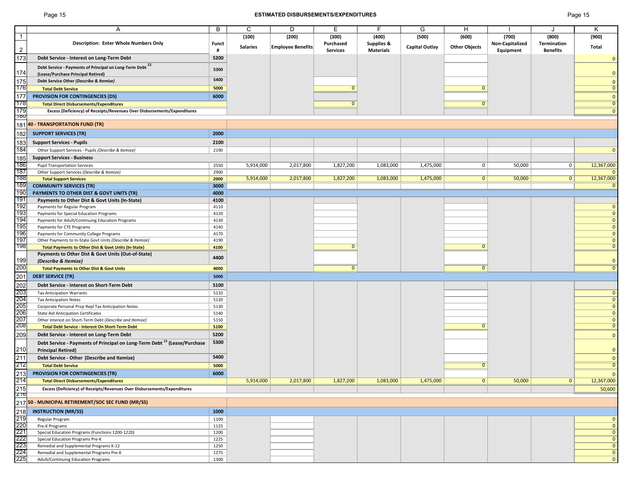## Page 15 **ESTIMATED DISBURSEMENTS/EXPENDITURES** Page 15

|                | A                                                                                    | B     | C               | D                 | E               | F.                    | G                     | H                    |                 | . I                | Κ                            |
|----------------|--------------------------------------------------------------------------------------|-------|-----------------|-------------------|-----------------|-----------------------|-----------------------|----------------------|-----------------|--------------------|------------------------------|
| $\mathbf{1}$   |                                                                                      |       | (100)           | (200)             | (300)           | (400)                 | (500)                 | (600)                | (700)           | (800)              | (900)                        |
|                | <b>Description: Enter Whole Numbers Only</b>                                         | Funct |                 |                   | Purchased       | <b>Supplies &amp;</b> |                       |                      | Non-Capitalized | Termination        |                              |
| $\overline{2}$ |                                                                                      | #     | <b>Salaries</b> | Employee Benefits | <b>Services</b> | <b>Materials</b>      | <b>Capital Outlay</b> | <b>Other Objects</b> | Equipment       | <b>Benefits</b>    | Total                        |
| 173            | Debt Service - Interest on Long-Term Debt                                            | 5200  |                 |                   |                 |                       |                       |                      |                 |                    | $\mathbf{0}$                 |
|                | Debt Service - Payments of Principal on Long-Term Debt 15                            |       |                 |                   |                 |                       |                       |                      |                 |                    |                              |
| 174            | (Lease/Purchase Principal Retired)                                                   | 5300  |                 |                   |                 |                       |                       |                      |                 |                    |                              |
| 175            | Debt Service Other (Describe & Itemize)                                              | 5400  |                 |                   |                 |                       |                       |                      |                 |                    |                              |
| 176            | <b>Total Debt Service</b>                                                            | 5000  |                 |                   | $\mathbf{0}$    |                       |                       | $\Omega$             |                 |                    | $\mathbf{0}$<br>$\mathbf{0}$ |
|                |                                                                                      |       |                 |                   |                 |                       |                       |                      |                 |                    |                              |
| 177            | <b>PROVISION FOR CONTINGENCIES (DS)</b>                                              | 6000  |                 |                   |                 |                       |                       |                      |                 |                    | $\Omega$                     |
| 178            | <b>Total Direct Disbursements/Expenditures</b>                                       |       |                 |                   | $\mathbf{0}$    |                       |                       |                      |                 |                    | $\overline{0}$               |
| 179<br>ιου     | Excess (Deficiency) of Receipts/Revenues Over Disbursements/Expenditures             |       |                 |                   |                 |                       |                       |                      |                 |                    | $\Omega$                     |
|                | 181 40 - TRANSPORTATION FUND (TR)                                                    |       |                 |                   |                 |                       |                       |                      |                 |                    |                              |
|                |                                                                                      |       |                 |                   |                 |                       |                       |                      |                 |                    |                              |
| 182            | <b>SUPPORT SERVICES (TR)</b>                                                         | 2000  |                 |                   |                 |                       |                       |                      |                 |                    |                              |
| 183            | <b>Support Services - Pupils</b>                                                     | 2100  |                 |                   |                 |                       |                       |                      |                 |                    |                              |
| 184            | Other Support Services - Pupils (Describe & Itemize)                                 | 2190  |                 |                   |                 |                       |                       |                      |                 |                    | $\mathbf{0}$                 |
| 185            | <b>Support Services - Business</b>                                                   |       |                 |                   |                 |                       |                       |                      |                 |                    |                              |
| 186            | <b>Pupil Transportation Services</b>                                                 | 2550  | 5,914,000       | 2,017,800         | 1,827,200       | 1,083,000             | 1,475,000             | $\mathbf 0$          | 50,000          | $\mathbf 0$        | 12,367,000                   |
| 187            | Other Support Services (Describe & Itemize)                                          | 2900  |                 |                   |                 |                       |                       |                      |                 |                    | 0                            |
| 188            | <b>Total Support Services</b>                                                        | 2000  | 5,914,000       | 2,017,800         | 1,827,200       | 1,083,000             | 1,475,000             | $\overline{0}$       | 50,000          | $\overline{\circ}$ | 12,367,000                   |
| 189            | <b>COMMUNITY SERVICES (TR)</b>                                                       | 3000  |                 |                   |                 |                       |                       |                      |                 |                    | $\overline{0}$               |
| 190            | PAYMENTS TO OTHER DIST & GOVT UNITS (TR)                                             | 4000  |                 |                   |                 |                       |                       |                      |                 |                    |                              |
| 191            | Payments to Other Dist & Govt Units (In-State)                                       | 4100  |                 |                   |                 |                       |                       |                      |                 |                    |                              |
| 192            | Payments for Regular Program                                                         | 4110  |                 |                   |                 |                       |                       |                      |                 |                    | $\mathbf{0}$                 |
| 193            | Payments for Special Education Programs                                              | 4120  |                 |                   |                 |                       |                       |                      |                 |                    | $\mathbf{0}$                 |
| 194            | Payments for Adult/Continuing Education Programs                                     | 4130  |                 |                   |                 |                       |                       |                      |                 |                    | $\mathbf{0}$                 |
| 195            | Payments for CTE Programs                                                            | 4140  |                 |                   |                 |                       |                       |                      |                 |                    | $\mathbf{0}$                 |
| 196            | Payments for Community College Programs                                              | 4170  |                 |                   |                 |                       |                       |                      |                 |                    | $\mathbf{0}$                 |
| 197<br>198     | Other Payments to In-State Govt Units (Describe & Itemize)                           | 4190  |                 |                   | $\mathbf{0}$    |                       |                       | $\Omega$             |                 |                    | $\mathbf{0}$                 |
|                | Total Payments to Other Dist & Govt Units (In-State)                                 | 4100  |                 |                   |                 |                       |                       |                      |                 |                    | $\mathbf 0$                  |
| 199            | Payments to Other Dist & Govt Units (Out-of-State)                                   | 4400  |                 |                   |                 |                       |                       |                      |                 |                    | $\mathbf{0}$                 |
| 200            | (Describe & Itemize)                                                                 |       |                 |                   | $\mathbf{0}$    |                       |                       | $\mathbf{0}$         |                 |                    | $\mathbf{0}$                 |
|                | <b>Total Payments to Other Dist &amp; Govt Units</b>                                 | 4000  |                 |                   |                 |                       |                       |                      |                 |                    |                              |
| 201            | <b>DEBT SERVICE (TR)</b>                                                             | 5000  |                 |                   |                 |                       |                       |                      |                 |                    |                              |
| 202            | Debt Service - Interest on Short-Term Debt                                           | 5100  |                 |                   |                 |                       |                       |                      |                 |                    |                              |
| 203            | <b>Tax Anticipation Warrants</b>                                                     | 5110  |                 |                   |                 |                       |                       |                      |                 |                    | $\mathbf{0}$                 |
| 204            | <b>Tax Anticipation Notes</b>                                                        | 5120  |                 |                   |                 |                       |                       |                      |                 |                    | $\mathbf{0}$                 |
| 205            | Corporate Personal Prop Repl Tax Anticipation Notes                                  | 5130  |                 |                   |                 |                       |                       |                      |                 |                    | $\mathbf 0$                  |
| 206            | State Aid Anticipation Certificates                                                  | 5140  |                 |                   |                 |                       |                       |                      |                 |                    | $\mathbf{0}$                 |
| 207<br>208     | Other Interest on Short-Term Debt (Describe and Itemize)                             | 5150  |                 |                   |                 |                       |                       | $\Omega$             |                 |                    | $\mathbf{0}$<br>$\mathbf{0}$ |
|                | Total Debt Service - Interest On Short-Term Debt                                     | 5100  |                 |                   |                 |                       |                       |                      |                 |                    |                              |
| 209            | Debt Service - Interest on Long-Term Debt                                            | 5200  |                 |                   |                 |                       |                       |                      |                 |                    | $\mathbf{0}$                 |
|                | Debt Service - Payments of Principal on Long-Term Debt <sup>15</sup> (Lease/Purchase | 5300  |                 |                   |                 |                       |                       |                      |                 |                    |                              |
| 210            | <b>Principal Retired)</b>                                                            |       |                 |                   |                 |                       |                       |                      |                 |                    | $\mathbf 0$                  |
| 211            | Debt Service - Other (Describe and Itemize)                                          | 5400  |                 |                   |                 |                       |                       |                      |                 |                    | $\mathbf{0}$                 |
| 212            | <b>Total Debt Service</b>                                                            | 5000  |                 |                   |                 |                       |                       | $\overline{0}$       |                 |                    | $\Omega$                     |
| 213            | <b>PROVISION FOR CONTINGENCIES (TR)</b>                                              | 6000  |                 |                   |                 |                       |                       |                      |                 |                    | $\Omega$                     |
| 214            | <b>Total Direct Disbursements/Expenditures</b>                                       |       | 5,914,000       | 2,017,800         | 1,827,200       | 1,083,000             | 1,475,000             | 0                    | 50,000          | $\mathbf{0}$       | 12,367,000                   |
| 215            | Excess (Deficiency) of Receipts/Revenues Over Disbursements/Expenditures             |       |                 |                   |                 |                       |                       |                      |                 |                    | 50,600                       |
| 210            |                                                                                      |       |                 |                   |                 |                       |                       |                      |                 |                    |                              |
|                | 217 50 - MUNICIPAL RETIREMENT/SOC SEC FUND (MR/SS)                                   |       |                 |                   |                 |                       |                       |                      |                 |                    |                              |
| 218            | <b>INSTRUCTION (MR/SS)</b>                                                           | 1000  |                 |                   |                 |                       |                       |                      |                 |                    |                              |
| 219            | Regular Program                                                                      | 1100  |                 |                   |                 |                       |                       |                      |                 |                    | $\mathbf 0$                  |
| 220            | Pre-K Programs                                                                       | 1125  |                 |                   |                 |                       |                       |                      |                 |                    | $\mathbf{0}$                 |
| 221            | Special Education Programs (Functions 1200-1220)                                     | 1200  |                 |                   |                 |                       |                       |                      |                 |                    | $\mathbf{0}$                 |
| 222            | Special Education Programs Pre-K                                                     | 1225  |                 |                   |                 |                       |                       |                      |                 |                    | $\mathbf{0}$                 |
| 223            | Remedial and Supplemental Programs K-12                                              | 1250  |                 |                   |                 |                       |                       |                      |                 |                    | $\mathbf{0}$                 |
| 224            | Remedial and Supplemental Programs Pre-K                                             | 1275  |                 |                   |                 |                       |                       |                      |                 |                    | $\mathbf 0$                  |
| 225            | Adult/Continuing Education Programs                                                  | 1300  |                 |                   |                 |                       |                       |                      |                 |                    | $\mathbf{0}$                 |
|                |                                                                                      |       |                 |                   |                 |                       |                       |                      |                 |                    |                              |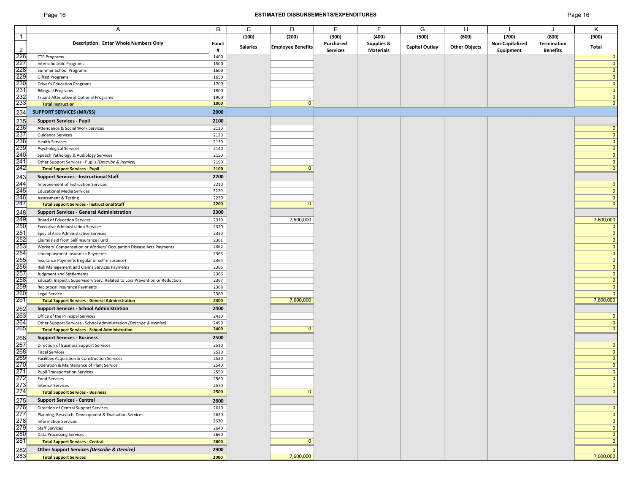## Page 16 **ESTIMATED DISBURSEMENTS/EXPENDITURES** Page 16

|                | Α                                                                            | В            | С               | D                        | E               | F                | G                     | H                    |                 | J               | Κ            |
|----------------|------------------------------------------------------------------------------|--------------|-----------------|--------------------------|-----------------|------------------|-----------------------|----------------------|-----------------|-----------------|--------------|
| $\mathbf{1}$   |                                                                              |              | (100)           | (200)                    | (300)           | (400)            | (500)                 | (600)                | (700)           | (800)           | (900)        |
|                | <b>Description: Enter Whole Numbers Only</b>                                 | <b>Funct</b> |                 |                          | Purchased       | Supplies &       |                       |                      | Non-Capitalized | Termination     |              |
| $\overline{2}$ |                                                                              | #            | <b>Salaries</b> | <b>Employee Benefits</b> | <b>Services</b> | <b>Materials</b> | <b>Capital Outlay</b> | <b>Other Objects</b> | Equipment       | <b>Benefits</b> | Total        |
| 226            | <b>CTE Programs</b>                                                          | 1400         |                 |                          |                 |                  |                       |                      |                 |                 | $\mathbf{0}$ |
| 227            | Interscholastic Programs                                                     | 1500         |                 |                          |                 |                  |                       |                      |                 |                 | $\mathbf{0}$ |
| 228            | Summer School Programs                                                       | 1600         |                 |                          |                 |                  |                       |                      |                 |                 | $\mathbf{0}$ |
| 229            | <b>Gifted Programs</b>                                                       | 1650         |                 |                          |                 |                  |                       |                      |                 |                 | $\mathbf{0}$ |
| 230            | <b>Driver's Education Programs</b>                                           | 1700         |                 |                          |                 |                  |                       |                      |                 |                 | $\mathbf{0}$ |
| 231            | <b>Bilingual Programs</b>                                                    | 1800         |                 |                          |                 |                  |                       |                      |                 |                 | $\mathbf{0}$ |
| 232            | Truant Alternative & Optional Programs                                       | 1900         |                 |                          |                 |                  |                       |                      |                 |                 | $\mathbf{0}$ |
| 233            | <b>Total Instruction</b>                                                     | 1000         |                 | $\mathbf{0}$             |                 |                  |                       |                      |                 |                 | $\mathbf{0}$ |
|                | <b>SUPPORT SERVICES (MR/SS)</b>                                              |              |                 |                          |                 |                  |                       |                      |                 |                 |              |
| 234            |                                                                              | 2000         |                 |                          |                 |                  |                       |                      |                 |                 |              |
| 235            | <b>Support Services - Pupil</b>                                              | 2100         |                 |                          |                 |                  |                       |                      |                 |                 |              |
| 236            | Attendance & Social Work Services                                            | 2110         |                 |                          |                 |                  |                       |                      |                 |                 | $\mathbf{0}$ |
| 237            | <b>Guidance Services</b>                                                     | 2120         |                 |                          |                 |                  |                       |                      |                 |                 | $\mathbf{0}$ |
| 238            | <b>Health Services</b>                                                       | 2130         |                 |                          |                 |                  |                       |                      |                 |                 | $\mathbf{0}$ |
| 239            | <b>Psychological Services</b>                                                | 2140         |                 |                          |                 |                  |                       |                      |                 |                 | $\mathbf{0}$ |
| 240            | Speech Pathology & Audiology Services                                        | 2150         |                 |                          |                 |                  |                       |                      |                 |                 | $\mathbf{0}$ |
| 241            | Other Support Services - Pupils (Describe & Itemize)                         | 2190         |                 |                          |                 |                  |                       |                      |                 |                 | $\mathbf{0}$ |
| 242            | <b>Total Support Services - Pupil</b>                                        | 2100         |                 | $\overline{0}$           |                 |                  |                       |                      |                 |                 | $\mathbf{0}$ |
| 243            | <b>Support Services - Instructional Staff</b>                                | 2200         |                 |                          |                 |                  |                       |                      |                 |                 |              |
| 244            |                                                                              |              |                 |                          |                 |                  |                       |                      |                 |                 |              |
|                | Improvement of Instruction Services                                          | 2210         |                 |                          |                 |                  |                       |                      |                 |                 | $\mathbf{0}$ |
| 245            | <b>Educational Media Services</b>                                            | 2220         |                 |                          |                 |                  |                       |                      |                 |                 | $\mathbf{0}$ |
| 246<br>247     | <b>Assessment &amp; Testing</b>                                              | 2230         |                 |                          |                 |                  |                       |                      |                 |                 | $\mathbf{0}$ |
|                | <b>Total Support Services - Instructional Staff</b>                          | 2200         |                 | $\mathbf{0}$             |                 |                  |                       |                      |                 |                 | $\mathbf{0}$ |
| 248            | <b>Support Services - General Administration</b>                             | 2300         |                 |                          |                 |                  |                       |                      |                 |                 |              |
| 249            | Board of Education Services                                                  | 2310         |                 | 7,600,000                |                 |                  |                       |                      |                 |                 | 7,600,000    |
| 250            | <b>Executive Administration Services</b>                                     | 2320         |                 |                          |                 |                  |                       |                      |                 |                 | $\mathbf{0}$ |
| 251            | Special Area Administrative Services                                         | 2330         |                 |                          |                 |                  |                       |                      |                 |                 | $\mathbf{0}$ |
| 252            | Claims Paid from Self Insurance Fund                                         | 2361         |                 |                          |                 |                  |                       |                      |                 |                 | $\mathbf{0}$ |
| 253            | Workers' Compensation or Workers' Occupation Disease Acts Payments           | 2362         |                 |                          |                 |                  |                       |                      |                 |                 | $\mathbf{0}$ |
| 254            | Unemployment Insurance Payments                                              | 2363         |                 |                          |                 |                  |                       |                      |                 |                 | $\mathbf{0}$ |
| 255            | Insurance Payments (regular or self-insurance)                               | 2364         |                 |                          |                 |                  |                       |                      |                 |                 | $\mathbf{0}$ |
| 256            | Risk Management and Claims Services Payments                                 | 2365         |                 |                          |                 |                  |                       |                      |                 |                 | $\mathbf{0}$ |
| 257            | Judgment and Settlements                                                     | 2366         |                 |                          |                 |                  |                       |                      |                 |                 | $\mathbf{0}$ |
| 258            | Educatl, Inspectl, Supervisory Serv. Related to Loss Prevention or Reduction | 2367         |                 |                          |                 |                  |                       |                      |                 |                 | $\mathbf{0}$ |
| 259            | Reciprocal Insurance Payments                                                | 2368         |                 |                          |                 |                  |                       |                      |                 |                 | $\mathbf{0}$ |
| 260            | Legal Service                                                                | 2369         |                 |                          |                 |                  |                       |                      |                 |                 | $\mathbf{0}$ |
| 261            | <b>Total Support Services - General Administration</b>                       | 2300         |                 | 7,600,000                |                 |                  |                       |                      |                 |                 | 7,600,000    |
|                |                                                                              |              |                 |                          |                 |                  |                       |                      |                 |                 |              |
| 262            | <b>Support Services - School Administration</b>                              | 2400         |                 |                          |                 |                  |                       |                      |                 |                 |              |
| 263            | Office of the Principal Services                                             | 2410         |                 |                          |                 |                  |                       |                      |                 |                 | $\mathbf{0}$ |
| 264            | Other Support Services - School Administration (Describe & Itemize)          | 2490         |                 |                          |                 |                  |                       |                      |                 |                 | $\mathbf{0}$ |
| 265            | <b>Total Support Services - School Administration</b>                        | 2400         |                 | $\mathbf{0}$             |                 |                  |                       |                      |                 |                 | $\mathbf{0}$ |
| 266            | <b>Support Services - Business</b>                                           | 2500         |                 |                          |                 |                  |                       |                      |                 |                 |              |
| 267            | Direction of Business Support Services                                       | 2510         |                 |                          |                 |                  |                       |                      |                 |                 | $\mathbf{0}$ |
| 268            | <b>Fiscal Services</b>                                                       | 2520         |                 |                          |                 |                  |                       |                      |                 |                 | $\mathbf{0}$ |
| 269            | Facilities Acquisition & Construction Services                               | 2530         |                 |                          |                 |                  |                       |                      |                 |                 | $\mathbf{0}$ |
| 270            | Operation & Maintenance of Plant Service                                     | 2540         |                 |                          |                 |                  |                       |                      |                 |                 | $\mathbf{0}$ |
| 271            | <b>Pupil Transportation Services</b>                                         | 2550         |                 |                          |                 |                  |                       |                      |                 |                 | $\mathbf{0}$ |
| 272            | <b>Food Services</b>                                                         | 2560         |                 |                          |                 |                  |                       |                      |                 |                 | $\mathbf{0}$ |
|                | <b>Internal Services</b>                                                     | 2570         |                 |                          |                 |                  |                       |                      |                 |                 | $\mathbf{0}$ |
| 273<br>274     | <b>Total Support Services - Business</b>                                     | 2500         |                 | $\mathbf{0}$             |                 |                  |                       |                      |                 |                 | $\mathbf{0}$ |
|                |                                                                              |              |                 |                          |                 |                  |                       |                      |                 |                 |              |
| 275            | <b>Support Services - Central</b>                                            | 2600         |                 |                          |                 |                  |                       |                      |                 |                 |              |
| 276            | Direction of Central Support Services                                        | 2610         |                 |                          |                 |                  |                       |                      |                 |                 | $\mathbf{0}$ |
| 277            | Planning, Research, Development & Evaluation Services                        | 2620         |                 |                          |                 |                  |                       |                      |                 |                 | $\mathbf{0}$ |
| 278            | <b>Information Services</b>                                                  | 2630         |                 |                          |                 |                  |                       |                      |                 |                 | $\mathbf{0}$ |
| 279            | <b>Staff Services</b>                                                        | 2640         |                 |                          |                 |                  |                       |                      |                 |                 | $\mathbf{0}$ |
| 280            | <b>Data Processing Services</b>                                              | 2660         |                 |                          |                 |                  |                       |                      |                 |                 | $\mathbf{0}$ |
| 281            | <b>Total Support Services - Central</b>                                      | 2600         |                 | $\mathbf{0}$             |                 |                  |                       |                      |                 |                 | $\mathbf{0}$ |
|                | Other Support Services (Describe & Itemize)                                  | 2900         |                 |                          |                 |                  |                       |                      |                 |                 | $\mathbf{0}$ |
| 282<br>283     | <b>Total Support Services</b>                                                | 2000         |                 | 7,600,000                |                 |                  |                       |                      |                 |                 | 7,600,000    |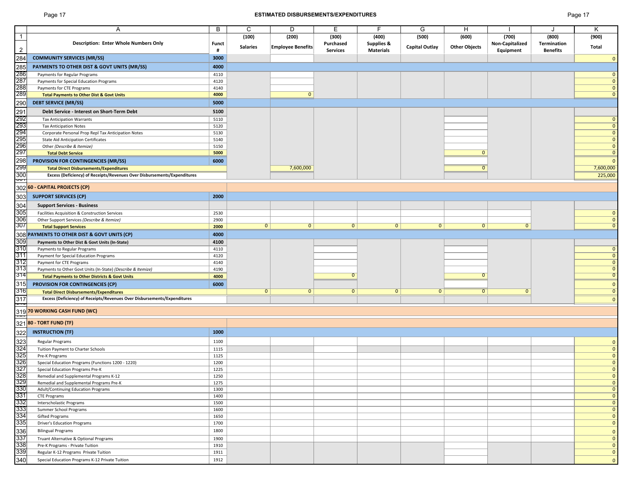299

331

### Page 17 **ESTIMATED DISBURSEMENTS/EXPENDITURES** Page 17

|                                                                                                       | Α                                                                                                                          | В            | C               | D                        | E.              | F.                    | G                     | н                    |                 |                 | Κ                              |
|-------------------------------------------------------------------------------------------------------|----------------------------------------------------------------------------------------------------------------------------|--------------|-----------------|--------------------------|-----------------|-----------------------|-----------------------|----------------------|-----------------|-----------------|--------------------------------|
| $\overline{1}$                                                                                        |                                                                                                                            |              | (100)           | (200)                    | (300)           | (400)                 | (500)                 | (600)                | (700)           | (800)           | (900)                          |
|                                                                                                       | Description: Enter Whole Numbers Only                                                                                      | <b>Funct</b> |                 |                          | Purchased       | <b>Supplies &amp;</b> |                       |                      | Non-Capitalized | Termination     |                                |
| $\overline{2}$                                                                                        |                                                                                                                            | #            | <b>Salaries</b> | <b>Employee Benefits</b> | <b>Services</b> | <b>Materials</b>      | <b>Capital Outlay</b> | <b>Other Objects</b> | Equipment       | <b>Benefits</b> | Total                          |
| <u>284</u>                                                                                            | <b>COMMUNITY SERVICES (MR/SS)</b>                                                                                          | 3000         |                 |                          |                 |                       |                       |                      |                 |                 | $\Omega$                       |
|                                                                                                       | PAYMENTS TO OTHER DIST & GOVT UNITS (MR/SS)                                                                                | 4000         |                 |                          |                 |                       |                       |                      |                 |                 |                                |
|                                                                                                       | Payments for Regular Programs                                                                                              | 4110         |                 |                          |                 |                       |                       |                      |                 |                 |                                |
|                                                                                                       | Payments for Special Education Programs                                                                                    | 4120         |                 |                          |                 |                       |                       |                      |                 |                 |                                |
|                                                                                                       | Payments for CTE Programs                                                                                                  | 4140         |                 |                          |                 |                       |                       |                      |                 |                 | $\mathbf{0}$                   |
|                                                                                                       | <b>Total Payments to Other Dist &amp; Govt Units</b>                                                                       | 4000         |                 | $\mathbf{0}$             |                 |                       |                       |                      |                 |                 |                                |
|                                                                                                       | <b>DEBT SERVICE (MR/SS)</b>                                                                                                | 5000         |                 |                          |                 |                       |                       |                      |                 |                 |                                |
|                                                                                                       | Debt Service - Interest on Short-Term Debt                                                                                 | 5100         |                 |                          |                 |                       |                       |                      |                 |                 |                                |
|                                                                                                       | <b>Tax Anticipation Warrants</b>                                                                                           | 5110         |                 |                          |                 |                       |                       |                      |                 |                 | 0                              |
|                                                                                                       | <b>Tax Anticipation Notes</b>                                                                                              | 5120         |                 |                          |                 |                       |                       |                      |                 |                 | $\mathbf{0}$                   |
|                                                                                                       | Corporate Personal Prop Repl Tax Anticipation Notes                                                                        | 5130         |                 |                          |                 |                       |                       |                      |                 |                 | $\Omega$                       |
|                                                                                                       | <b>State Aid Anticipation Certificates</b>                                                                                 | 5140         |                 |                          |                 |                       |                       |                      |                 |                 | $\Omega$                       |
|                                                                                                       | Other (Describe & Itemize)<br><b>Total Debt Service</b>                                                                    | 5150<br>5000 |                 |                          |                 |                       |                       | $\mathbf{0}$         |                 |                 | $\mathbf 0$<br>$\Omega$        |
|                                                                                                       | PROVISION FOR CONTINGENCIES (MR/SS)                                                                                        | 6000         |                 |                          |                 |                       |                       |                      |                 |                 | $\Omega$                       |
| 285<br>286<br>287<br>288<br>289<br>292<br>292<br>292<br>293<br>295<br>295<br>295<br>295<br>295<br>298 |                                                                                                                            |              |                 | 7,600,000                |                 |                       |                       | $\overline{0}$       |                 |                 | 7,600,000                      |
|                                                                                                       | <b>Total Direct Disbursements/Expenditures</b><br>Excess (Deficiency) of Receipts/Revenues Over Disbursements/Expenditures |              |                 |                          |                 |                       |                       |                      |                 |                 | 225,000                        |
| Ŗ                                                                                                     |                                                                                                                            |              |                 |                          |                 |                       |                       |                      |                 |                 |                                |
|                                                                                                       | 302 <mark>60 - САРІТАL PROJECTS (СР)</mark>                                                                                |              |                 |                          |                 |                       |                       |                      |                 |                 |                                |
| 303                                                                                                   | <b>SUPPORT SERVICES (CP)</b>                                                                                               | 2000         |                 |                          |                 |                       |                       |                      |                 |                 |                                |
|                                                                                                       | <b>Support Services - Business</b>                                                                                         |              |                 |                          |                 |                       |                       |                      |                 |                 |                                |
|                                                                                                       | Facilities Acquisition & Construction Services                                                                             | 2530         |                 |                          |                 |                       |                       |                      |                 |                 |                                |
| 304<br>305<br>306                                                                                     | Other Support Services (Describe & Itemize)                                                                                | 2900         |                 |                          |                 |                       |                       |                      |                 |                 |                                |
| 307                                                                                                   | <b>Total Support Services</b>                                                                                              | 2000         | 0               | $\mathbf{0}$             | $\overline{0}$  | 0                     | 0                     | 0                    | $\mathbf{0}$    |                 |                                |
|                                                                                                       | 308 PAYMENTS TO OTHER DIST & GOVT UNITS (CP)                                                                               | 4000         |                 |                          |                 |                       |                       |                      |                 |                 |                                |
| 309<br>310<br>311<br>312                                                                              | Payments to Other Dist & Govt Units (In-State)                                                                             | 4100         |                 |                          |                 |                       |                       |                      |                 |                 |                                |
|                                                                                                       | Payments to Regular Programs                                                                                               | 4110         |                 |                          |                 |                       |                       |                      |                 |                 | $\mathbf 0$                    |
|                                                                                                       | Payment for Special Education Programs                                                                                     | 4120         |                 |                          |                 |                       |                       |                      |                 |                 |                                |
|                                                                                                       | Payment for CTE Programs                                                                                                   | 4140         |                 |                          |                 |                       |                       |                      |                 |                 |                                |
| 313<br>314                                                                                            | Payments to Other Govt Units (In-State) (Describe & Itemize)                                                               | 4190         |                 |                          | $\Omega$        |                       |                       | $\mathbf{0}$         |                 |                 | $\Omega$                       |
|                                                                                                       | <b>Total Payments to Other Districts &amp; Govt Units</b>                                                                  | 4000         |                 |                          |                 |                       |                       |                      |                 |                 |                                |
| 315<br>316                                                                                            | PROVISION FOR CONTINGENCIES (CP)                                                                                           | 6000         | $\mathbf 0$     | $\mathbf{0}$             | $\mathbf{0}$    | $\mathbf{0}$          | $\mathbf{0}$          | $\overline{0}$       | $\mathbf{0}$    |                 | $\overline{0}$                 |
| $\overline{317}$                                                                                      | <b>Total Direct Disbursements/Expenditures</b><br>Excess (Deficiency) of Receipts/Revenues Over Disbursements/Expenditures |              |                 |                          |                 |                       |                       |                      |                 |                 | $\Omega$                       |
| $\overline{\phantom{a}}$                                                                              |                                                                                                                            |              |                 |                          |                 |                       |                       |                      |                 |                 |                                |
|                                                                                                       | 319 <mark>70 WORKING CASH FUND (WC)</mark>                                                                                 |              |                 |                          |                 |                       |                       |                      |                 |                 |                                |
| 321                                                                                                   | 80 - TORT FUND (TF)                                                                                                        |              |                 |                          |                 |                       |                       |                      |                 |                 |                                |
|                                                                                                       |                                                                                                                            |              |                 |                          |                 |                       |                       |                      |                 |                 |                                |
| 322                                                                                                   | <b>INSTRUCTION (TF)</b>                                                                                                    | 1000         |                 |                          |                 |                       |                       |                      |                 |                 |                                |
| 323                                                                                                   | Regular Programs                                                                                                           | 1100         |                 |                          |                 |                       |                       |                      |                 |                 |                                |
| <u>ses</u><br>324<br>325<br>326<br>327                                                                | Tuition Payment to Charter Schools                                                                                         | 1115<br>1125 |                 |                          |                 |                       |                       |                      |                 |                 | $\Omega$                       |
|                                                                                                       | Pre-K Programs<br>Special Education Programs (Functions 1200 - 1220)                                                       | 1200         |                 |                          |                 |                       |                       |                      |                 |                 | $\mathbf 0$                    |
|                                                                                                       | Special Education Programs Pre-K                                                                                           | 1225         |                 |                          |                 |                       |                       |                      |                 |                 |                                |
| 328                                                                                                   | Remedial and Supplemental Programs K-12                                                                                    | 1250         |                 |                          |                 |                       |                       |                      |                 |                 |                                |
|                                                                                                       | Remedial and Supplemental Programs Pre-K                                                                                   | 1275         |                 |                          |                 |                       |                       |                      |                 |                 | 0                              |
|                                                                                                       | Adult/Continuing Education Programs                                                                                        | 1300         |                 |                          |                 |                       |                       |                      |                 |                 | $\overline{0}$                 |
|                                                                                                       | <b>CTE Programs</b>                                                                                                        | 1400         |                 |                          |                 |                       |                       |                      |                 |                 | $\overline{0}$                 |
|                                                                                                       | Interscholastic Programs                                                                                                   | 1500         |                 |                          |                 |                       |                       |                      |                 |                 | $\mathbf 0$                    |
|                                                                                                       | Summer School Programs<br><b>Gifted Programs</b>                                                                           | 1600<br>1650 |                 |                          |                 |                       |                       |                      |                 |                 | $\mathbf{0}$<br>$\overline{0}$ |
|                                                                                                       | <b>Driver's Education Programs</b>                                                                                         | 1700         |                 |                          |                 |                       |                       |                      |                 |                 | $\overline{0}$                 |
|                                                                                                       | <b>Bilingual Programs</b>                                                                                                  | 1800         |                 |                          |                 |                       |                       |                      |                 |                 | $\mathbf{0}$                   |
|                                                                                                       | Truant Alternative & Optional Programs                                                                                     | 1900         |                 |                          |                 |                       |                       |                      |                 |                 | $\mathbf 0$                    |
|                                                                                                       | Pre-K Programs - Private Tuition                                                                                           | 1910         |                 |                          |                 |                       |                       |                      |                 |                 | $\mathbf{0}$                   |
|                                                                                                       | Regular K-12 Programs Private Tuition                                                                                      | 1911         |                 |                          |                 |                       |                       |                      |                 |                 | $\overline{0}$                 |
| 340                                                                                                   | Special Education Programs K-12 Private Tuition                                                                            | 1912         |                 |                          |                 |                       |                       |                      |                 |                 | $\overline{0}$                 |
|                                                                                                       |                                                                                                                            |              |                 |                          |                 |                       |                       |                      |                 |                 |                                |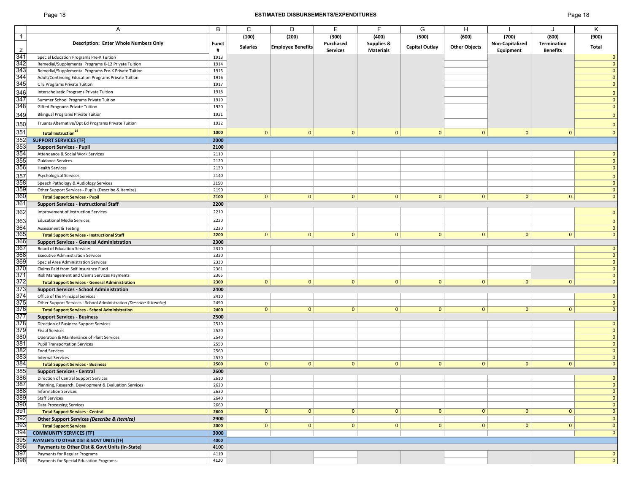#### Page 18 **ESTIMATED DISBURSEMENTS/EXPENDITURES** Page 18

|                | A                                                                   | B            | C               | D                        | Е               | F                     | G              | н                    |                 |                 | κ              |
|----------------|---------------------------------------------------------------------|--------------|-----------------|--------------------------|-----------------|-----------------------|----------------|----------------------|-----------------|-----------------|----------------|
| $\mathbf{1}$   |                                                                     |              | (100)           | (200)                    | (300)           | (400)                 | (500)          | (600)                | (700)           | (800)           | (900)          |
|                | <b>Description: Enter Whole Numbers Only</b>                        | <b>Funct</b> |                 |                          | Purchased       | <b>Supplies &amp;</b> |                |                      | Non-Capitalized | Termination     |                |
| $\overline{2}$ |                                                                     | #            | <b>Salaries</b> | <b>Employee Benefits</b> | <b>Services</b> | <b>Materials</b>      | Capital Outlay | <b>Other Objects</b> | Equipment       | <b>Benefits</b> | Total          |
| 341            | Special Education Programs Pre-K Tuition                            | 1913         |                 |                          |                 |                       |                |                      |                 |                 | $\mathbf{0}$   |
| 342            | Remedial/Supplemental Programs K-12 Private Tuition                 | 1914         |                 |                          |                 |                       |                |                      |                 |                 | $\mathbf{0}$   |
| 343            | Remedial/Supplemental Programs Pre-K Private Tuition                | 1915         |                 |                          |                 |                       |                |                      |                 |                 | $\mathbf{0}$   |
| 344            |                                                                     | 1916         |                 |                          |                 |                       |                |                      |                 |                 | $\mathbf{0}$   |
|                | Adult/Continuing Education Programs Private Tuition                 |              |                 |                          |                 |                       |                |                      |                 |                 |                |
| 345            | CTE Programs Private Tuition                                        | 1917         |                 |                          |                 |                       |                |                      |                 |                 | $\mathbf{0}$   |
| 346            | Interscholastic Programs Private Tuition                            | 1918         |                 |                          |                 |                       |                |                      |                 |                 | $\mathbf{0}$   |
| 347            | Summer School Programs Private Tuition                              | 1919         |                 |                          |                 |                       |                |                      |                 |                 | $\mathbf{0}$   |
| 348            | Gifted Programs Private Tuition                                     | 1920         |                 |                          |                 |                       |                |                      |                 |                 | $\mathbf{0}$   |
| 349            | <b>Bilingual Programs Private Tuition</b>                           | 1921         |                 |                          |                 |                       |                |                      |                 |                 |                |
|                |                                                                     |              |                 |                          |                 |                       |                |                      |                 |                 | $\mathbf 0$    |
| 350            | Truants Alternative/Opt Ed Programs Private Tuition                 | 1922         |                 |                          |                 |                       |                |                      |                 |                 | $\mathbf{0}$   |
| 351            | <b>Total Instruction</b> <sup>14</sup>                              | 1000         | $\mathbf{0}$    | $\mathbf{0}$             | $\mathbf{0}$    | $\mathbf{0}$          | $\mathbf{0}$   | $\mathbf{0}$         | $\mathbf{0}$    | $\Omega$        | $\mathbf{0}$   |
| 352            |                                                                     |              |                 |                          |                 |                       |                |                      |                 |                 |                |
|                | <b>SUPPORT SERVICES (TF)</b>                                        | 2000         |                 |                          |                 |                       |                |                      |                 |                 |                |
| 353            | <b>Support Services - Pupil</b>                                     | 2100         |                 |                          |                 |                       |                |                      |                 |                 |                |
| 354            | Attendance & Social Work Services                                   | 2110         |                 |                          |                 |                       |                |                      |                 |                 | $\mathbf{0}$   |
| 355            | <b>Guidance Services</b>                                            | 2120         |                 |                          |                 |                       |                |                      |                 |                 | $\mathbf{0}$   |
| 356            | <b>Health Services</b>                                              | 2130         |                 |                          |                 |                       |                |                      |                 |                 | $\mathbf{0}$   |
| 357            | <b>Psychological Services</b>                                       | 2140         |                 |                          |                 |                       |                |                      |                 |                 | $\mathbf{0}$   |
| 358            |                                                                     | 2150         |                 |                          |                 |                       |                |                      |                 |                 | $\mathbf{0}$   |
|                | Speech Pathology & Audiology Services                               |              |                 |                          |                 |                       |                |                      |                 |                 |                |
| 359<br>360     | Other Support Services - Pupils (Describe & Itemize)                | 2190         |                 |                          |                 |                       |                |                      |                 |                 | $\mathbf{0}$   |
|                | <b>Total Support Services - Pupil</b>                               | 2100         | $\mathbf{0}$    | $\mathbf{0}$             | $\mathbf{0}$    | $\mathbf{0}$          | $\mathbf{0}$   | $\mathbf{0}$         | $\mathbf{0}$    | $\mathbf{0}$    | $\mathbf{0}$   |
| 361            | <b>Support Services - Instructional Staff</b>                       | 2200         |                 |                          |                 |                       |                |                      |                 |                 |                |
| 362            | Improvement of Instruction Services                                 | 2210         |                 |                          |                 |                       |                |                      |                 |                 | $\mathbf{0}$   |
| 363            | <b>Educational Media Services</b>                                   | 2220         |                 |                          |                 |                       |                |                      |                 |                 | $\Omega$       |
| 364            |                                                                     |              |                 |                          |                 |                       |                |                      |                 |                 |                |
|                | <b>Assessment &amp; Testing</b>                                     | 2230         |                 |                          |                 |                       |                |                      |                 |                 | $\mathbf 0$    |
| 365            | <b>Total Support Services - Instructional Staff</b>                 | 2200         | $\mathbf{0}$    | $\overline{0}$           | $\mathbf{0}$    | $\mathbf{0}$          | $\mathbf{0}$   | $\mathbf{0}$         | $\mathbf{0}$    | $\mathbf{0}$    | $\mathbf{0}$   |
| 366            | <b>Support Services - General Administration</b>                    | 2300         |                 |                          |                 |                       |                |                      |                 |                 |                |
| 367            | <b>Board of Education Services</b>                                  | 2310         |                 |                          |                 |                       |                |                      |                 |                 | $\mathbf{0}$   |
| 368            | <b>Executive Administration Services</b>                            | 2320         |                 |                          |                 |                       |                |                      |                 |                 | $\mathbf{0}$   |
| 369            | Special Area Administration Services                                | 2330         |                 |                          |                 |                       |                |                      |                 |                 | $\mathbf{0}$   |
| 370            | Claims Paid from Self Insurance Fund                                | 2361         |                 |                          |                 |                       |                |                      |                 |                 | $\mathbf{0}$   |
| 371            | Risk Management and Claims Services Payments                        | 2365         |                 |                          |                 |                       |                |                      |                 |                 | $\mathbf{0}$   |
| 372            | <b>Total Support Services - General Administration</b>              | 2300         | 0               | 0 <sup>1</sup>           | 0               | $\mathbf{0}$          | 0              | 0                    | $\mathbf{0}$    | $\mathbf{0}$    | $\mathbf{0}$   |
| 373            | <b>Support Services - School Administration</b>                     | 2400         |                 |                          |                 |                       |                |                      |                 |                 |                |
| 374            | Office of the Principal Services                                    | 2410         |                 |                          |                 |                       |                |                      |                 |                 | $\mathbf{0}$   |
| 375            |                                                                     |              |                 |                          |                 |                       |                |                      |                 |                 |                |
| 376            | Other Support Services - School Administration (Describe & Itemize) | 2490         |                 |                          |                 |                       |                |                      |                 |                 | $\mathbf{0}$   |
|                | <b>Total Support Services - School Administration</b>               | 2400         | $\mathbf{0}$    | $\overline{0}$           | $\mathbf{0}$    | $\mathbf{0}$          | $\mathbf{0}$   | $\mathbf{0}$         | $\mathbf{0}$    | $\mathbf{0}$    | $\mathbf{0}$   |
| 377            | <b>Support Services - Business</b>                                  | 2500         |                 |                          |                 |                       |                |                      |                 |                 |                |
| 378            | Direction of Business Support Services                              | 2510         |                 |                          |                 |                       |                |                      |                 |                 | $\mathbf{0}$   |
| 379            | <b>Fiscal Services</b>                                              | 2520         |                 |                          |                 |                       |                |                      |                 |                 | $\mathbf{0}$   |
| 380            | Operation & Maintenance of Plant Services                           | 2540         |                 |                          |                 |                       |                |                      |                 |                 | $\mathbf{0}$   |
| 381            | <b>Pupil Transportation Services</b>                                | 2550         |                 |                          |                 |                       |                |                      |                 |                 | $\mathbf{0}$   |
| 382            | <b>Food Services</b>                                                | 2560         |                 |                          |                 |                       |                |                      |                 |                 | $\mathbf{0}$   |
| 383            | <b>Internal Services</b>                                            | 2570         |                 |                          |                 |                       |                |                      |                 |                 | $\mathbf{0}$   |
| 384            | <b>Total Support Services - Business</b>                            | 2500         | 0               | 0 <sup>1</sup>           | 0               | $\mathbf{0}$          | $\mathbf{0}$   | 0                    | $\mathbf{0}$    | $\mathbf{0}$    | $\mathbf{0}$   |
| 385            | <b>Support Services - Central</b>                                   | 2600         |                 |                          |                 |                       |                |                      |                 |                 |                |
| 386            |                                                                     | 2610         |                 |                          |                 |                       |                |                      |                 |                 | $\mathbf{0}$   |
|                | Direction of Central Support Services                               |              |                 |                          |                 |                       |                |                      |                 |                 |                |
| 387            | Planning, Research, Development & Evaluation Services               | 2620         |                 |                          |                 |                       |                |                      |                 |                 | $\mathbf 0$    |
| 388            | <b>Information Services</b>                                         | 2630         |                 |                          |                 |                       |                |                      |                 |                 | $\mathbf 0$    |
| 389            | <b>Staff Services</b>                                               | 2640         |                 |                          |                 |                       |                |                      |                 |                 | $\mathbf{0}$   |
| 390            | <b>Data Processing Services</b>                                     | 2660         |                 |                          |                 |                       |                |                      |                 |                 | $\mathbf{0}$   |
| 391            | <b>Total Support Services - Central</b>                             | 2600         | 0               | 0                        | 0               | $\mathbf{0}$          | 0              | 0                    | $\mathbf{0}$    | $\mathbf{0}$    | $\mathbf{0}$   |
| 392            | Other Support Services (Describe & Itemize)                         | 2900         |                 |                          |                 |                       |                |                      |                 |                 | $\overline{0}$ |
| 393            | <b>Total Support Services</b>                                       | 2000         | 0               | 0 <sup>1</sup>           | 0               | $\overline{0}$        | 0              | 0                    | 0               | 0               | $\mathbf{0}$   |
| 394            | <b>COMMUNITY SERVICES (TF)</b>                                      | 3000         |                 |                          |                 |                       |                |                      |                 |                 | $\mathbf{0}$   |
| 395            | PAYMENTS TO OTHER DIST & GOVT UNITS (TF)                            | 4000         |                 |                          |                 |                       |                |                      |                 |                 |                |
| 396            |                                                                     |              |                 |                          |                 |                       |                |                      |                 |                 |                |
| 397            | Payments to Other Dist & Govt Units (In-State)                      | 4100         |                 |                          |                 |                       |                |                      |                 |                 |                |
|                | Payments for Regular Programs                                       | 4110         |                 |                          |                 |                       |                |                      |                 |                 | $\mathbf{0}$   |
| 398            | Payments for Special Education Programs                             | 4120         |                 |                          |                 |                       |                |                      |                 |                 | $\mathbf 0$    |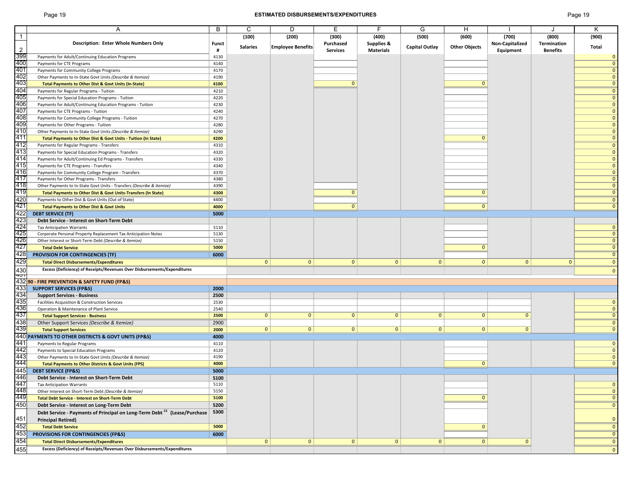#### Page 19 **ESTIMATED DISBURSEMENTS/EXPENDITURES** Page 19

| апе |  |
|-----|--|
|-----|--|

|                | Α                                                                                    | B     | C               | D                        | E               | F.               | G              | H                    |                 | J               | Κ                           |
|----------------|--------------------------------------------------------------------------------------|-------|-----------------|--------------------------|-----------------|------------------|----------------|----------------------|-----------------|-----------------|-----------------------------|
|                |                                                                                      |       |                 |                          |                 |                  |                |                      |                 |                 |                             |
| 1              |                                                                                      |       | (100)           | (200)                    | (300)           | (400)            | (500)          | (600)                | (700)           | (800)           | (900)                       |
|                | Description: Enter Whole Numbers Only                                                | Funct | <b>Salaries</b> | <b>Employee Benefits</b> | Purchased       | Supplies &       | Capital Outlay | <b>Other Objects</b> | Non-Capitalized | Termination     | Total                       |
| $\overline{2}$ |                                                                                      | #     |                 |                          | <b>Services</b> | <b>Materials</b> |                |                      | Equipment       | <b>Benefits</b> |                             |
| 399            | Payments for Adult/Continuing Education Programs                                     | 4130  |                 |                          |                 |                  |                |                      |                 |                 | $\mathbf{0}$                |
| 400            | Payments for CTE Programs                                                            | 4140  |                 |                          |                 |                  |                |                      |                 |                 | $\Omega$                    |
| 401            | Payments for Community College Programs                                              | 4170  |                 |                          |                 |                  |                |                      |                 |                 | $\Omega$                    |
| 402            | Other Payments to In-State Govt Units (Describe & Itemize)                           | 4190  |                 |                          |                 |                  |                |                      |                 |                 | $\mathbf{0}$                |
| 403            | Total Payments to Other Dist & Govt Units (In-State)                                 | 4100  |                 |                          | $\Omega$        |                  |                |                      |                 |                 | $\Omega$                    |
| 404            | Payments for Regular Programs - Tuition                                              | 4210  |                 |                          |                 |                  |                |                      |                 |                 | $\mathbf{0}$                |
| 405            | Payments for Special Education Programs - Tuition                                    | 4220  |                 |                          |                 |                  |                |                      |                 |                 | $\Omega$                    |
| 406            | Payments for Adult/Continuing Education Programs - Tuition                           | 4230  |                 |                          |                 |                  |                |                      |                 |                 | $\Omega$                    |
| 407            | Payments for CTE Programs - Tuition                                                  | 4240  |                 |                          |                 |                  |                |                      |                 |                 | $\Omega$                    |
| 408            | Payments for Community College Programs - Tuition                                    | 4270  |                 |                          |                 |                  |                |                      |                 |                 | $\mathbf{0}$                |
| 409            | Payments for Other Programs - Tuition                                                | 4280  |                 |                          |                 |                  |                |                      |                 |                 | $\mathbf{0}$                |
| 410            |                                                                                      | 4290  |                 |                          |                 |                  |                |                      |                 |                 | $\Omega$                    |
| 411            | Other Payments to In-State Govt Units (Describe & Itemize)                           |       |                 |                          |                 |                  |                | $\Omega$             |                 |                 | $\Omega$                    |
|                | Total Payments to Other Dist & Govt Units - Tuition (In State)                       | 4200  |                 |                          |                 |                  |                |                      |                 |                 |                             |
| 412            | Payments for Regular Programs - Transfers                                            | 4310  |                 |                          |                 |                  |                |                      |                 |                 | $\Omega$                    |
| 413            | Payments for Special Education Programs - Transfers                                  | 4320  |                 |                          |                 |                  |                |                      |                 |                 | $\Omega$                    |
| 414            | Payments for Adult/Continuing Ed Programs - Transfers                                | 4330  |                 |                          |                 |                  |                |                      |                 |                 | $\mathbf{0}$                |
| 415            | Payments for CTE Programs - Transfers                                                | 4340  |                 |                          |                 |                  |                |                      |                 |                 | $\mathbf{0}$                |
| 416            | Payments for Community College Program - Transfers                                   | 4370  |                 |                          |                 |                  |                |                      |                 |                 | $\Omega$                    |
| 417            | Payments for Other Programs - Transfers                                              | 4380  |                 |                          |                 |                  |                |                      |                 |                 | $\Omega$                    |
| 418            | Other Payments to In-State Govt Units - Transfers (Describe & Itemize)               | 4390  |                 |                          |                 |                  |                |                      |                 |                 | $\Omega$                    |
| 419            | Total Payments to Other Dist & Govt Units-Transfers (In State)                       | 4300  |                 |                          | $\mathbf{0}$    |                  |                | $\mathbf{0}$         |                 |                 | $\mathbf{0}$                |
| 420            | Payments to Other Dist & Govt Units (Out of State)                                   | 4400  |                 |                          |                 |                  |                |                      |                 |                 | $\mathbf{0}$                |
| 421            | <b>Total Payments to Other Dist &amp; Govt Units</b>                                 | 4000  |                 |                          | $\mathbf{0}$    |                  |                | $\mathbf{0}$         |                 |                 | $\Omega$                    |
| 422            | <b>DEBT SERVICE (TF)</b>                                                             | 5000  |                 |                          |                 |                  |                |                      |                 |                 |                             |
| 423            | Debt Service - Interest on Short-Term Debt                                           |       |                 |                          |                 |                  |                |                      |                 |                 |                             |
| 424            | <b>Tax Anticipation Warrants</b>                                                     | 5110  |                 |                          |                 |                  |                |                      |                 |                 | $\Omega$                    |
| 425            | Corporate Personal Property Replacement Tax Anticipation Notes                       | 5130  |                 |                          |                 |                  |                |                      |                 |                 | $\Omega$                    |
| 426            | Other Interest or Short-Term Debt (Describe & Itemize)                               | 5150  |                 |                          |                 |                  |                |                      |                 |                 | $\mathbf{0}$                |
| 427            |                                                                                      | 5000  |                 |                          |                 |                  |                | $\mathbf{0}$         |                 |                 | $\Omega$                    |
| 428            | <b>Total Debt Service</b>                                                            |       |                 |                          |                 |                  |                |                      |                 |                 |                             |
|                | <b>PROVISION FOR CONTINGENCIES (TF)</b>                                              | 6000  |                 |                          |                 |                  |                |                      |                 |                 | $\mathbf{0}$                |
| 429            | <b>Total Direct Disbursements/Expenditures</b>                                       |       | $\mathbf{0}$    | 0                        | 0               | $\mathbf{0}$     | $\mathbf{0}$   | $\overline{0}$       | $\overline{0}$  | $\mathbf{0}$    | $\mathbf{0}$                |
| 430            | Excess (Deficiency) of Receipts/Revenues Over Disbursements/Expenditures             |       |                 |                          |                 |                  |                |                      |                 |                 | $\Omega$                    |
| मजा            |                                                                                      |       |                 |                          |                 |                  |                |                      |                 |                 |                             |
|                | 432 90 - FIRE PREVENTION & SAFETY FUND (FP&S)                                        |       |                 |                          |                 |                  |                |                      |                 |                 |                             |
| 433            | <b>SUPPORT SERVICES (FP&amp;S)</b>                                                   | 2000  |                 |                          |                 |                  |                |                      |                 |                 |                             |
| 434            | <b>Support Services - Business</b>                                                   | 2500  |                 |                          |                 |                  |                |                      |                 |                 |                             |
| 435            | Facilities Acquisition & Construction Services                                       | 2530  |                 |                          |                 |                  |                |                      |                 |                 | $\Omega$                    |
| 436            | Operation & Maintenance of Plant Service                                             | 2540  |                 |                          |                 |                  |                |                      |                 |                 | $\mathbf{0}$                |
| 437            | <b>Total Support Services - Business</b>                                             | 2500  | $\overline{0}$  | $\overline{0}$           | $\overline{0}$  | $\mathbf{0}$     | $\mathbf{0}$   | $\mathbf{0}$         | $\mathbf{0}$    |                 | $\Omega$                    |
| 438            | Other Support Services (Describe & Itemize)                                          | 2900  |                 |                          |                 |                  |                |                      |                 |                 | $\mathbf{0}$                |
| 439            | <b>Total Support Services</b>                                                        | 2000  | $\mathbf{0}$    | $\overline{0}$           | 0               | $\mathbf{0}$     | $\mathbf{0}$   | $\mathbf{0}$         | $\mathbf{0}$    |                 | $\Omega$                    |
|                | 440 PAYMENTS TO OTHER DISTRICTS & GOVT UNITS (FP&S)                                  | 4000  |                 |                          |                 |                  |                |                      |                 |                 |                             |
| 441            | Payments to Regular Programs                                                         | 4110  |                 |                          |                 |                  |                |                      |                 |                 | $\Omega$                    |
| 442            | Payments to Special Education Programs                                               | 4120  |                 |                          |                 |                  |                |                      |                 |                 | $\Omega$                    |
| 443            | Other Payments to In-State Govt Units (Describe & Itemize)                           | 4190  |                 |                          |                 |                  |                |                      |                 |                 | $\mathbf{0}$                |
| 444            | <b>Total Payments to Other Districts &amp; Govt Units (FPS)</b>                      | 4000  |                 |                          |                 |                  |                | $\mathbf{0}$         |                 |                 | $\Omega$                    |
| 445            | <b>DEBT SERVICE (FP&amp;S)</b>                                                       | 5000  |                 |                          |                 |                  |                |                      |                 |                 |                             |
| 446            | Debt Service - Interest on Short-Term Debt                                           | 5100  |                 |                          |                 |                  |                |                      |                 |                 |                             |
| 447            |                                                                                      |       |                 |                          |                 |                  |                |                      |                 |                 |                             |
| 448            | Tax Anticipation Warrants                                                            | 5110  |                 |                          |                 |                  |                |                      |                 |                 | 0                           |
| 449            | Other Interest on Short-Term Debt (Describe & Itemize)                               | 5150  |                 |                          |                 |                  |                | $\mathbf{0}$         |                 |                 | $\mathbf 0$<br>$\mathbf{0}$ |
|                | <b>Total Debt Service - Interest on Short-Term Debt</b>                              | 5100  |                 |                          |                 |                  |                |                      |                 |                 |                             |
| 450            | Debt Service - Interest on Long-Term Debt                                            | 5200  |                 |                          |                 |                  |                |                      |                 |                 | $\mathbf{0}$                |
|                | Debt Service - Payments of Principal on Long-Term Debt <sup>15</sup> (Lease/Purchase | 5300  |                 |                          |                 |                  |                |                      |                 |                 |                             |
| 451            | <b>Principal Retired)</b>                                                            |       |                 |                          |                 |                  |                |                      |                 |                 | $\mathbf{0}$                |
| 452            | <b>Total Debt Service</b>                                                            | 5000  |                 |                          |                 |                  |                | $\mathbf{0}$         |                 |                 | $\mathbf{0}$                |
| 453            | PROVISIONS FOR CONTINGENCIES (FP&S)                                                  | 6000  |                 |                          |                 |                  |                |                      |                 |                 | $\mathbf 0$                 |
| 454            | <b>Total Direct Disbursements/Expenditures</b>                                       |       | $\mathbf{0}$    | $\mathbf{0}$             | 0               | $\mathbf{0}$     | $\mathbf{0}$   | 0                    | $\mathbf{0}$    |                 | $\mathbf 0$                 |
| 455            | Excess (Deficiency) of Receipts/Revenues Over Disbursements/Expenditures             |       |                 |                          |                 |                  |                |                      |                 |                 | $\mathbf{0}$                |
|                |                                                                                      |       |                 |                          |                 |                  |                |                      |                 |                 |                             |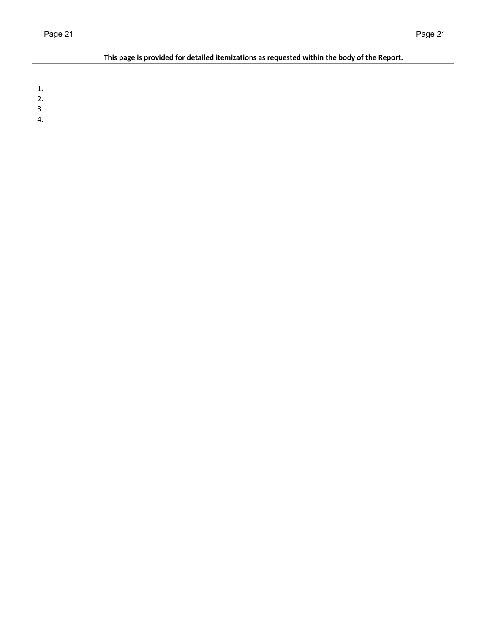# **This page is provided for detailed itemizations as requested within the body of the Report.**

1.

2.

3.

4.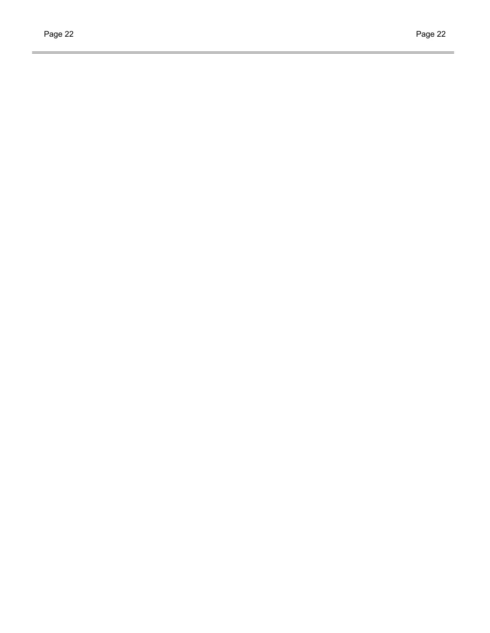$\equiv$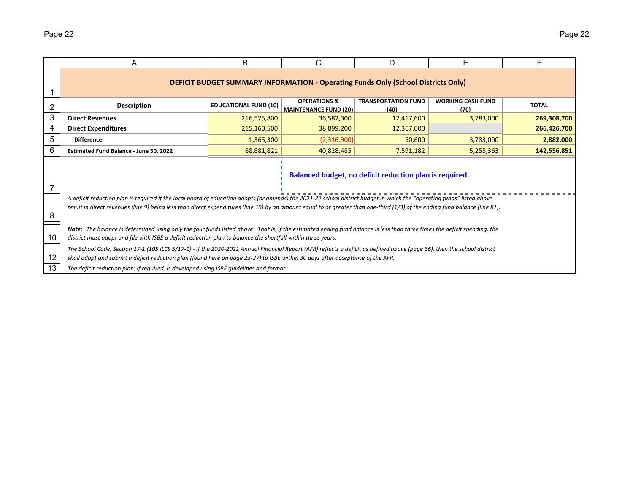|                | A                                                                                                                                                                                                                                                                                                                                                      | B                                                            | C                                                       | D                                                                                        | E                                | F            |  |  |  |  |  |  |  |  |  |
|----------------|--------------------------------------------------------------------------------------------------------------------------------------------------------------------------------------------------------------------------------------------------------------------------------------------------------------------------------------------------------|--------------------------------------------------------------|---------------------------------------------------------|------------------------------------------------------------------------------------------|----------------------------------|--------------|--|--|--|--|--|--|--|--|--|
|                |                                                                                                                                                                                                                                                                                                                                                        |                                                              |                                                         | <b>DEFICIT BUDGET SUMMARY INFORMATION - Operating Funds Only (School Districts Only)</b> |                                  |              |  |  |  |  |  |  |  |  |  |
| $\overline{2}$ | <b>Description</b>                                                                                                                                                                                                                                                                                                                                     | <b>EDUCATIONAL FUND (10)</b>                                 | <b>OPERATIONS &amp;</b><br><b>MAINTENANCE FUND (20)</b> | <b>TRANSPORTATION FUND</b><br>(40)                                                       | <b>WORKING CASH FUND</b><br>(70) | <b>TOTAL</b> |  |  |  |  |  |  |  |  |  |
| 3              | <b>Direct Revenues</b>                                                                                                                                                                                                                                                                                                                                 | 216,525,800                                                  | 36,582,300                                              | 12,417,600                                                                               | 3,783,000                        | 269,308,700  |  |  |  |  |  |  |  |  |  |
| 4              | <b>Direct Expenditures</b>                                                                                                                                                                                                                                                                                                                             | 215,160,500                                                  | 38,899,200                                              | 12,367,000                                                                               |                                  | 266,426,700  |  |  |  |  |  |  |  |  |  |
| 5              | <b>Difference</b>                                                                                                                                                                                                                                                                                                                                      | 1,365,300<br>(2,316,900)<br>50,600<br>2,882,000<br>3,783,000 |                                                         |                                                                                          |                                  |              |  |  |  |  |  |  |  |  |  |
| 6              | 142,556,851<br>Estimated Fund Balance - June 30, 2022<br>88,881,821<br>40,828,485<br>7,591,182<br>5,255,363                                                                                                                                                                                                                                            |                                                              |                                                         |                                                                                          |                                  |              |  |  |  |  |  |  |  |  |  |
|                | Balanced budget, no deficit reduction plan is required.                                                                                                                                                                                                                                                                                                |                                                              |                                                         |                                                                                          |                                  |              |  |  |  |  |  |  |  |  |  |
| 8              | A deficit reduction plan is required if the local board of education adopts (or amends) the 2021-22 school district budget in which the "operating funds" listed above<br>result in direct revenues (line 9) being less than direct expenditures (line 19) by an amount equal to or greater than one-third (1/3) of the ending fund balance (line 81). |                                                              |                                                         |                                                                                          |                                  |              |  |  |  |  |  |  |  |  |  |
| 10             | Note: The balance is determined using only the four funds listed above. That is, if the estimated ending fund balance is less than three times the deficit spending, the<br>district must adopt and file with ISBE a deficit reduction plan to balance the shortfall within three years.                                                               |                                                              |                                                         |                                                                                          |                                  |              |  |  |  |  |  |  |  |  |  |
| 12             | The School Code, Section 17-1 (105 ILCS 5/17-1) - If the 2020-2021 Annual Financial Report (AFR) reflects a deficit as defined above (page 36), then the school district<br>shall adopt and submit a deficit reduction plan (found here on page 23-27) to ISBE within 30 days after acceptance of the AFR.                                             |                                                              |                                                         |                                                                                          |                                  |              |  |  |  |  |  |  |  |  |  |
| 13             | The deficit reduction plan, if required, is developed using ISBE guidelines and format.                                                                                                                                                                                                                                                                |                                                              |                                                         |                                                                                          |                                  |              |  |  |  |  |  |  |  |  |  |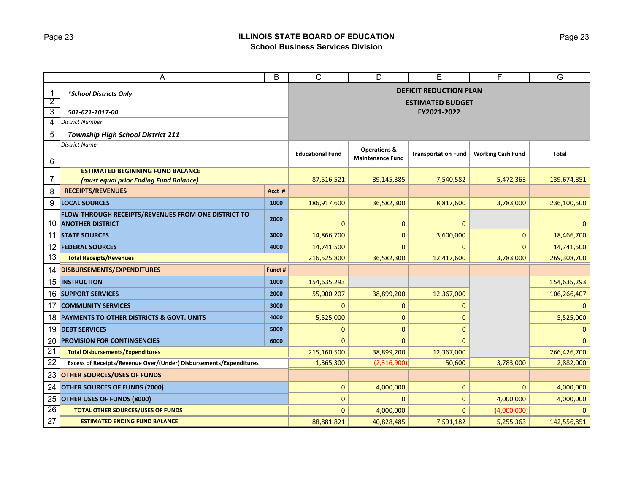# Page 23 **ILLINOIS STATE BOARD OF EDUCATION School Business Services Division**

|                  | A                                                                                 | B       | $\overline{\text{c}}$   | D                                                  | E                             | F                        | $\overline{G}$ |
|------------------|-----------------------------------------------------------------------------------|---------|-------------------------|----------------------------------------------------|-------------------------------|--------------------------|----------------|
| $\mathbf 1$      | *School Districts Only                                                            |         |                         |                                                    | <b>DEFICIT REDUCTION PLAN</b> |                          |                |
| 2                |                                                                                   |         |                         |                                                    | <b>ESTIMATED BUDGET</b>       |                          |                |
| $\overline{3}$   | 501-621-1017-00                                                                   |         |                         |                                                    | FY2021-2022                   |                          |                |
| 4                | <b>District Number</b>                                                            |         |                         |                                                    |                               |                          |                |
| 5                | <b>Township High School District 211</b>                                          |         |                         |                                                    |                               |                          |                |
| 6                | <b>District Name</b>                                                              |         | <b>Educational Fund</b> | <b>Operations &amp;</b><br><b>Maintenance Fund</b> | <b>Transportation Fund</b>    | <b>Working Cash Fund</b> | <b>Total</b>   |
|                  | <b>ESTIMATED BEGINNING FUND BALANCE</b>                                           |         |                         |                                                    |                               |                          |                |
| 7                | (must equal prior Ending Fund Balance)                                            |         | 87,516,521              | 39,145,385                                         | 7,540,582                     | 5,472,363                | 139,674,851    |
| 8                | <b>RECEIPTS/REVENUES</b>                                                          | Acct #  |                         |                                                    |                               |                          |                |
| 9                | <b>LOCAL SOURCES</b>                                                              | 1000    | 186,917,600             | 36,582,300                                         | 8,817,600                     | 3,783,000                | 236,100,500    |
|                  | FLOW-THROUGH RECEIPTS/REVENUES FROM ONE DISTRICT TO<br><b>10 ANOTHER DISTRICT</b> | 2000    | 0                       | 0                                                  | $\mathbf{0}$                  |                          | $\mathbf{0}$   |
| 11               | <b>STATE SOURCES</b>                                                              | 3000    | 14,866,700              | $\mathbf{0}$                                       | 3,600,000                     | $\mathbf{0}$             | 18,466,700     |
|                  | 12 <b>FEDERAL SOURCES</b>                                                         | 4000    | 14,741,500              | $\overline{0}$                                     | $\mathbf{0}$                  | 0                        | 14,741,500     |
| 13               | <b>Total Receipts/Revenues</b>                                                    |         | 216,525,800             | 36,582,300                                         | 12,417,600                    | 3,783,000                | 269,308,700    |
| 14               | <b>DISBURSEMENTS/EXPENDITURES</b>                                                 | Funct # |                         |                                                    |                               |                          |                |
| 15 <sup>15</sup> | <b>INSTRUCTION</b>                                                                | 1000    | 154,635,293             |                                                    |                               |                          | 154,635,293    |
|                  | <b>16 SUPPORT SERVICES</b>                                                        | 2000    | 55,000,207              | 38,899,200                                         | 12,367,000                    |                          | 106,266,407    |
| 17               | <b>COMMUNITY SERVICES</b>                                                         | 3000    | $\Omega$                | 0                                                  | $\Omega$                      |                          | <sup>n</sup>   |
|                  | 18 PAYMENTS TO OTHER DISTRICTS & GOVT. UNITS                                      | 4000    | 5,525,000               | $\mathbf{0}$                                       | $\Omega$                      |                          | 5,525,000      |
| 19               | <b>DEBT SERVICES</b>                                                              | 5000    | $\mathbf{0}$            | $\mathbf{0}$                                       | $\Omega$                      |                          | $\mathbf{0}$   |
| 20               | <b>PROVISION FOR CONTINGENCIES</b>                                                | 6000    | $\mathbf{0}$            | $\Omega$                                           | $\Omega$                      |                          | $\Omega$       |
| $\overline{21}$  | <b>Total Disbursements/Expenditures</b>                                           |         | 215,160,500             | 38,899,200                                         | 12,367,000                    |                          | 266,426,700    |
| 22               | Excess of Receipts/Revenue Over/(Under) Disbursements/Expenditures                |         | 1,365,300               | (2,316,900)                                        | 50,600                        | 3,783,000                | 2,882,000      |
| 23               | <b>OTHER SOURCES/USES OF FUNDS</b>                                                |         |                         |                                                    |                               |                          |                |
| 24               | <b>OTHER SOURCES OF FUNDS (7000)</b>                                              |         | $\mathbf{0}$            | 4,000,000                                          | $\mathbf 0$                   | $\mathbf{0}$             | 4,000,000      |
| 25               | <b>OTHER USES OF FUNDS (8000)</b>                                                 |         | 0                       | $\mathbf{0}$                                       | $\overline{0}$                | 4,000,000                | 4,000,000      |
| $\overline{26}$  | <b>TOTAL OTHER SOURCES/USES OF FUNDS</b>                                          |         | $\mathbf{0}$            | 4,000,000                                          | $\mathbf{0}$                  | (4,000,000)              | $\Omega$       |
| $\overline{27}$  | <b>ESTIMATED ENDING FUND BALANCE</b>                                              |         | 88,881,821              | 40,828,485                                         | 7,591,182                     | 5,255,363                | 142,556,851    |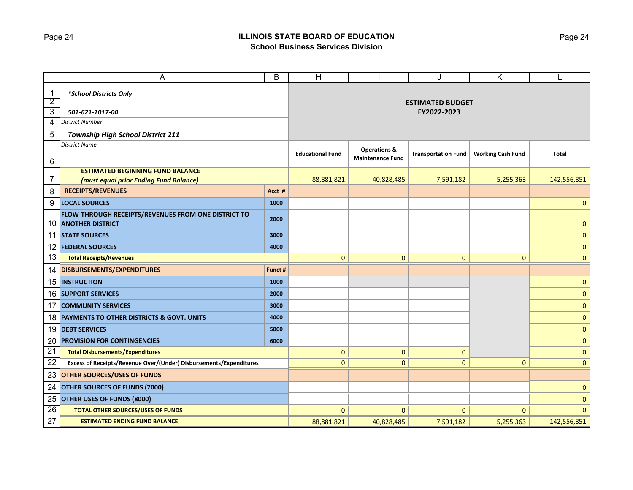# Page 24 **ILLINOIS STATE BOARD OF EDUCATION School Business Services Division**

|                 | A                                                                          | B       | H                       |                                                    | J                          | $\overline{\mathsf{K}}$  |              |
|-----------------|----------------------------------------------------------------------------|---------|-------------------------|----------------------------------------------------|----------------------------|--------------------------|--------------|
| $\mathbf 1$     | *School Districts Only                                                     |         |                         |                                                    |                            |                          |              |
| 2               |                                                                            |         |                         |                                                    | <b>ESTIMATED BUDGET</b>    |                          |              |
| $\overline{3}$  | 501-621-1017-00                                                            |         |                         |                                                    | FY2022-2023                |                          |              |
| 4               | <b>District Number</b>                                                     |         |                         |                                                    |                            |                          |              |
| 5               | Township High School District 211                                          |         |                         |                                                    |                            |                          |              |
| 6               | <b>District Name</b>                                                       |         | <b>Educational Fund</b> | <b>Operations &amp;</b><br><b>Maintenance Fund</b> | <b>Transportation Fund</b> | <b>Working Cash Fund</b> | <b>Total</b> |
|                 | <b>ESTIMATED BEGINNING FUND BALANCE</b>                                    |         |                         |                                                    |                            |                          |              |
| 7               | (must equal prior Ending Fund Balance)                                     |         | 88,881,821              | 40,828,485                                         | 7,591,182                  | 5.255.363                | 142,556,851  |
| 8               | <b>RECEIPTS/REVENUES</b>                                                   | Acct #  |                         |                                                    |                            |                          |              |
| 9               | <b>LOCAL SOURCES</b>                                                       | 1000    |                         |                                                    |                            |                          | $\mathbf 0$  |
|                 | FLOW-THROUGH RECEIPTS/REVENUES FROM ONE DISTRICT TO<br>10 ANOTHER DISTRICT | 2000    |                         |                                                    |                            |                          | $\mathbf{0}$ |
| 11              | <b>STATE SOURCES</b>                                                       | 3000    |                         |                                                    |                            |                          | $\mathbf 0$  |
|                 | 12 <b>FEDERAL SOURCES</b>                                                  | 4000    |                         |                                                    |                            |                          | $\pmb{0}$    |
| 13              | <b>Total Receipts/Revenues</b>                                             |         | 0                       | 0                                                  | $\mathbf 0$                | $\mathbf{0}$             | $\mathbf{0}$ |
| 14              | DISBURSEMENTS/EXPENDITURES                                                 | Funct # |                         |                                                    |                            |                          |              |
| 15              | <b>INSTRUCTION</b>                                                         | 1000    |                         |                                                    |                            |                          | $\mathbf 0$  |
|                 | 16 SUPPORT SERVICES                                                        | 2000    |                         |                                                    |                            |                          | $\mathbf{0}$ |
| 17              | <b>COMMUNITY SERVICES</b>                                                  | 3000    |                         |                                                    |                            |                          | $\mathbf 0$  |
|                 | 18 PAYMENTS TO OTHER DISTRICTS & GOVT. UNITS                               | 4000    |                         |                                                    |                            |                          | $\mathbf{0}$ |
| 19              | <b>DEBT SERVICES</b>                                                       | 5000    |                         |                                                    |                            |                          | $\mathbf 0$  |
| 20              | <b>PROVISION FOR CONTINGENCIES</b>                                         | 6000    |                         |                                                    |                            |                          | $\mathbf 0$  |
| $\overline{21}$ | <b>Total Disbursements/Expenditures</b>                                    |         | 0                       | $\mathbf{0}$                                       | $\mathbf 0$                |                          | $\mathbf{0}$ |
| 22              | Excess of Receipts/Revenue Over/(Under) Disbursements/Expenditures         |         | $\overline{0}$          | $\mathbf{0}$                                       | $\mathbf 0$                | $\mathbf{0}$             | $\mathbf{0}$ |
| 23              | <b>OTHER SOURCES/USES OF FUNDS</b>                                         |         |                         |                                                    |                            |                          |              |
| 24              | <b>OTHER SOURCES OF FUNDS (7000)</b>                                       |         |                         |                                                    |                            |                          | $\mathbf{0}$ |
| 25              | <b>OTHER USES OF FUNDS (8000)</b>                                          |         |                         |                                                    |                            |                          | $\mathbf 0$  |
| 26              | <b>TOTAL OTHER SOURCES/USES OF FUNDS</b>                                   |         | $\mathbf{0}$            | $\mathbf{0}$                                       | $\mathbf{0}$               | $\Omega$                 | $\Omega$     |
| $\overline{27}$ | <b>ESTIMATED ENDING FUND BALANCE</b>                                       |         | 88,881,821              | 40,828,485                                         | 7,591,182                  | 5,255,363                | 142,556,851  |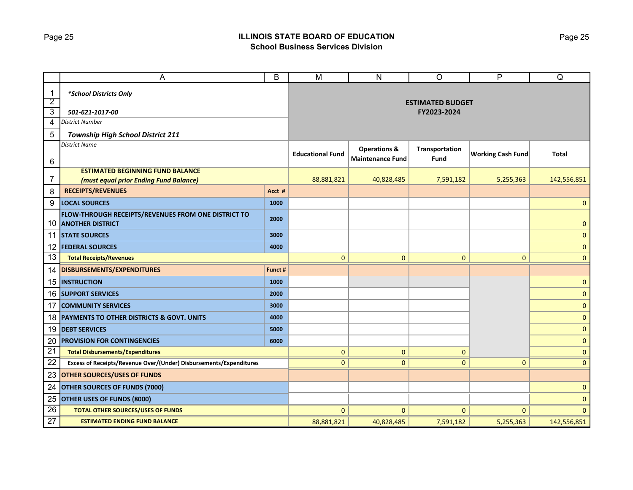# Page 25 **ILLINOIS STATE BOARD OF EDUCATION School Business Services Division**

|                 | A                                                                          | B       | $\overline{\mathsf{M}}$ | N                                                  | $\circ$                 | P                        | Q            |
|-----------------|----------------------------------------------------------------------------|---------|-------------------------|----------------------------------------------------|-------------------------|--------------------------|--------------|
| $\mathbf 1$     | *School Districts Only                                                     |         |                         |                                                    |                         |                          |              |
| 2               |                                                                            |         |                         |                                                    | <b>ESTIMATED BUDGET</b> |                          |              |
| $\overline{3}$  | 501-621-1017-00                                                            |         |                         |                                                    | FY2023-2024             |                          |              |
| 4               | <b>District Number</b>                                                     |         |                         |                                                    |                         |                          |              |
| 5               | <b>Township High School District 211</b>                                   |         |                         |                                                    |                         |                          |              |
| 6               | <b>District Name</b>                                                       |         | <b>Educational Fund</b> | <b>Operations &amp;</b><br><b>Maintenance Fund</b> | Transportation<br>Fund  | <b>Working Cash Fund</b> | Total        |
|                 | <b>ESTIMATED BEGINNING FUND BALANCE</b>                                    |         |                         |                                                    |                         |                          |              |
| 7               | (must equal prior Ending Fund Balance)                                     |         | 88,881,821              | 40,828,485                                         | 7,591,182               | 5,255,363                | 142,556,851  |
| 8               | <b>RECEIPTS/REVENUES</b>                                                   | Acct #  |                         |                                                    |                         |                          |              |
| 9               | <b>LOCAL SOURCES</b>                                                       | 1000    |                         |                                                    |                         |                          | 0            |
|                 | FLOW-THROUGH RECEIPTS/REVENUES FROM ONE DISTRICT TO<br>10 ANOTHER DISTRICT | 2000    |                         |                                                    |                         |                          | 0            |
| 11              | <b>STATE SOURCES</b>                                                       | 3000    |                         |                                                    |                         |                          | $\mathbf{0}$ |
| 12              | <b>FEDERAL SOURCES</b>                                                     | 4000    |                         |                                                    |                         |                          | $\mathbf 0$  |
| 13              | <b>Total Receipts/Revenues</b>                                             |         | 0                       | $\mathbf{0}$                                       | 0                       | $\mathbf{0}$             | $\mathbf{0}$ |
| 14              | DISBURSEMENTS/EXPENDITURES                                                 | Funct # |                         |                                                    |                         |                          |              |
| 15              | <b>INSTRUCTION</b>                                                         | 1000    |                         |                                                    |                         |                          | $\mathbf 0$  |
|                 | 16 SUPPORT SERVICES                                                        | 2000    |                         |                                                    |                         |                          | 0            |
| 17              | <b>COMMUNITY SERVICES</b>                                                  | 3000    |                         |                                                    |                         |                          | 0            |
|                 | 18 PAYMENTS TO OTHER DISTRICTS & GOVT. UNITS                               | 4000    |                         |                                                    |                         |                          | 0            |
| 19              | <b>DEBT SERVICES</b>                                                       | 5000    |                         |                                                    |                         |                          | $\mathbf 0$  |
| 20              | <b>PROVISION FOR CONTINGENCIES</b>                                         | 6000    |                         |                                                    |                         |                          | 0            |
| $\overline{21}$ | <b>Total Disbursements/Expenditures</b>                                    |         | 0                       | $\mathbf{0}$                                       | 0                       |                          | 0            |
| 22              | Excess of Receipts/Revenue Over/(Under) Disbursements/Expenditures         |         | 0                       | $\mathbf{0}$                                       | 0                       | $\mathbf{0}$             | $\mathbf{0}$ |
| 23              | <b>OTHER SOURCES/USES OF FUNDS</b>                                         |         |                         |                                                    |                         |                          |              |
| 24              | OTHER SOURCES OF FUNDS (7000)                                              |         |                         |                                                    |                         |                          | 0            |
| 25              | <b>OTHER USES OF FUNDS (8000)</b>                                          |         |                         |                                                    |                         |                          | $\mathbf 0$  |
| 26              | <b>TOTAL OTHER SOURCES/USES OF FUNDS</b>                                   |         | $\mathbf{0}$            | $\mathbf{0}$                                       | $\mathbf{0}$            | $\Omega$                 | $\mathbf{0}$ |
| $\overline{27}$ | <b>ESTIMATED ENDING FUND BALANCE</b>                                       |         | 88,881,821              | 40,828,485                                         | 7,591,182               | 5,255,363                | 142,556,851  |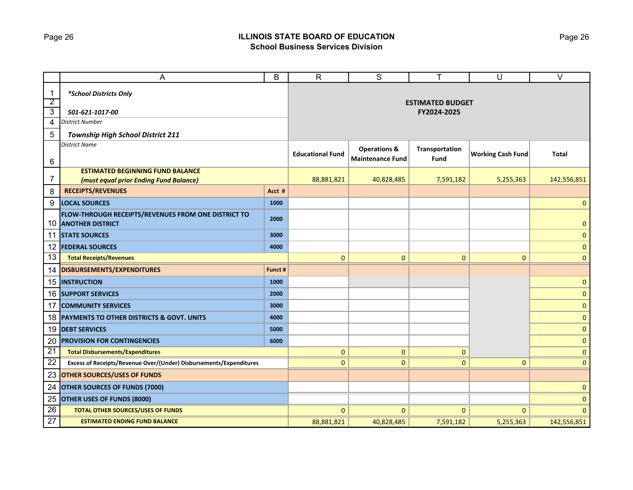# Page 26 **ILLINOIS STATE BOARD OF EDUCATION School Business Services Division**

|                 | A                                                                          | B                       | $\mathsf{R}$            | ${\mathsf S}$                                      | T                      | U                        | $\overline{\vee}$ |
|-----------------|----------------------------------------------------------------------------|-------------------------|-------------------------|----------------------------------------------------|------------------------|--------------------------|-------------------|
| $\mathbf 1$     | *School Districts Only                                                     |                         |                         |                                                    |                        |                          |                   |
| 2               |                                                                            | <b>ESTIMATED BUDGET</b> |                         |                                                    |                        |                          |                   |
| $\overline{3}$  | 501-621-1017-00                                                            |                         |                         | FY2024-2025                                        |                        |                          |                   |
| 4               | <b>District Number</b>                                                     |                         |                         |                                                    |                        |                          |                   |
| 5               | <b>Township High School District 211</b>                                   |                         |                         |                                                    |                        |                          |                   |
| 6               | <b>District Name</b>                                                       |                         | <b>Educational Fund</b> | <b>Operations &amp;</b><br><b>Maintenance Fund</b> | Transportation<br>Fund | <b>Working Cash Fund</b> | Total             |
|                 | <b>ESTIMATED BEGINNING FUND BALANCE</b>                                    |                         |                         |                                                    |                        |                          |                   |
| 7               | (must equal prior Ending Fund Balance)                                     |                         | 88,881,821              | 40,828,485                                         | 7,591,182              | 5,255,363                | 142,556,851       |
| 8               | <b>RECEIPTS/REVENUES</b>                                                   | Acct #                  |                         |                                                    |                        |                          |                   |
| 9               | <b>LOCAL SOURCES</b>                                                       | 1000                    |                         |                                                    |                        |                          | 0                 |
|                 | FLOW-THROUGH RECEIPTS/REVENUES FROM ONE DISTRICT TO<br>10 ANOTHER DISTRICT | 2000                    |                         |                                                    |                        |                          | 0                 |
| 11              | <b>STATE SOURCES</b>                                                       | 3000                    |                         |                                                    |                        |                          | $\mathbf{0}$      |
| 12              | <b>FEDERAL SOURCES</b>                                                     | 4000                    |                         |                                                    |                        |                          | $\mathbf{0}$      |
| 13              | <b>Total Receipts/Revenues</b>                                             |                         | 0                       | $\mathbf{0}$                                       | 0                      | $\mathbf{0}$             | $\mathbf{0}$      |
| 14              | DISBURSEMENTS/EXPENDITURES                                                 | Funct #                 |                         |                                                    |                        |                          |                   |
| 15              | <b>INSTRUCTION</b>                                                         | 1000                    |                         |                                                    |                        |                          | $\mathbf 0$       |
|                 | 16 SUPPORT SERVICES                                                        | 2000                    |                         |                                                    |                        |                          | 0                 |
| 17              | <b>COMMUNITY SERVICES</b>                                                  | 3000                    |                         |                                                    |                        |                          | 0                 |
|                 | 18 PAYMENTS TO OTHER DISTRICTS & GOVT. UNITS                               | 4000                    |                         |                                                    |                        |                          | 0                 |
| 19              | <b>DEBT SERVICES</b>                                                       | 5000                    |                         |                                                    |                        |                          | $\mathbf{0}$      |
| 20              | <b>PROVISION FOR CONTINGENCIES</b>                                         | 6000                    |                         |                                                    |                        |                          | 0                 |
| $\overline{21}$ | <b>Total Disbursements/Expenditures</b>                                    |                         | 0                       | $\mathbf{0}$                                       | 0                      |                          | 0                 |
| 22              | Excess of Receipts/Revenue Over/(Under) Disbursements/Expenditures         | 0                       | $\mathbf{0}$            | 0                                                  | $\mathbf{0}$           | $\mathbf{0}$             |                   |
| 23              | <b>OTHER SOURCES/USES OF FUNDS</b>                                         |                         |                         |                                                    |                        |                          |                   |
| 24              | OTHER SOURCES OF FUNDS (7000)                                              |                         |                         |                                                    |                        | 0                        |                   |
| 25              | <b>OTHER USES OF FUNDS (8000)</b>                                          |                         |                         |                                                    |                        | $\mathbf 0$              |                   |
| 26              | <b>TOTAL OTHER SOURCES/USES OF FUNDS</b>                                   |                         | $\mathbf{0}$            | $\mathbf{0}$                                       | $\mathbf{0}$           | $\Omega$                 | $\mathbf{0}$      |
| $\overline{27}$ | <b>ESTIMATED ENDING FUND BALANCE</b>                                       | 88,881,821              | 40,828,485              | 7,591,182                                          | 5,255,363              | 142,556,851              |                   |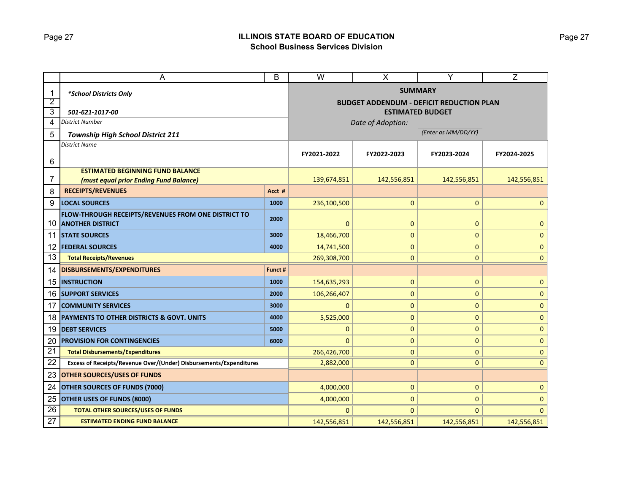# Page 27 **ILLINOIS STATE BOARD OF EDUCATION School Business Services Division**

|                 | A                                                                          |                                                 | $\overline{W}$ | $\overline{\mathsf{x}}$ | Y            | $\overline{Z}$ |
|-----------------|----------------------------------------------------------------------------|-------------------------------------------------|----------------|-------------------------|--------------|----------------|
| $\mathbf{1}$    | *School Districts Only                                                     | <b>SUMMARY</b>                                  |                |                         |              |                |
| 2               |                                                                            | <b>BUDGET ADDENDUM - DEFICIT REDUCTION PLAN</b> |                |                         |              |                |
| $\overline{3}$  | 501-621-1017-00                                                            | <b>ESTIMATED BUDGET</b>                         |                |                         |              |                |
| 4               | <b>District Number</b>                                                     | Date of Adoption:                               |                |                         |              |                |
| 5               | <b>Township High School District 211</b>                                   | (Enter as MM/DD/YY)                             |                |                         |              |                |
|                 | <b>District Name</b>                                                       | FY2021-2022                                     |                |                         |              |                |
| 6               |                                                                            |                                                 | FY2022-2023    | FY2023-2024             | FY2024-2025  |                |
|                 | <b>ESTIMATED BEGINNING FUND BALANCE</b>                                    |                                                 |                |                         |              |                |
| 7               | (must equal prior Ending Fund Balance)                                     |                                                 | 139,674,851    | 142,556,851             | 142,556,851  | 142,556,851    |
| 8               | <b>RECEIPTS/REVENUES</b>                                                   | Acct #                                          |                |                         |              |                |
| 9               | <b>LOCAL SOURCES</b>                                                       | 1000                                            | 236,100,500    | $\mathbf{0}$            | $\mathbf 0$  | $\Omega$       |
|                 | FLOW-THROUGH RECEIPTS/REVENUES FROM ONE DISTRICT TO<br>10 ANOTHER DISTRICT | 2000                                            | 0              | $\mathbf 0$             | $\mathbf 0$  | 0              |
| 11              | <b>STATE SOURCES</b>                                                       | 3000                                            | 18,466,700     | 0                       | $\mathbf{0}$ | $\Omega$       |
| 12              | <b>FEDERAL SOURCES</b>                                                     | 4000                                            | 14,741,500     | 0                       | $\pmb{0}$    | $\mathbf 0$    |
| 13              | <b>Total Receipts/Revenues</b>                                             | 269,308,700                                     | $\mathbf{0}$   | $\mathbf{0}$            | $\mathbf{0}$ |                |
|                 | 14 DISBURSEMENTS/EXPENDITURES                                              | Funct #                                         |                |                         |              |                |
| 15              | <b>INSTRUCTION</b>                                                         | 1000                                            | 154,635,293    | $\pmb{0}$               | $\pmb{0}$    | $\mathbf 0$    |
|                 | <b>16 SUPPORT SERVICES</b>                                                 | 2000                                            | 106,266,407    | 0                       | $\pmb{0}$    | $\mathbf 0$    |
| 17              | <b>COMMUNITY SERVICES</b>                                                  | 3000                                            | $\Omega$       | 0                       | $\mathbf 0$  | $\mathbf 0$    |
|                 | 18 PAYMENTS TO OTHER DISTRICTS & GOVT. UNITS                               | 4000                                            | 5,525,000      | 0                       | $\mathbf 0$  | $\mathbf{0}$   |
| 19              | <b>DEBT SERVICES</b>                                                       | 5000                                            | $\mathbf{0}$   | 0                       | $\mathbf 0$  | $\mathbf 0$    |
| 20              | <b>PROVISION FOR CONTINGENCIES</b>                                         | 6000                                            | $\Omega$       | 0                       | $\mathbf 0$  | $\mathbf{0}$   |
| $\overline{21}$ | <b>Total Disbursements/Expenditures</b>                                    | 266,426,700                                     | $\mathbf{0}$   | $\mathbf{0}$            | $\mathbf{0}$ |                |
| 22              | Excess of Receipts/Revenue Over/(Under) Disbursements/Expenditures         | 2,882,000                                       | $\mathbf{0}$   | $\overline{0}$          | $\Omega$     |                |
| 23              | <b>OTHER SOURCES/USES OF FUNDS</b>                                         |                                                 |                |                         |              |                |
| 24              | OTHER SOURCES OF FUNDS (7000)                                              | 4,000,000                                       | 0              | 0                       | $\mathbf{0}$ |                |
| 25              | OTHER USES OF FUNDS (8000)                                                 | 4,000,000                                       | $\overline{0}$ | $\mathbf 0$             | $\Omega$     |                |
| $\overline{26}$ | <b>TOTAL OTHER SOURCES/USES OF FUNDS</b>                                   | $\Omega$                                        | $\overline{0}$ | $\Omega$                | $\Omega$     |                |
| $\overline{27}$ | <b>ESTIMATED ENDING FUND BALANCE</b>                                       | 142,556,851                                     | 142,556,851    | 142,556,851             | 142,556,851  |                |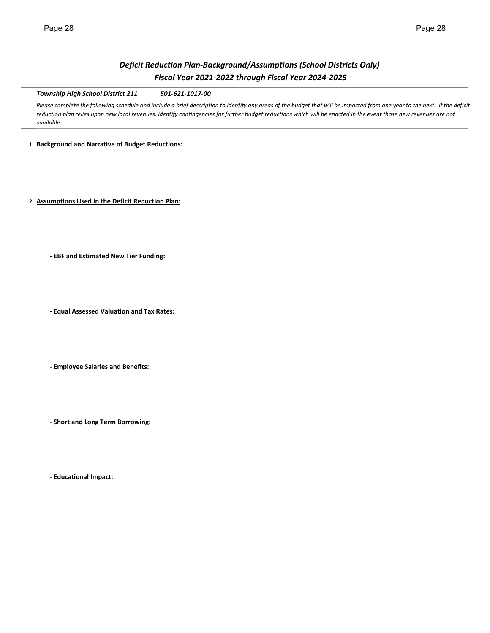# *Deficit Reduction Plan‐Background/Assumptions (School Districts Only) Fiscal Year 2021‐2022 through Fiscal Year 2024‐2025*

*Township High School District 211 501‐621‐1017‐00*

Please complete the following schedule and include a brief description to identify any areas of the budget that will be impacted from one year to the next. If the deficit reduction plan relies upon new local revenues, identify contingencies for further budget reductions which will be enacted in the event those new revenues are not *available.* 

**1. Background and Narrative of Budget Reductions:**

**2. Assumptions Used in the Deficit Reduction Plan:**

**‐ EBF and Estimated New Tier Funding:**

**‐ Equal Assessed Valuation and Tax Rates:**

**‐ Employee Salaries and Benefits:**

**‐ Short and Long Term Borrowing:**

**‐ Educational Impact:**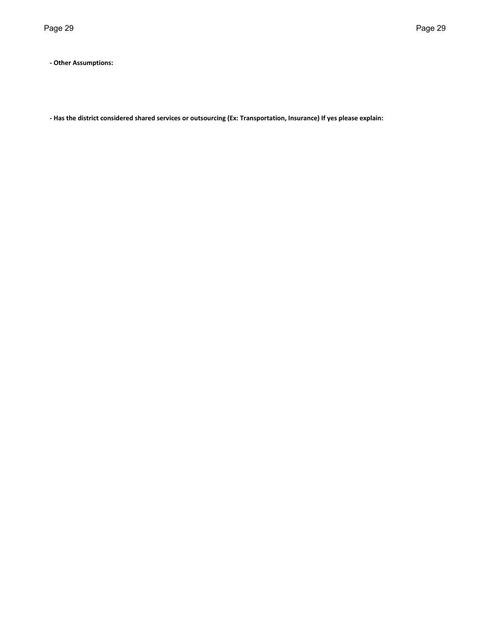**‐ Other Assumptions:**

- Has the district considered shared services or outsourcing (Ex: Transportation, Insurance) If yes please explain: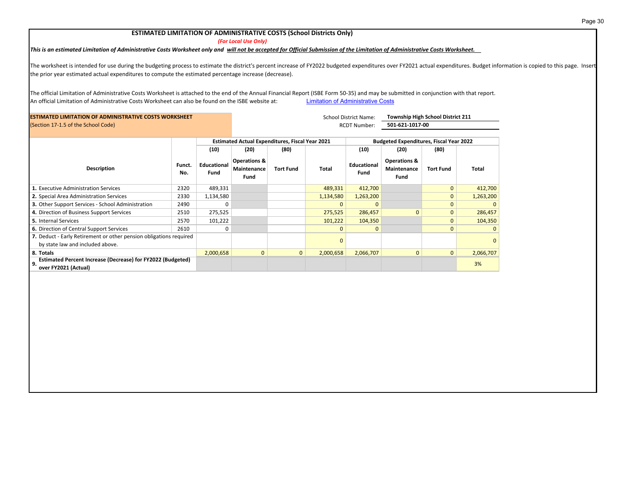#### Page 30

#### **ESTIMATED LIMITATION OF ADMINISTRATIVE COSTS (School Districts Only)**

*(For Local Use Only)*

#### This is an estimated Limitation of Administrative Costs Worksheet only and <u>will not be accepted for Official Submission of the Limitation of Administrative Costs Worksheet.</u>

The worksheet is intended for use during the budgeting process to estimate the district's percent increase of FY2022 budgeted expenditures over FY2021 actual expenditures. Budget information is copied to this page. Insert the prior year estimated actual expenditures to compute the estimated percentage increase (decrease).

The official Limitation of Administrative Costs Worksheet is attached to the end of the Annual Financial Report (ISBE Form 50‐35) and may be submitted in conjunction with that report. An official Limitation of Administrative Costs Worksheet can also**Limitation of Administrative Costs** 

| <b>IESTIMATED LIMITATION OF ADMINISTRATIVE COSTS WORKSHEET</b><br>(Section 17-1.5 of the School Code)  |               |                            |                                                        | <b>School District Name:</b> |           |                     | Township High School District 211              |                  |           |
|--------------------------------------------------------------------------------------------------------|---------------|----------------------------|--------------------------------------------------------|------------------------------|-----------|---------------------|------------------------------------------------|------------------|-----------|
|                                                                                                        |               |                            |                                                        | <b>RCDT Number:</b>          |           |                     |                                                | 501-621-1017-00  |           |
|                                                                                                        |               |                            | <b>Estimated Actual Expenditures, Fiscal Year 2021</b> |                              |           |                     | <b>Budgeted Expenditures, Fiscal Year 2022</b> |                  |           |
|                                                                                                        |               | (10)                       | (20)                                                   | (80)                         |           | (10)                | (20)                                           | (80)             |           |
| Description                                                                                            | Funct.<br>No. | <b>Educational</b><br>Fund | <b>Operations &amp;</b><br>Maintenance<br>Fund         | <b>Tort Fund</b>             | Total     | Educational<br>Fund | <b>Operations &amp;</b><br>Maintenance<br>Fund | <b>Tort Fund</b> | Total     |
| 1. Executive Administration Services                                                                   | 2320          | 489,331                    |                                                        |                              | 489,331   | 412,700             |                                                | $\Omega$         | 412,700   |
| 2. Special Area Administration Services                                                                | 2330          | 1,134,580                  |                                                        |                              | 1,134,580 | 1,263,200           |                                                | $\mathbf{0}$     | 1,263,200 |
| 3. Other Support Services - School Administration                                                      | 2490          | o                          |                                                        |                              | n         | $\Omega$            |                                                | $\Omega$         |           |
| 4. Direction of Business Support Services                                                              | 2510          | 275,525                    |                                                        |                              | 275,525   | 286,457             | $\Omega$                                       | $\Omega$         | 286,457   |
| <b>5.</b> Internal Services                                                                            | 2570          | 101,222                    |                                                        |                              | 101,222   | 104,350             |                                                | $\Omega$         | 104,350   |
| 6. Direction of Central Support Services                                                               | 2610          | o                          |                                                        |                              | n         | 0                   |                                                | $\Omega$         |           |
| 7. Deduct - Early Retirement or other pension obligations required<br>by state law and included above. |               |                            |                                                        |                              |           |                     |                                                |                  |           |
| 8. Totals<br>2,000,658                                                                                 |               | $\mathbf{0}$               | $\mathbf{0}$                                           | 2,000,658                    | 2,066,707 | $\mathbf{0}$        | $\mathbf{0}$                                   | 2,066,707        |           |
| <b>Estimated Percent Increase (Decrease) for FY2022 (Budgeted)</b><br>9.<br>over FY2021 (Actual)       |               |                            |                                                        |                              |           |                     |                                                |                  | 3%        |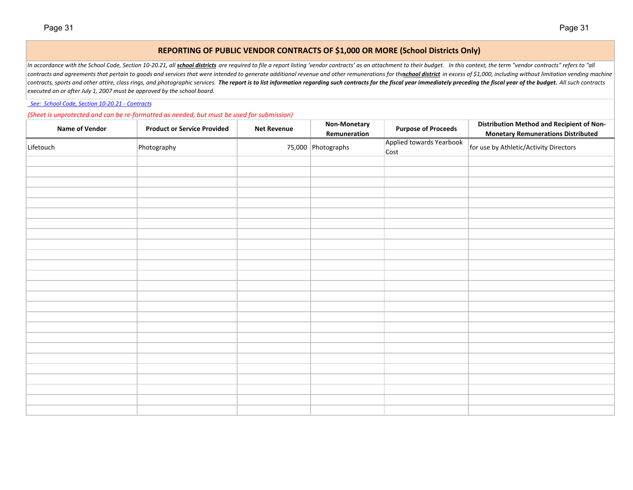## **REPORTING OF PUBLIC VENDOR CONTRACTS OF \$1,000 OR MORE (School Districts Only)**

In accordance with the School Code, Section 10-20.21, all <mark>school districts</mark> are required to file a report listing 'vendor contracts' as an attachment to their budget. In this context, the term "vendor contracts" refers to contracts and agreements that pertain to goods and services that were intended to generate additional revenue and other remunerations for the thaol district in excess of \$1,000, including without limitation vending machine contracts, sports and other attire, class rings, and photographic services. The report is to list information regarding such contracts for the fiscal year immediately preceding the fiscal year of the budget. All such contr *executed on or after July 1, 2007 must be approved by the school board.*

*See: School Code, Section 10‐20.21 ‐ Contracts*

*(Sheet is unprotected and can be re‐formatted as needed, but must be used for submission)*

| <b>Name of Vendor</b> | <b>Product or Service Provided</b> | <b>Net Revenue</b> | <b>Non-Monetary</b><br>Remuneration | <b>Purpose of Proceeds</b>       | <b>Distribution Method and Recipient of Non-</b><br><b>Monetary Remunerations Distributed</b> |  |
|-----------------------|------------------------------------|--------------------|-------------------------------------|----------------------------------|-----------------------------------------------------------------------------------------------|--|
| Lifetouch             | Photography                        |                    | 75,000 Photographs                  | Applied towards Yearbook<br>Cost | for use by Athletic/Activity Directors                                                        |  |
|                       |                                    |                    |                                     |                                  |                                                                                               |  |
|                       |                                    |                    |                                     |                                  |                                                                                               |  |
|                       |                                    |                    |                                     |                                  |                                                                                               |  |
|                       |                                    |                    |                                     |                                  |                                                                                               |  |
|                       |                                    |                    |                                     |                                  |                                                                                               |  |
|                       |                                    |                    |                                     |                                  |                                                                                               |  |
|                       |                                    |                    |                                     |                                  |                                                                                               |  |
|                       |                                    |                    |                                     |                                  |                                                                                               |  |
|                       |                                    |                    |                                     |                                  |                                                                                               |  |
|                       |                                    |                    |                                     |                                  |                                                                                               |  |
|                       |                                    |                    |                                     |                                  |                                                                                               |  |
|                       |                                    |                    |                                     |                                  |                                                                                               |  |
|                       |                                    |                    |                                     |                                  |                                                                                               |  |
|                       |                                    |                    |                                     |                                  |                                                                                               |  |
|                       |                                    |                    |                                     |                                  |                                                                                               |  |
|                       |                                    |                    |                                     |                                  |                                                                                               |  |
|                       |                                    |                    |                                     |                                  |                                                                                               |  |
|                       |                                    |                    |                                     |                                  |                                                                                               |  |
|                       |                                    |                    |                                     |                                  |                                                                                               |  |
|                       |                                    |                    |                                     |                                  |                                                                                               |  |
|                       |                                    |                    |                                     |                                  |                                                                                               |  |
|                       |                                    |                    |                                     |                                  |                                                                                               |  |
|                       |                                    |                    |                                     |                                  |                                                                                               |  |
|                       |                                    |                    |                                     |                                  |                                                                                               |  |
|                       |                                    |                    |                                     |                                  |                                                                                               |  |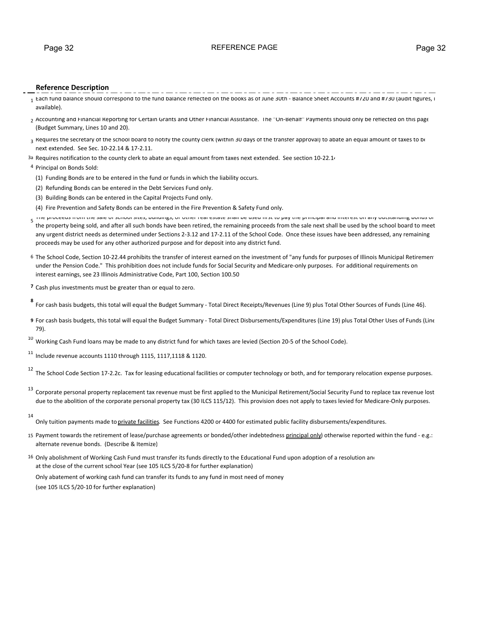### Page 32 **Page 32** REFERENCE PAGE **PAGE** Page 32

#### **Reference Description**

- 1 Each fund balance should correspond to the fund balance reflected on the books as of June 30th Balance Sheet Accounts #720 and #730 (audit figures, i available).
- 2 Accounting and Financial Reporting for Certain Grants and Other Financial Assistance. The "On-Behalf" Payments should only be reflected on this page (Budget Summary, Lines 10 and 20).
- 3 Requires the secretary of the school board to notify the county clerk (within 30 days of the transfer approval) to abate an equal amount of taxes to be next extended. See Sec. 10‐22.14 & 17‐2.11.
- 3a Requires notification to the county clerk to abate an equal amount from taxes next extended. See section 10‐22.14

4 Principal on Bonds Sold:

- (1) Funding Bonds are to be entered in the fund or funds in which the liability occurs.
- (2) Refunding Bonds can be entered in the Debt Services Fund only.
- (3) Building Bonds can be entered in the Capital Projects Fund only.
- (4) Fire Prevention and Safety Bonds can be entered in the Fire Prevention & Safety Fund only.
- <sup>5</sup> The proceeds from the sale of school sites, buildings, or other real estate shall be used first to pay the principal and interest on any outstanding bonds on the property being sold, and after all such bonds have been retired, the remaining proceeds from the sale next shall be used by the school board to meet any urgent district needs as determined under Sections 2‐3.12 and 17‐2.11 of the School Code. Once these issues have been addressed, any remaining proceeds may be used for any other authorized purpose and for deposit into any district fund.
- 6 The School Code, Section 10‐22.44 prohibits the transfer of interest earned on the investment of "any funds for purposes of Illinois Municipal Retirement under the Pension Code." This prohibition does not include funds for Social Security and Medicare-only purposes. For additional requirements on interest earnings, see 23 Illinois Administrative Code, Part 100, Section 100.50
- **7** Cash plus investments must be greater than or equal to zero.

**<sup>8</sup>** For cash basis budgets, this total will equal the Budget Summary ‐ Total Direct Receipts/Revenues (Line 9) plus Total Other Sources of Funds (Line 46).

- **9** For cash basis budgets, this total will equal the Budget Summary ‐ Total Direct Disbursements/Expenditures (Line 19) plus Total Other Uses of Funds (Line 79).
- <sup>10</sup> Working Cash Fund loans may be made to any district fund for which taxes are levied (Section 20-5 of the School Code).
- $11$  Include revenue accounts 1110 through 1115, 1117, 1118 & 1120.

12 The School Code Section 17-2.2c. Tax for leasing educational facilities or computer technology or both, and for temporary relocation expense purposes.

- <sup>13</sup> Corporate personal property replacement tax revenue must be first applied to the Municipal Retirement/Social Security Fund to replace tax revenue lost due to the abolition of the corporate personal property tax (30 ILCS 115/12). This provision does not apply to taxes levied for Medicare-Only purposes.
- 14 Only tuition payments made to private facilities. See Functions 4200 or 4400 for estimated public facility disbursements/expenditures.
- 15 Payment towards the retirement of lease/purchase agreements or bonded/other indebtedness principal only) otherwise reported within the fund e.g.: alternate revenue bonds. (Describe & Itemize)
- 16 Only abolishment of Working Cash Fund must transfer its funds directly to the Educational Fund upon adoption of a resolution and at the close of the current school Year (see 105 ILCS 5/20‐8 for further explanation)

Only abatement of working cash fund can transfer its funds to any fund in most need of money (see 105 ILCS 5/20‐10 for further explanation)